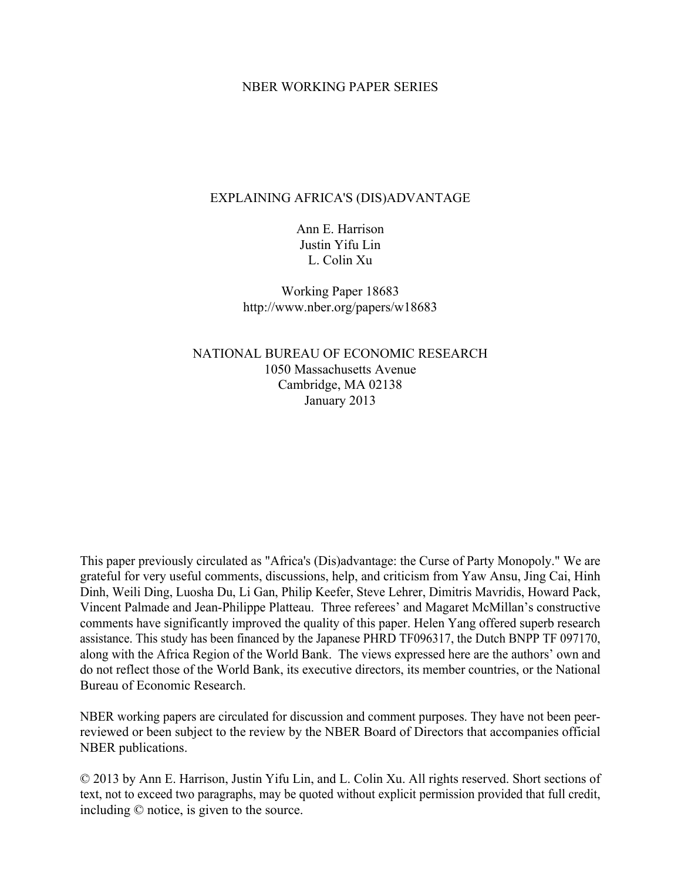## NBER WORKING PAPER SERIES

# EXPLAINING AFRICA'S (DIS)ADVANTAGE

Ann E. Harrison Justin Yifu Lin L. Colin Xu

Working Paper 18683 http://www.nber.org/papers/w18683

NATIONAL BUREAU OF ECONOMIC RESEARCH 1050 Massachusetts Avenue Cambridge, MA 02138 January 2013

This paper previously circulated as "Africa's (Dis)advantage: the Curse of Party Monopoly." We are grateful for very useful comments, discussions, help, and criticism from Yaw Ansu, Jing Cai, Hinh Dinh, Weili Ding, Luosha Du, Li Gan, Philip Keefer, Steve Lehrer, Dimitris Mavridis, Howard Pack, Vincent Palmade and Jean-Philippe Platteau. Three referees' and Magaret McMillan's constructive comments have significantly improved the quality of this paper. Helen Yang offered superb research assistance. This study has been financed by the Japanese PHRD TF096317, the Dutch BNPP TF 097170, along with the Africa Region of the World Bank. The views expressed here are the authors' own and do not reflect those of the World Bank, its executive directors, its member countries, or the National Bureau of Economic Research.

NBER working papers are circulated for discussion and comment purposes. They have not been peerreviewed or been subject to the review by the NBER Board of Directors that accompanies official NBER publications.

© 2013 by Ann E. Harrison, Justin Yifu Lin, and L. Colin Xu. All rights reserved. Short sections of text, not to exceed two paragraphs, may be quoted without explicit permission provided that full credit, including © notice, is given to the source.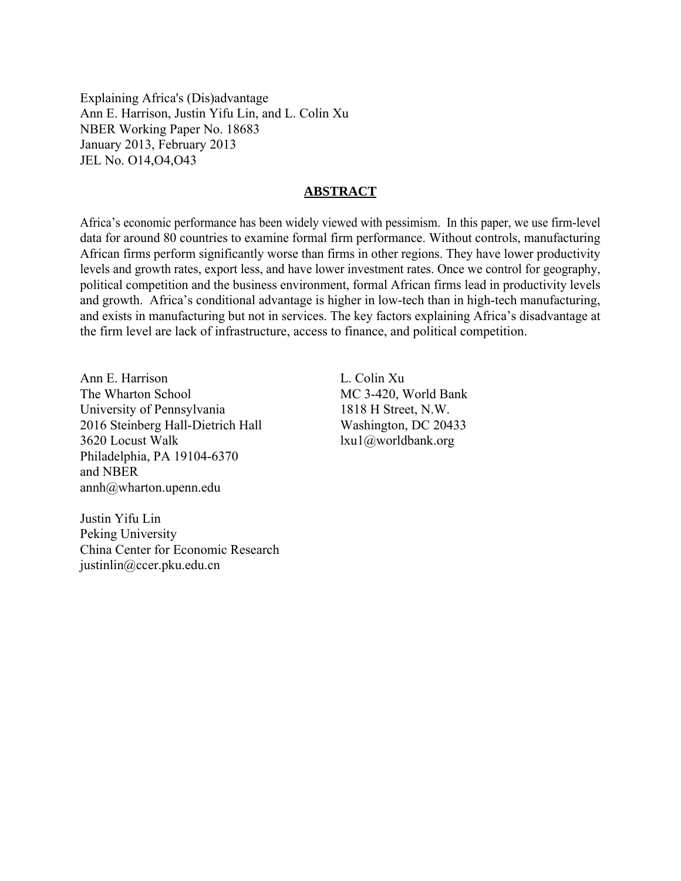Explaining Africa's (Dis)advantage Ann E. Harrison, Justin Yifu Lin, and L. Colin Xu NBER Working Paper No. 18683 January 2013, February 2013 JEL No. O14,O4,O43

## **ABSTRACT**

Africa's economic performance has been widely viewed with pessimism. In this paper, we use firm-level data for around 80 countries to examine formal firm performance. Without controls, manufacturing African firms perform significantly worse than firms in other regions. They have lower productivity levels and growth rates, export less, and have lower investment rates. Once we control for geography, political competition and the business environment, formal African firms lead in productivity levels and growth. Africa's conditional advantage is higher in low-tech than in high-tech manufacturing, and exists in manufacturing but not in services. The key factors explaining Africa's disadvantage at the firm level are lack of infrastructure, access to finance, and political competition.

Ann E. Harrison The Wharton School University of Pennsylvania 2016 Steinberg Hall-Dietrich Hall 3620 Locust Walk Philadelphia, PA 19104-6370 and NBER annh@wharton.upenn.edu

L. Colin Xu MC 3-420, World Bank 1818 H Street, N.W. Washington, DC 20433 lxu1@worldbank.org

Justin Yifu Lin Peking University China Center for Economic Research justinlin@ccer.pku.edu.cn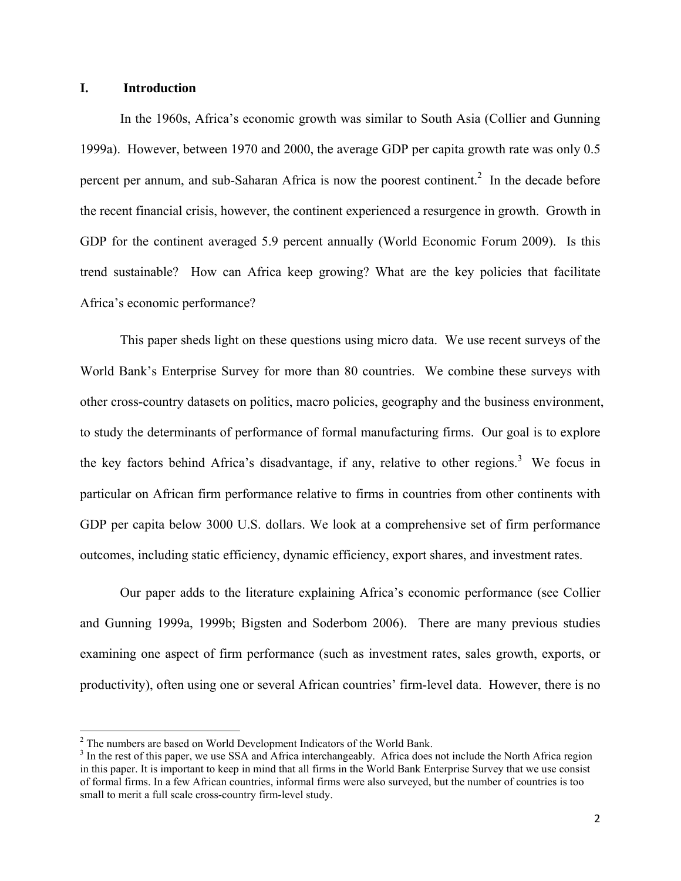# **I. Introduction**

In the 1960s, Africa's economic growth was similar to South Asia (Collier and Gunning 1999a). However, between 1970 and 2000, the average GDP per capita growth rate was only 0.5 percent per annum, and sub-Saharan Africa is now the poorest continent.<sup>2</sup> In the decade before the recent financial crisis, however, the continent experienced a resurgence in growth. Growth in GDP for the continent averaged 5.9 percent annually (World Economic Forum 2009). Is this trend sustainable? How can Africa keep growing? What are the key policies that facilitate Africa's economic performance?

This paper sheds light on these questions using micro data. We use recent surveys of the World Bank's Enterprise Survey for more than 80 countries. We combine these surveys with other cross-country datasets on politics, macro policies, geography and the business environment, to study the determinants of performance of formal manufacturing firms. Our goal is to explore the key factors behind Africa's disadvantage, if any, relative to other regions.<sup>3</sup> We focus in particular on African firm performance relative to firms in countries from other continents with GDP per capita below 3000 U.S. dollars. We look at a comprehensive set of firm performance outcomes, including static efficiency, dynamic efficiency, export shares, and investment rates.

Our paper adds to the literature explaining Africa's economic performance (see Collier and Gunning 1999a, 1999b; Bigsten and Soderbom 2006). There are many previous studies examining one aspect of firm performance (such as investment rates, sales growth, exports, or productivity), often using one or several African countries' firm-level data. However, there is no

<sup>&</sup>lt;sup>2</sup> The numbers are based on World Development Indicators of the World Bank.

<sup>&</sup>lt;sup>3</sup> In the rest of this paper, we use SSA and Africa interchangeably. Africa does not include the North Africa region in this paper. It is important to keep in mind that all firms in the World Bank Enterprise Survey that we use consist of formal firms. In a few African countries, informal firms were also surveyed, but the number of countries is too small to merit a full scale cross-country firm-level study.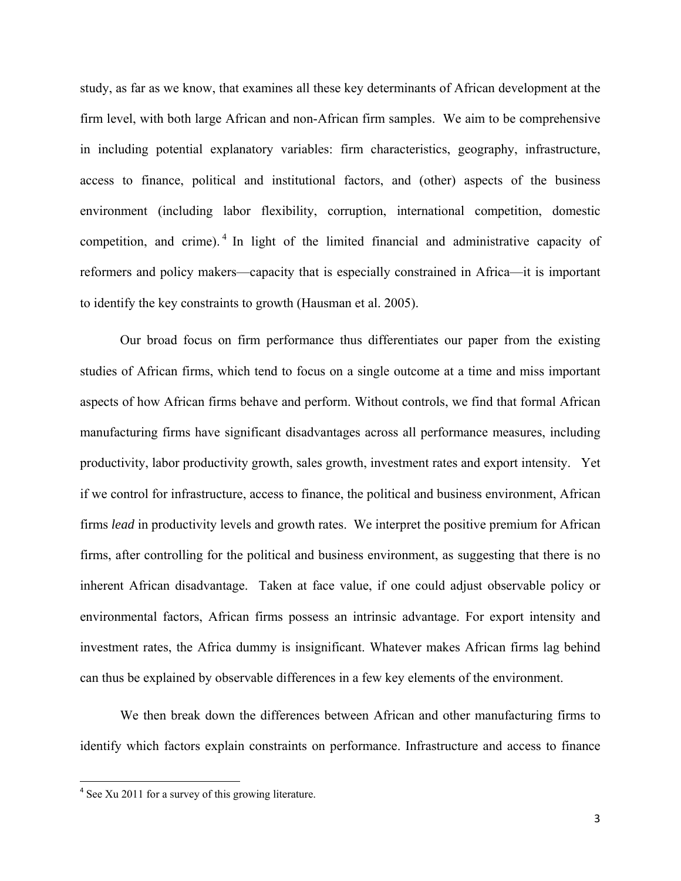study, as far as we know, that examines all these key determinants of African development at the firm level, with both large African and non-African firm samples. We aim to be comprehensive in including potential explanatory variables: firm characteristics, geography, infrastructure, access to finance, political and institutional factors, and (other) aspects of the business environment (including labor flexibility, corruption, international competition, domestic competition, and crime). 4 In light of the limited financial and administrative capacity of reformers and policy makers—capacity that is especially constrained in Africa—it is important to identify the key constraints to growth (Hausman et al. 2005).

Our broad focus on firm performance thus differentiates our paper from the existing studies of African firms, which tend to focus on a single outcome at a time and miss important aspects of how African firms behave and perform. Without controls, we find that formal African manufacturing firms have significant disadvantages across all performance measures, including productivity, labor productivity growth, sales growth, investment rates and export intensity. Yet if we control for infrastructure, access to finance, the political and business environment, African firms *lead* in productivity levels and growth rates. We interpret the positive premium for African firms, after controlling for the political and business environment, as suggesting that there is no inherent African disadvantage. Taken at face value, if one could adjust observable policy or environmental factors, African firms possess an intrinsic advantage. For export intensity and investment rates, the Africa dummy is insignificant. Whatever makes African firms lag behind can thus be explained by observable differences in a few key elements of the environment.

We then break down the differences between African and other manufacturing firms to identify which factors explain constraints on performance. Infrastructure and access to finance

<sup>&</sup>lt;sup>4</sup> See Xu 2011 for a survey of this growing literature.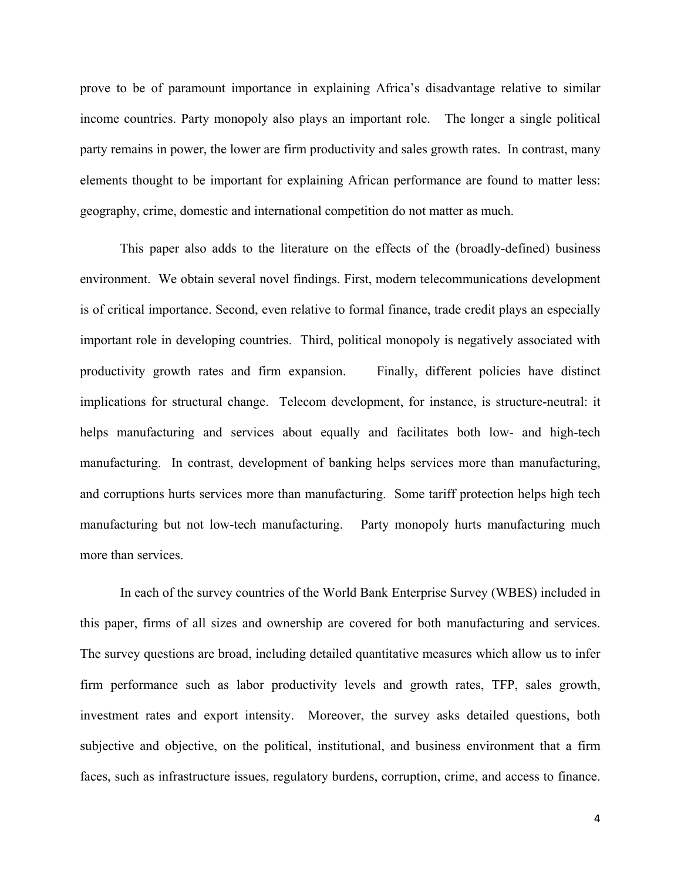prove to be of paramount importance in explaining Africa's disadvantage relative to similar income countries. Party monopoly also plays an important role. The longer a single political party remains in power, the lower are firm productivity and sales growth rates. In contrast, many elements thought to be important for explaining African performance are found to matter less: geography, crime, domestic and international competition do not matter as much.

This paper also adds to the literature on the effects of the (broadly-defined) business environment. We obtain several novel findings. First, modern telecommunications development is of critical importance. Second, even relative to formal finance, trade credit plays an especially important role in developing countries. Third, political monopoly is negatively associated with productivity growth rates and firm expansion. Finally, different policies have distinct implications for structural change. Telecom development, for instance, is structure-neutral: it helps manufacturing and services about equally and facilitates both low- and high-tech manufacturing. In contrast, development of banking helps services more than manufacturing, and corruptions hurts services more than manufacturing. Some tariff protection helps high tech manufacturing but not low-tech manufacturing. Party monopoly hurts manufacturing much more than services.

In each of the survey countries of the World Bank Enterprise Survey (WBES) included in this paper, firms of all sizes and ownership are covered for both manufacturing and services. The survey questions are broad, including detailed quantitative measures which allow us to infer firm performance such as labor productivity levels and growth rates, TFP, sales growth, investment rates and export intensity. Moreover, the survey asks detailed questions, both subjective and objective, on the political, institutional, and business environment that a firm faces, such as infrastructure issues, regulatory burdens, corruption, crime, and access to finance.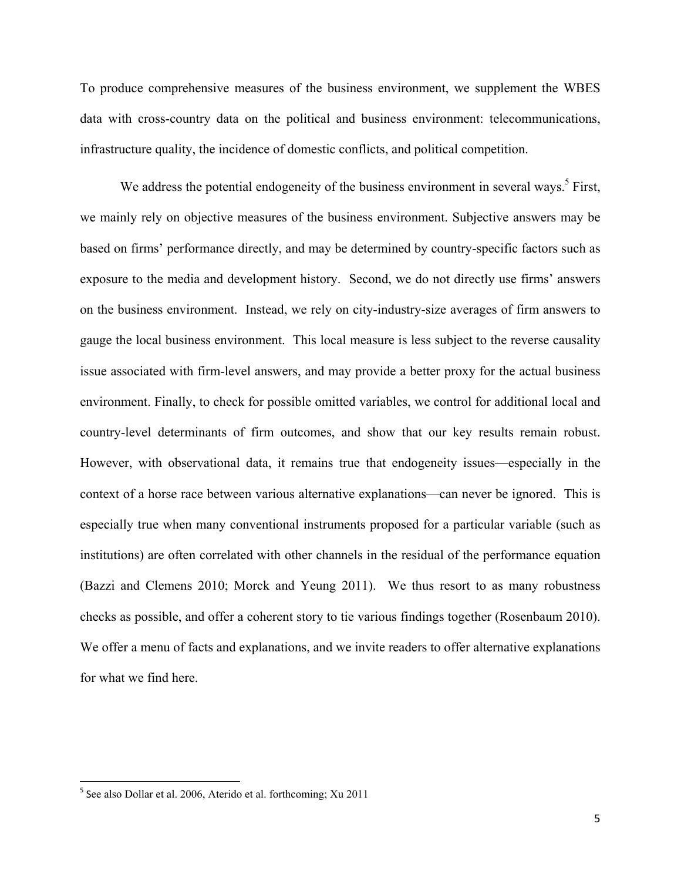To produce comprehensive measures of the business environment, we supplement the WBES data with cross-country data on the political and business environment: telecommunications, infrastructure quality, the incidence of domestic conflicts, and political competition.

We address the potential endogeneity of the business environment in several ways.<sup>5</sup> First, we mainly rely on objective measures of the business environment. Subjective answers may be based on firms' performance directly, and may be determined by country-specific factors such as exposure to the media and development history. Second, we do not directly use firms' answers on the business environment. Instead, we rely on city-industry-size averages of firm answers to gauge the local business environment. This local measure is less subject to the reverse causality issue associated with firm-level answers, and may provide a better proxy for the actual business environment. Finally, to check for possible omitted variables, we control for additional local and country-level determinants of firm outcomes, and show that our key results remain robust. However, with observational data, it remains true that endogeneity issues—especially in the context of a horse race between various alternative explanations—can never be ignored. This is especially true when many conventional instruments proposed for a particular variable (such as institutions) are often correlated with other channels in the residual of the performance equation (Bazzi and Clemens 2010; Morck and Yeung 2011). We thus resort to as many robustness checks as possible, and offer a coherent story to tie various findings together (Rosenbaum 2010). We offer a menu of facts and explanations, and we invite readers to offer alternative explanations for what we find here.

<sup>5</sup> See also Dollar et al. 2006, Aterido et al. forthcoming; Xu 2011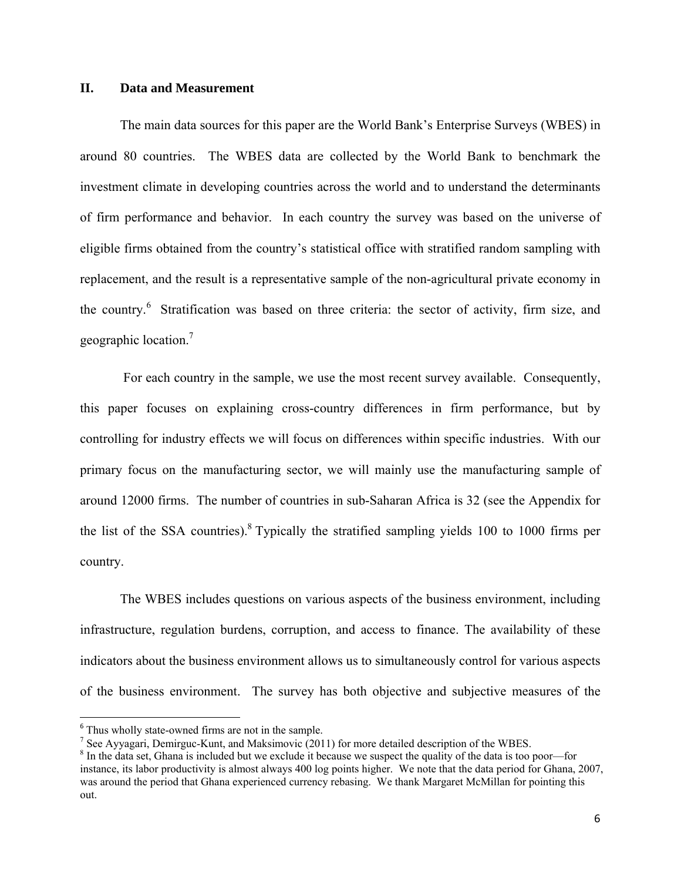## **II. Data and Measurement**

The main data sources for this paper are the World Bank's Enterprise Surveys (WBES) in around 80 countries. The WBES data are collected by the World Bank to benchmark the investment climate in developing countries across the world and to understand the determinants of firm performance and behavior. In each country the survey was based on the universe of eligible firms obtained from the country's statistical office with stratified random sampling with replacement, and the result is a representative sample of the non-agricultural private economy in the country.<sup>6</sup> Stratification was based on three criteria: the sector of activity, firm size, and geographic location.<sup>7</sup>

 For each country in the sample, we use the most recent survey available. Consequently, this paper focuses on explaining cross-country differences in firm performance, but by controlling for industry effects we will focus on differences within specific industries. With our primary focus on the manufacturing sector, we will mainly use the manufacturing sample of around 12000 firms. The number of countries in sub-Saharan Africa is 32 (see the Appendix for the list of the SSA countries). <sup>8</sup> Typically the stratified sampling yields 100 to 1000 firms per country.

The WBES includes questions on various aspects of the business environment, including infrastructure, regulation burdens, corruption, and access to finance. The availability of these indicators about the business environment allows us to simultaneously control for various aspects of the business environment. The survey has both objective and subjective measures of the

<sup>&</sup>lt;sup>6</sup> Thus wholly state-owned firms are not in the sample.

<sup>&</sup>lt;sup>7</sup> See Ayyagari, Demirguc-Kunt, and Maksimovic (2011) for more detailed description of the WBES.

<sup>&</sup>lt;sup>8</sup> In the data set, Ghana is included but we exclude it because we suspect the quality of the data is too poor—for instance, its labor productivity is almost always 400 log points higher. We note that the data period for Ghana, 2007, was around the period that Ghana experienced currency rebasing. We thank Margaret McMillan for pointing this out.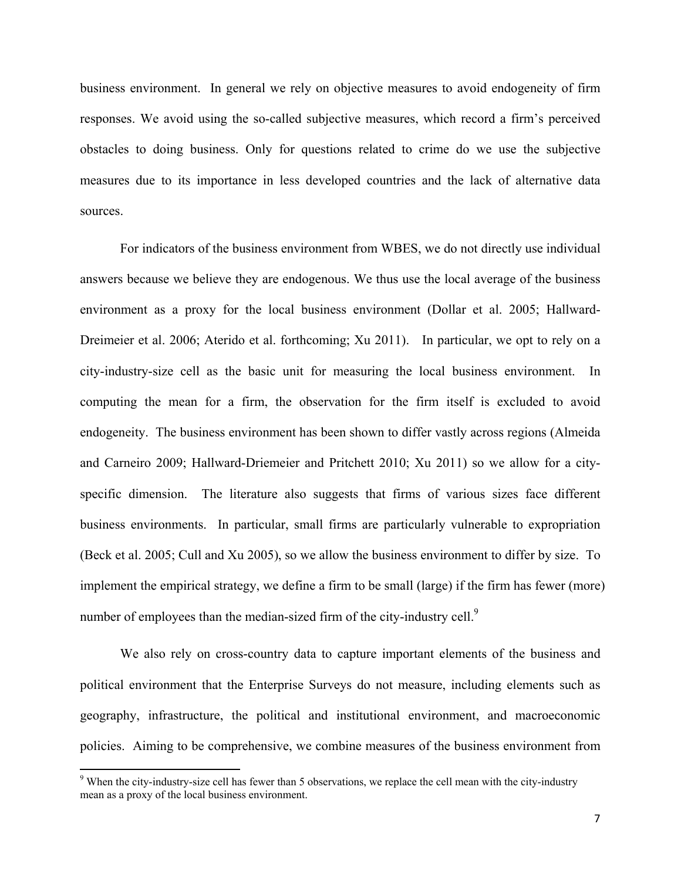business environment. In general we rely on objective measures to avoid endogeneity of firm responses. We avoid using the so-called subjective measures, which record a firm's perceived obstacles to doing business. Only for questions related to crime do we use the subjective measures due to its importance in less developed countries and the lack of alternative data sources.

For indicators of the business environment from WBES, we do not directly use individual answers because we believe they are endogenous. We thus use the local average of the business environment as a proxy for the local business environment (Dollar et al. 2005; Hallward-Dreimeier et al. 2006; Aterido et al. forthcoming; Xu 2011). In particular, we opt to rely on a city-industry-size cell as the basic unit for measuring the local business environment. In computing the mean for a firm, the observation for the firm itself is excluded to avoid endogeneity. The business environment has been shown to differ vastly across regions (Almeida and Carneiro 2009; Hallward-Driemeier and Pritchett 2010; Xu 2011) so we allow for a cityspecific dimension. The literature also suggests that firms of various sizes face different business environments. In particular, small firms are particularly vulnerable to expropriation (Beck et al. 2005; Cull and Xu 2005), so we allow the business environment to differ by size. To implement the empirical strategy, we define a firm to be small (large) if the firm has fewer (more) number of employees than the median-sized firm of the city-industry cell. $<sup>9</sup>$ </sup>

We also rely on cross-country data to capture important elements of the business and political environment that the Enterprise Surveys do not measure, including elements such as geography, infrastructure, the political and institutional environment, and macroeconomic policies. Aiming to be comprehensive, we combine measures of the business environment from

 $9$  When the city-industry-size cell has fewer than 5 observations, we replace the cell mean with the city-industry mean as a proxy of the local business environment.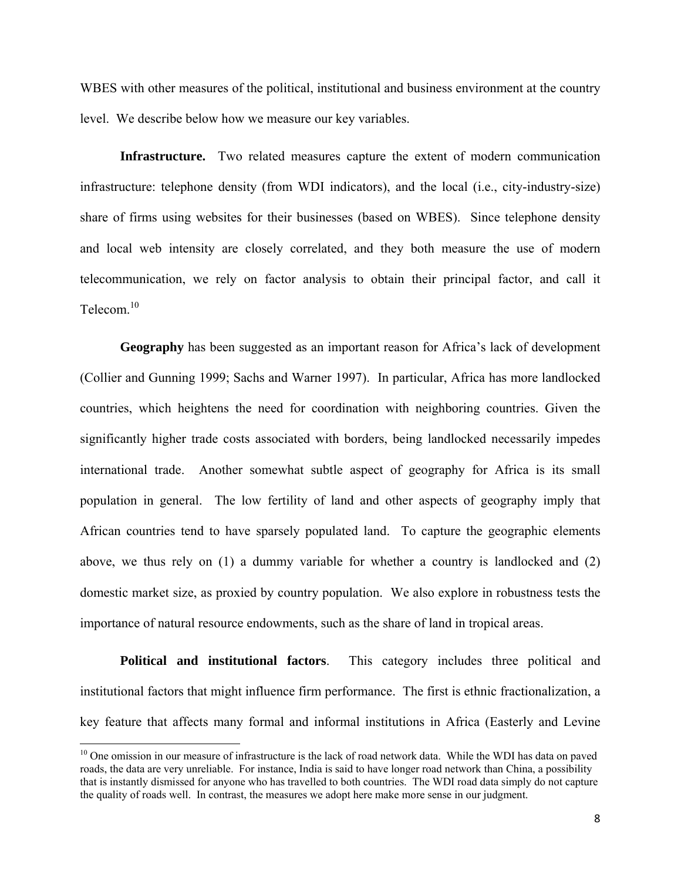WBES with other measures of the political, institutional and business environment at the country level. We describe below how we measure our key variables.

**Infrastructure.** Two related measures capture the extent of modern communication infrastructure: telephone density (from WDI indicators), and the local (i.e., city-industry-size) share of firms using websites for their businesses (based on WBES). Since telephone density and local web intensity are closely correlated, and they both measure the use of modern telecommunication, we rely on factor analysis to obtain their principal factor, and call it Telecom<sup>10</sup>

**Geography** has been suggested as an important reason for Africa's lack of development (Collier and Gunning 1999; Sachs and Warner 1997). In particular, Africa has more landlocked countries, which heightens the need for coordination with neighboring countries. Given the significantly higher trade costs associated with borders, being landlocked necessarily impedes international trade. Another somewhat subtle aspect of geography for Africa is its small population in general. The low fertility of land and other aspects of geography imply that African countries tend to have sparsely populated land. To capture the geographic elements above, we thus rely on (1) a dummy variable for whether a country is landlocked and (2) domestic market size, as proxied by country population. We also explore in robustness tests the importance of natural resource endowments, such as the share of land in tropical areas.

**Political and institutional factors**. This category includes three political and institutional factors that might influence firm performance. The first is ethnic fractionalization, a key feature that affects many formal and informal institutions in Africa (Easterly and Levine

 $10$  One omission in our measure of infrastructure is the lack of road network data. While the WDI has data on paved roads, the data are very unreliable. For instance, India is said to have longer road network than China, a possibility that is instantly dismissed for anyone who has travelled to both countries. The WDI road data simply do not capture the quality of roads well. In contrast, the measures we adopt here make more sense in our judgment.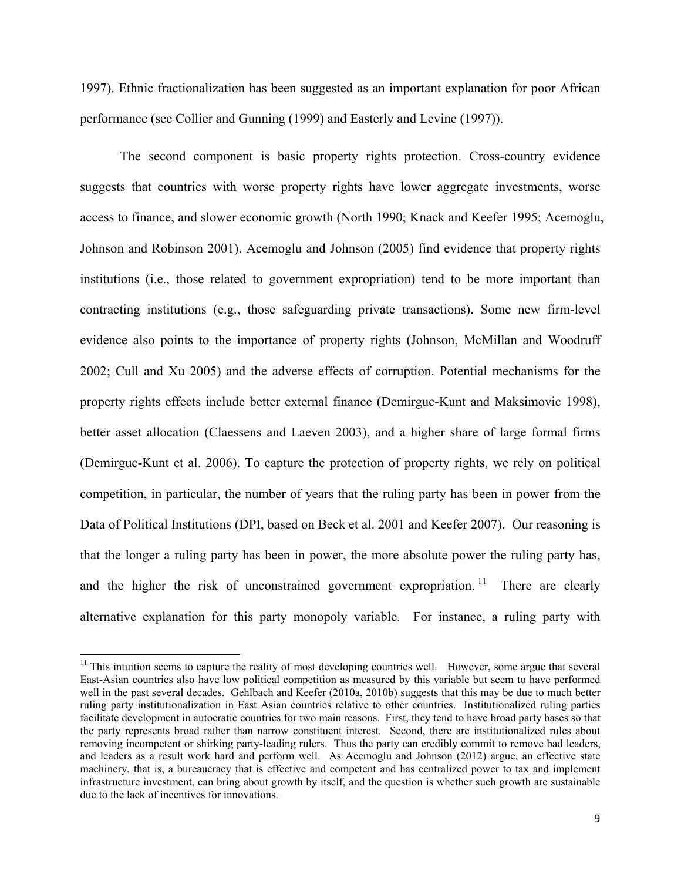1997). Ethnic fractionalization has been suggested as an important explanation for poor African performance (see Collier and Gunning (1999) and Easterly and Levine (1997)).

The second component is basic property rights protection. Cross-country evidence suggests that countries with worse property rights have lower aggregate investments, worse access to finance, and slower economic growth (North 1990; Knack and Keefer 1995; Acemoglu, Johnson and Robinson 2001). Acemoglu and Johnson (2005) find evidence that property rights institutions (i.e., those related to government expropriation) tend to be more important than contracting institutions (e.g., those safeguarding private transactions). Some new firm-level evidence also points to the importance of property rights (Johnson, McMillan and Woodruff 2002; Cull and Xu 2005) and the adverse effects of corruption. Potential mechanisms for the property rights effects include better external finance (Demirguc-Kunt and Maksimovic 1998), better asset allocation (Claessens and Laeven 2003), and a higher share of large formal firms (Demirguc-Kunt et al. 2006). To capture the protection of property rights, we rely on political competition, in particular, the number of years that the ruling party has been in power from the Data of Political Institutions (DPI, based on Beck et al. 2001 and Keefer 2007). Our reasoning is that the longer a ruling party has been in power, the more absolute power the ruling party has, and the higher the risk of unconstrained government expropriation.<sup>11</sup> There are clearly alternative explanation for this party monopoly variable. For instance, a ruling party with

 $11$  This intuition seems to capture the reality of most developing countries well. However, some argue that several East-Asian countries also have low political competition as measured by this variable but seem to have performed well in the past several decades. Gehlbach and Keefer (2010a, 2010b) suggests that this may be due to much better ruling party institutionalization in East Asian countries relative to other countries. Institutionalized ruling parties facilitate development in autocratic countries for two main reasons. First, they tend to have broad party bases so that the party represents broad rather than narrow constituent interest. Second, there are institutionalized rules about removing incompetent or shirking party-leading rulers. Thus the party can credibly commit to remove bad leaders, and leaders as a result work hard and perform well. As Acemoglu and Johnson (2012) argue, an effective state machinery, that is, a bureaucracy that is effective and competent and has centralized power to tax and implement infrastructure investment, can bring about growth by itself, and the question is whether such growth are sustainable due to the lack of incentives for innovations.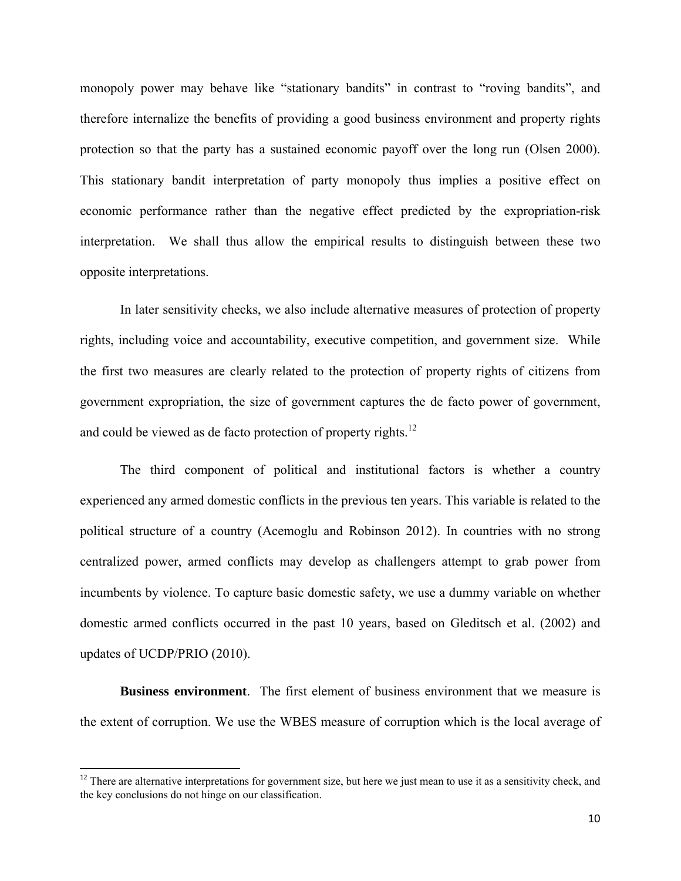monopoly power may behave like "stationary bandits" in contrast to "roving bandits", and therefore internalize the benefits of providing a good business environment and property rights protection so that the party has a sustained economic payoff over the long run (Olsen 2000). This stationary bandit interpretation of party monopoly thus implies a positive effect on economic performance rather than the negative effect predicted by the expropriation-risk interpretation. We shall thus allow the empirical results to distinguish between these two opposite interpretations.

In later sensitivity checks, we also include alternative measures of protection of property rights, including voice and accountability, executive competition, and government size. While the first two measures are clearly related to the protection of property rights of citizens from government expropriation, the size of government captures the de facto power of government, and could be viewed as de facto protection of property rights.<sup>12</sup>

The third component of political and institutional factors is whether a country experienced any armed domestic conflicts in the previous ten years. This variable is related to the political structure of a country (Acemoglu and Robinson 2012). In countries with no strong centralized power, armed conflicts may develop as challengers attempt to grab power from incumbents by violence. To capture basic domestic safety, we use a dummy variable on whether domestic armed conflicts occurred in the past 10 years, based on Gleditsch et al. (2002) and updates of UCDP/PRIO (2010).

**Business environment**. The first element of business environment that we measure is the extent of corruption. We use the WBES measure of corruption which is the local average of

 $12$  There are alternative interpretations for government size, but here we just mean to use it as a sensitivity check, and the key conclusions do not hinge on our classification.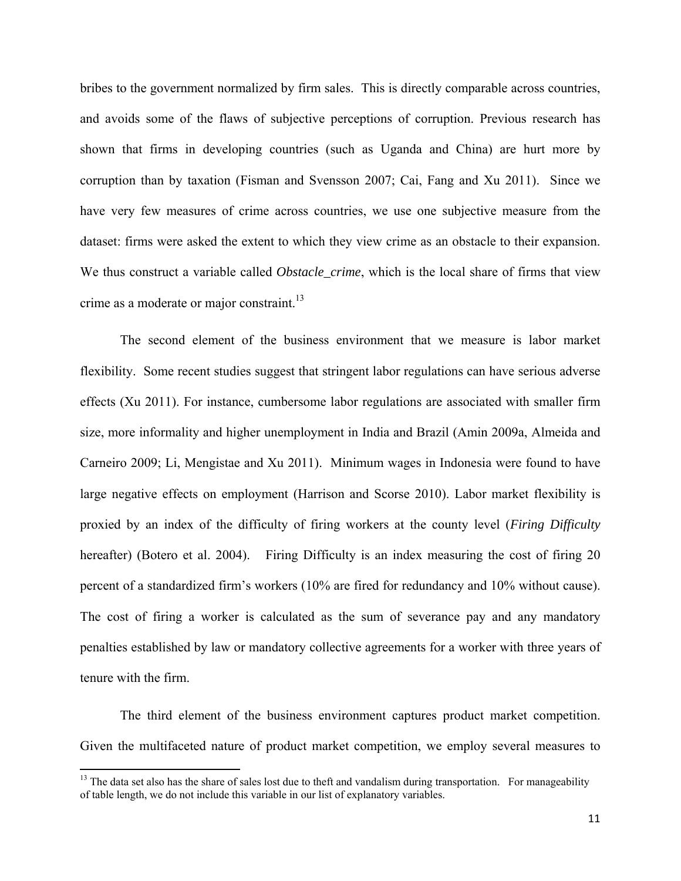bribes to the government normalized by firm sales. This is directly comparable across countries, and avoids some of the flaws of subjective perceptions of corruption. Previous research has shown that firms in developing countries (such as Uganda and China) are hurt more by corruption than by taxation (Fisman and Svensson 2007; Cai, Fang and Xu 2011). Since we have very few measures of crime across countries, we use one subjective measure from the dataset: firms were asked the extent to which they view crime as an obstacle to their expansion. We thus construct a variable called *Obstacle\_crime*, which is the local share of firms that view crime as a moderate or major constraint.<sup>13</sup>

The second element of the business environment that we measure is labor market flexibility. Some recent studies suggest that stringent labor regulations can have serious adverse effects (Xu 2011). For instance, cumbersome labor regulations are associated with smaller firm size, more informality and higher unemployment in India and Brazil (Amin 2009a, Almeida and Carneiro 2009; Li, Mengistae and Xu 2011). Minimum wages in Indonesia were found to have large negative effects on employment (Harrison and Scorse 2010). Labor market flexibility is proxied by an index of the difficulty of firing workers at the county level (*Firing Difficulty* hereafter) (Botero et al. 2004). Firing Difficulty is an index measuring the cost of firing 20 percent of a standardized firm's workers (10% are fired for redundancy and 10% without cause). The cost of firing a worker is calculated as the sum of severance pay and any mandatory penalties established by law or mandatory collective agreements for a worker with three years of tenure with the firm.

The third element of the business environment captures product market competition. Given the multifaceted nature of product market competition, we employ several measures to

<sup>&</sup>lt;sup>13</sup> The data set also has the share of sales lost due to theft and vandalism during transportation. For manageability of table length, we do not include this variable in our list of explanatory variables.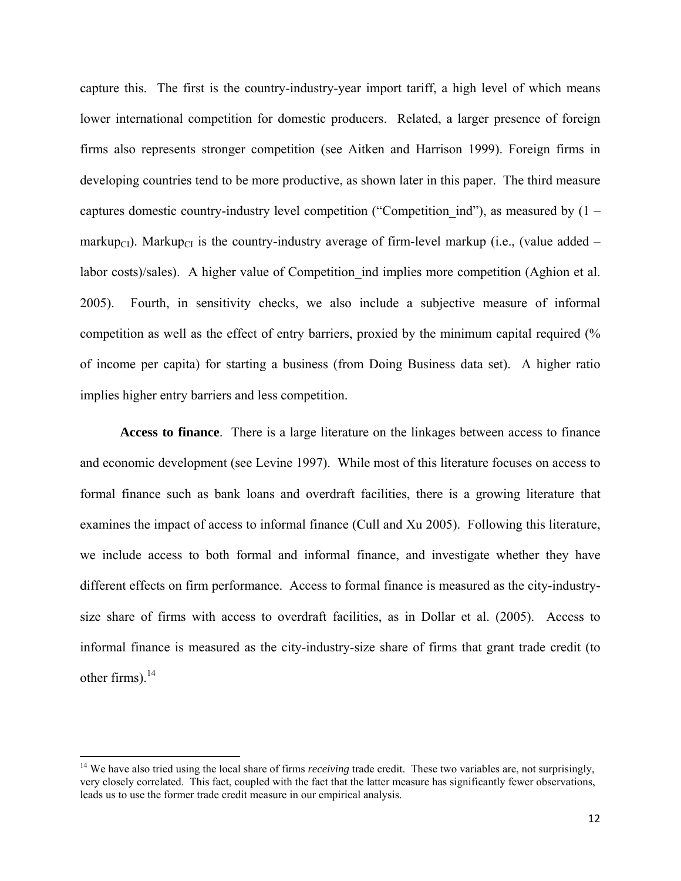capture this. The first is the country-industry-year import tariff, a high level of which means lower international competition for domestic producers. Related, a larger presence of foreign firms also represents stronger competition (see Aitken and Harrison 1999). Foreign firms in developing countries tend to be more productive, as shown later in this paper. The third measure captures domestic country-industry level competition ("Competition ind"), as measured by  $(1$ markup<sub>CI</sub>). Markup<sub>CI</sub> is the country-industry average of firm-level markup (i.e., (value added – labor costs)/sales). A higher value of Competition ind implies more competition (Aghion et al. 2005). Fourth, in sensitivity checks, we also include a subjective measure of informal competition as well as the effect of entry barriers, proxied by the minimum capital required (% of income per capita) for starting a business (from Doing Business data set). A higher ratio implies higher entry barriers and less competition.

**Access to finance**. There is a large literature on the linkages between access to finance and economic development (see Levine 1997). While most of this literature focuses on access to formal finance such as bank loans and overdraft facilities, there is a growing literature that examines the impact of access to informal finance (Cull and Xu 2005). Following this literature, we include access to both formal and informal finance, and investigate whether they have different effects on firm performance. Access to formal finance is measured as the city-industrysize share of firms with access to overdraft facilities, as in Dollar et al. (2005). Access to informal finance is measured as the city-industry-size share of firms that grant trade credit (to other firms). $^{14}$ 

<sup>&</sup>lt;sup>14</sup> We have also tried using the local share of firms *receiving* trade credit. These two variables are, not surprisingly, very closely correlated. This fact, coupled with the fact that the latter measure has significantly fewer observations, leads us to use the former trade credit measure in our empirical analysis.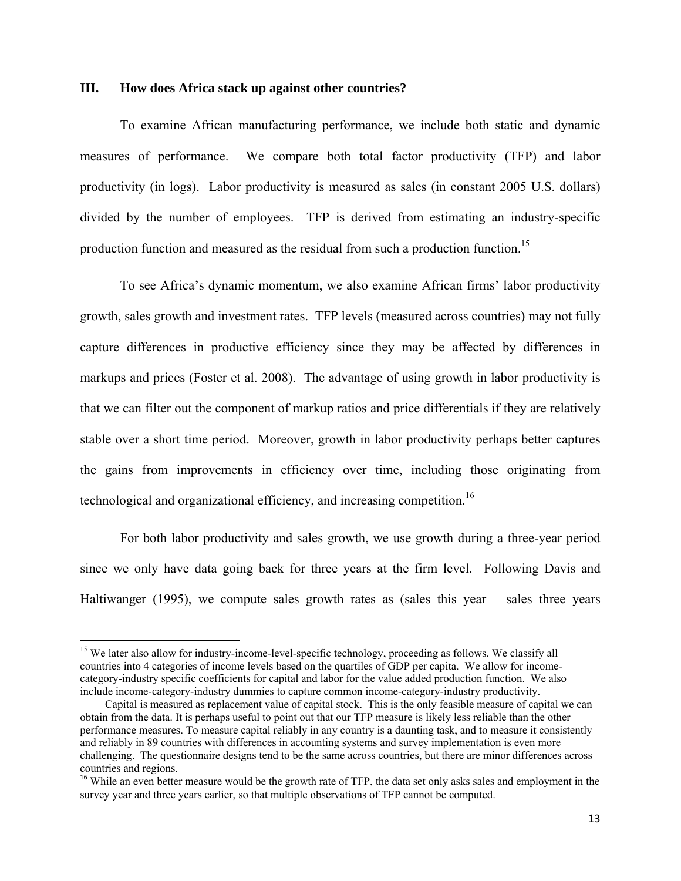#### **III. How does Africa stack up against other countries?**

To examine African manufacturing performance, we include both static and dynamic measures of performance. We compare both total factor productivity (TFP) and labor productivity (in logs). Labor productivity is measured as sales (in constant 2005 U.S. dollars) divided by the number of employees. TFP is derived from estimating an industry-specific production function and measured as the residual from such a production function.<sup>15</sup>

To see Africa's dynamic momentum, we also examine African firms' labor productivity growth, sales growth and investment rates. TFP levels (measured across countries) may not fully capture differences in productive efficiency since they may be affected by differences in markups and prices (Foster et al. 2008). The advantage of using growth in labor productivity is that we can filter out the component of markup ratios and price differentials if they are relatively stable over a short time period. Moreover, growth in labor productivity perhaps better captures the gains from improvements in efficiency over time, including those originating from technological and organizational efficiency, and increasing competition.<sup>16</sup>

For both labor productivity and sales growth, we use growth during a three-year period since we only have data going back for three years at the firm level. Following Davis and Haltiwanger (1995), we compute sales growth rates as (sales this year  $-$  sales three years

<sup>&</sup>lt;sup>15</sup> We later also allow for industry-income-level-specific technology, proceeding as follows. We classify all countries into 4 categories of income levels based on the quartiles of GDP per capita. We allow for incomecategory-industry specific coefficients for capital and labor for the value added production function. We also include income-category-industry dummies to capture common income-category-industry productivity.

Capital is measured as replacement value of capital stock. This is the only feasible measure of capital we can obtain from the data. It is perhaps useful to point out that our TFP measure is likely less reliable than the other performance measures. To measure capital reliably in any country is a daunting task, and to measure it consistently and reliably in 89 countries with differences in accounting systems and survey implementation is even more challenging. The questionnaire designs tend to be the same across countries, but there are minor differences across countries and regions.

<sup>&</sup>lt;sup>16</sup> While an even better measure would be the growth rate of TFP, the data set only asks sales and employment in the survey year and three years earlier, so that multiple observations of TFP cannot be computed.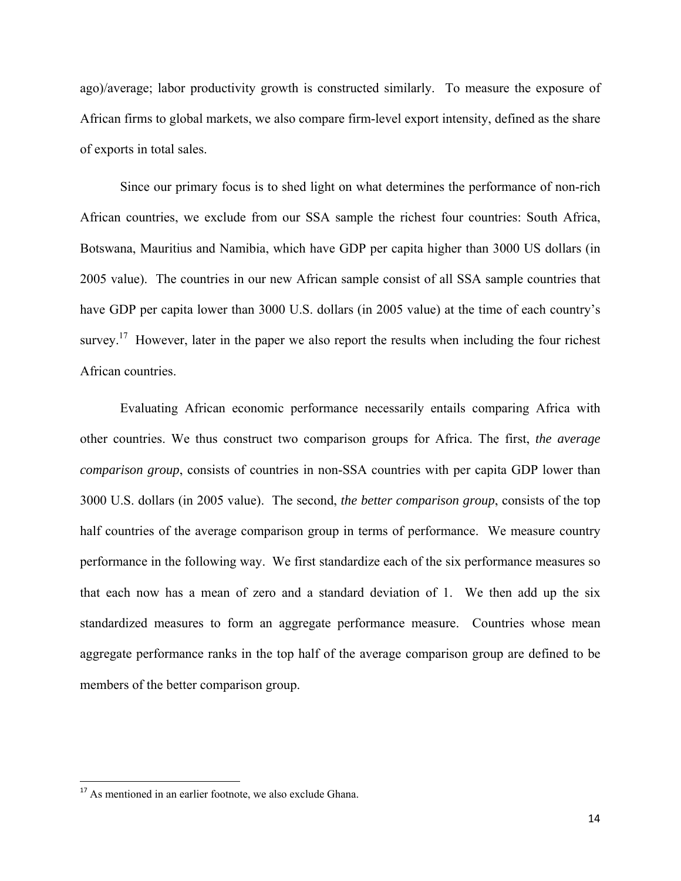ago)/average; labor productivity growth is constructed similarly. To measure the exposure of African firms to global markets, we also compare firm-level export intensity, defined as the share of exports in total sales.

Since our primary focus is to shed light on what determines the performance of non-rich African countries, we exclude from our SSA sample the richest four countries: South Africa, Botswana, Mauritius and Namibia, which have GDP per capita higher than 3000 US dollars (in 2005 value). The countries in our new African sample consist of all SSA sample countries that have GDP per capita lower than 3000 U.S. dollars (in 2005 value) at the time of each country's survey.<sup>17</sup> However, later in the paper we also report the results when including the four richest African countries.

Evaluating African economic performance necessarily entails comparing Africa with other countries. We thus construct two comparison groups for Africa. The first, *the average comparison group*, consists of countries in non-SSA countries with per capita GDP lower than 3000 U.S. dollars (in 2005 value). The second, *the better comparison group*, consists of the top half countries of the average comparison group in terms of performance. We measure country performance in the following way. We first standardize each of the six performance measures so that each now has a mean of zero and a standard deviation of 1. We then add up the six standardized measures to form an aggregate performance measure. Countries whose mean aggregate performance ranks in the top half of the average comparison group are defined to be members of the better comparison group.

<sup>&</sup>lt;sup>17</sup> As mentioned in an earlier footnote, we also exclude Ghana.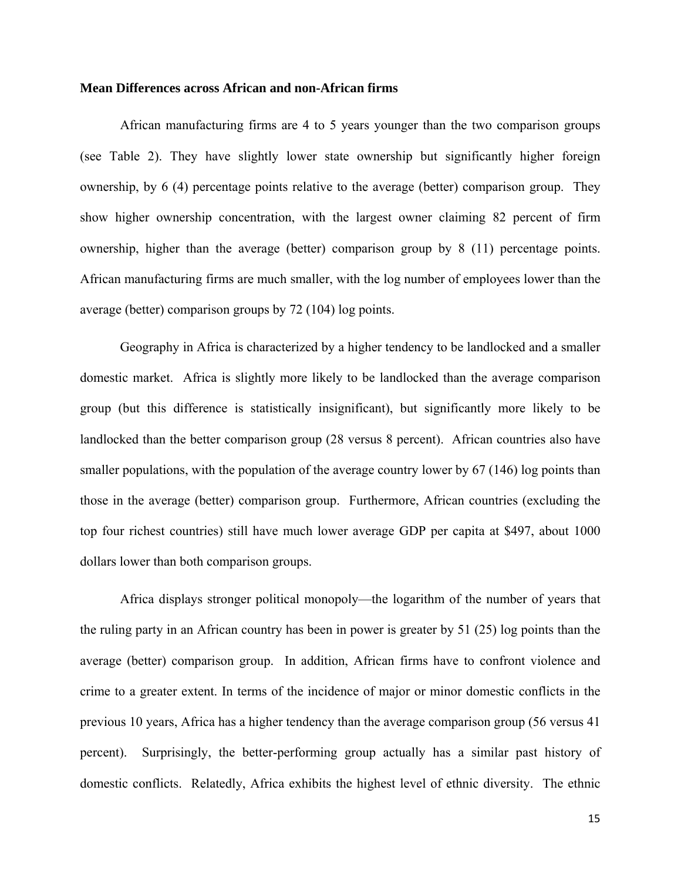#### **Mean Differences across African and non-African firms**

African manufacturing firms are 4 to 5 years younger than the two comparison groups (see Table 2). They have slightly lower state ownership but significantly higher foreign ownership, by 6 (4) percentage points relative to the average (better) comparison group. They show higher ownership concentration, with the largest owner claiming 82 percent of firm ownership, higher than the average (better) comparison group by 8 (11) percentage points. African manufacturing firms are much smaller, with the log number of employees lower than the average (better) comparison groups by 72 (104) log points.

Geography in Africa is characterized by a higher tendency to be landlocked and a smaller domestic market. Africa is slightly more likely to be landlocked than the average comparison group (but this difference is statistically insignificant), but significantly more likely to be landlocked than the better comparison group (28 versus 8 percent). African countries also have smaller populations, with the population of the average country lower by 67 (146) log points than those in the average (better) comparison group. Furthermore, African countries (excluding the top four richest countries) still have much lower average GDP per capita at \$497, about 1000 dollars lower than both comparison groups.

Africa displays stronger political monopoly—the logarithm of the number of years that the ruling party in an African country has been in power is greater by 51 (25) log points than the average (better) comparison group. In addition, African firms have to confront violence and crime to a greater extent. In terms of the incidence of major or minor domestic conflicts in the previous 10 years, Africa has a higher tendency than the average comparison group (56 versus 41 percent). Surprisingly, the better-performing group actually has a similar past history of domestic conflicts. Relatedly, Africa exhibits the highest level of ethnic diversity. The ethnic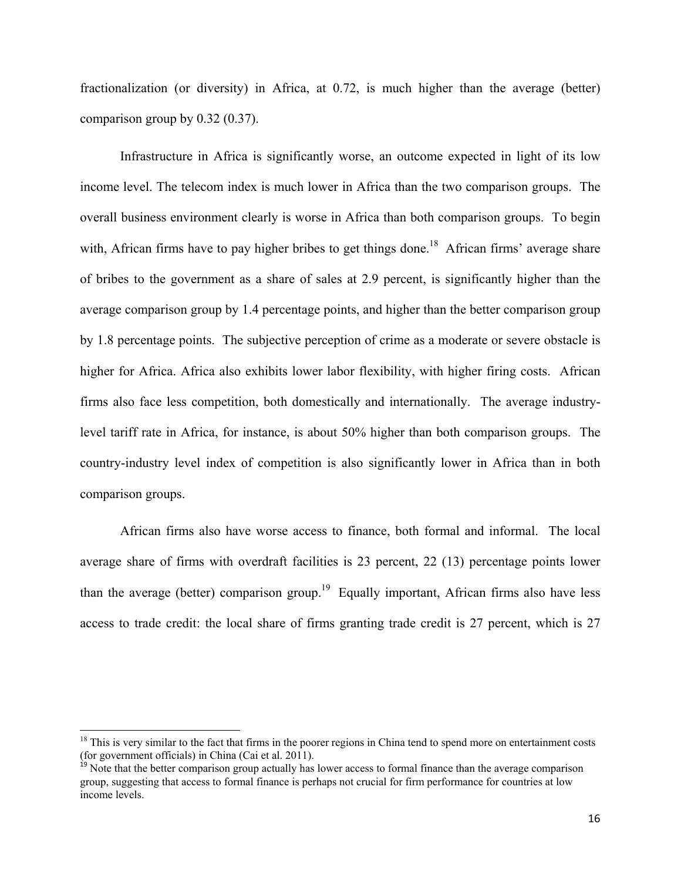fractionalization (or diversity) in Africa, at 0.72, is much higher than the average (better) comparison group by 0.32 (0.37).

Infrastructure in Africa is significantly worse, an outcome expected in light of its low income level. The telecom index is much lower in Africa than the two comparison groups. The overall business environment clearly is worse in Africa than both comparison groups. To begin with, African firms have to pay higher bribes to get things done.<sup>18</sup> African firms' average share of bribes to the government as a share of sales at 2.9 percent, is significantly higher than the average comparison group by 1.4 percentage points, and higher than the better comparison group by 1.8 percentage points. The subjective perception of crime as a moderate or severe obstacle is higher for Africa. Africa also exhibits lower labor flexibility, with higher firing costs. African firms also face less competition, both domestically and internationally. The average industrylevel tariff rate in Africa, for instance, is about 50% higher than both comparison groups. The country-industry level index of competition is also significantly lower in Africa than in both comparison groups.

African firms also have worse access to finance, both formal and informal. The local average share of firms with overdraft facilities is 23 percent, 22 (13) percentage points lower than the average (better) comparison group.<sup>19</sup> Equally important, African firms also have less access to trade credit: the local share of firms granting trade credit is 27 percent, which is 27

 $18$  This is very similar to the fact that firms in the poorer regions in China tend to spend more on entertainment costs (for government officials) in China (Cai et al. 2011).<br><sup>19</sup> Note that the better comparison group actually has lower access to formal finance than the average comparison

group, suggesting that access to formal finance is perhaps not crucial for firm performance for countries at low income levels.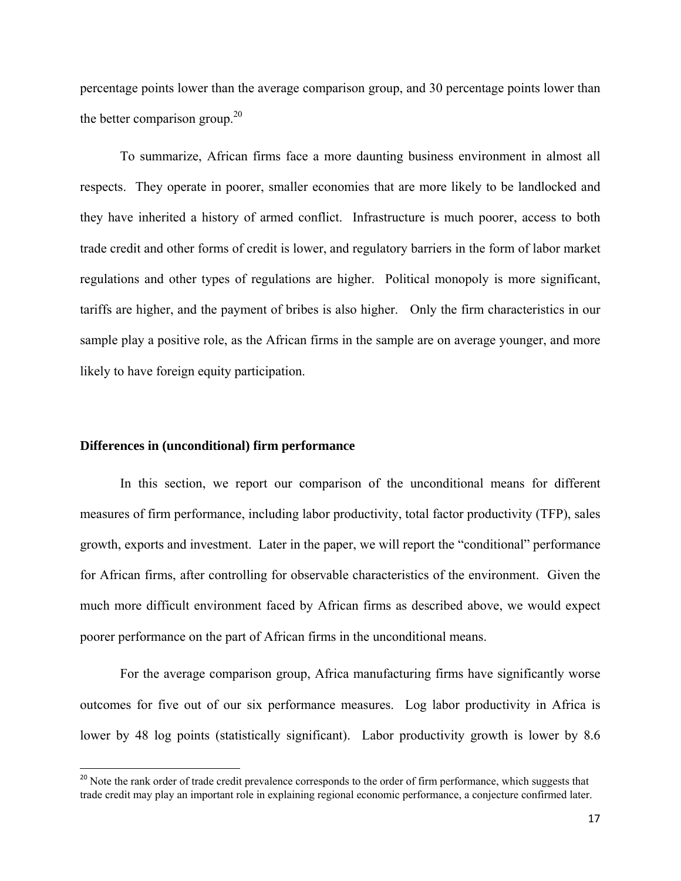percentage points lower than the average comparison group, and 30 percentage points lower than the better comparison group.<sup>20</sup>

To summarize, African firms face a more daunting business environment in almost all respects. They operate in poorer, smaller economies that are more likely to be landlocked and they have inherited a history of armed conflict. Infrastructure is much poorer, access to both trade credit and other forms of credit is lower, and regulatory barriers in the form of labor market regulations and other types of regulations are higher. Political monopoly is more significant, tariffs are higher, and the payment of bribes is also higher. Only the firm characteristics in our sample play a positive role, as the African firms in the sample are on average younger, and more likely to have foreign equity participation.

## **Differences in (unconditional) firm performance**

In this section, we report our comparison of the unconditional means for different measures of firm performance, including labor productivity, total factor productivity (TFP), sales growth, exports and investment. Later in the paper, we will report the "conditional" performance for African firms, after controlling for observable characteristics of the environment. Given the much more difficult environment faced by African firms as described above, we would expect poorer performance on the part of African firms in the unconditional means.

For the average comparison group, Africa manufacturing firms have significantly worse outcomes for five out of our six performance measures. Log labor productivity in Africa is lower by 48 log points (statistically significant). Labor productivity growth is lower by 8.6

<sup>&</sup>lt;sup>20</sup> Note the rank order of trade credit prevalence corresponds to the order of firm performance, which suggests that trade credit may play an important role in explaining regional economic performance, a conjecture confirmed later.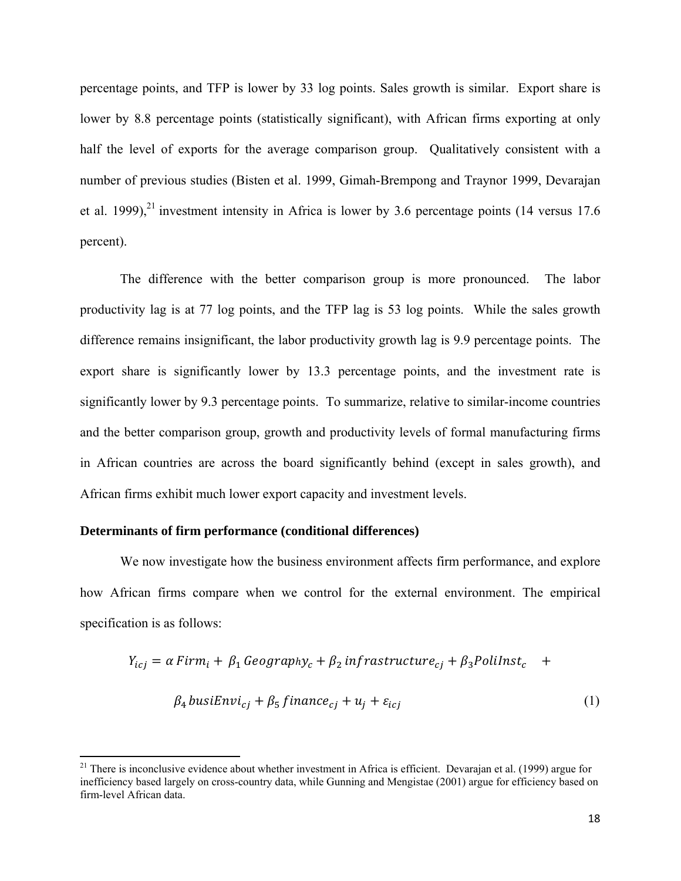percentage points, and TFP is lower by 33 log points. Sales growth is similar. Export share is lower by 8.8 percentage points (statistically significant), with African firms exporting at only half the level of exports for the average comparison group. Qualitatively consistent with a number of previous studies (Bisten et al. 1999, Gimah-Brempong and Traynor 1999, Devarajan et al. 1999), $^{21}$  investment intensity in Africa is lower by 3.6 percentage points (14 versus 17.6) percent).

The difference with the better comparison group is more pronounced. The labor productivity lag is at 77 log points, and the TFP lag is 53 log points. While the sales growth difference remains insignificant, the labor productivity growth lag is 9.9 percentage points. The export share is significantly lower by 13.3 percentage points, and the investment rate is significantly lower by 9.3 percentage points. To summarize, relative to similar-income countries and the better comparison group, growth and productivity levels of formal manufacturing firms in African countries are across the board significantly behind (except in sales growth), and African firms exhibit much lower export capacity and investment levels.

#### **Determinants of firm performance (conditional differences)**

We now investigate how the business environment affects firm performance, and explore how African firms compare when we control for the external environment. The empirical specification is as follows:

$$
Y_{icj} = \alpha \operatorname{Firm}_i + \beta_1 \operatorname{Geography}_c + \beta_2 \operatorname{infrastructure}_{cj} + \beta_3 \operatorname{Polilnst}_c +
$$
  

$$
\beta_4 \operatorname{busiEnv}_{cj} + \beta_5 \operatorname{finnce}_{cj} + u_j + \varepsilon_{icj}
$$
 (1)

<sup>&</sup>lt;sup>21</sup> There is inconclusive evidence about whether investment in Africa is efficient. Devarajan et al. (1999) argue for inefficiency based largely on cross-country data, while Gunning and Mengistae (2001) argue for efficiency based on firm-level African data.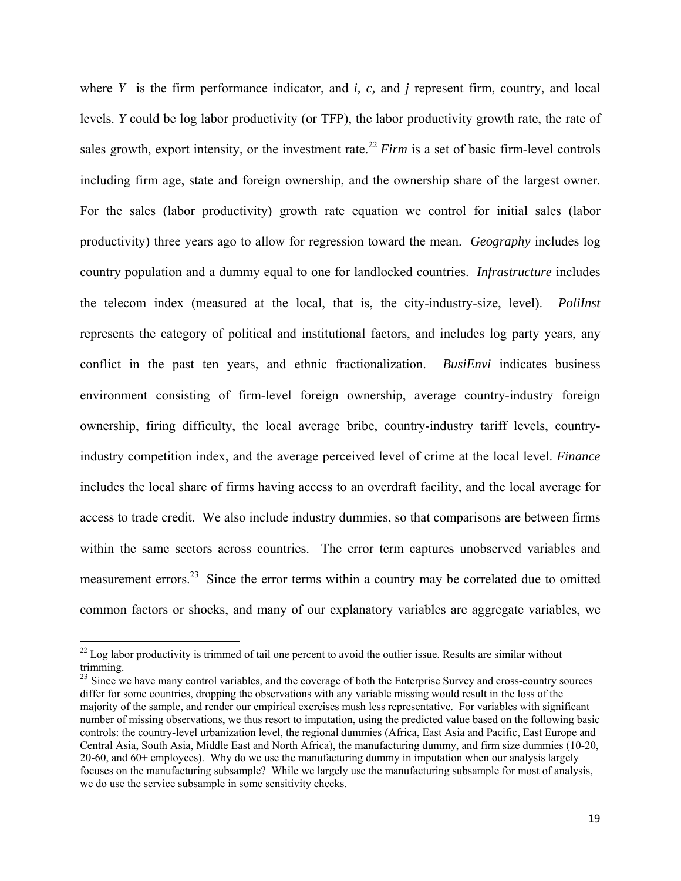where *Y* is the firm performance indicator, and *i, c,* and *j* represent firm, country, and local levels. *Y* could be log labor productivity (or TFP), the labor productivity growth rate, the rate of sales growth, export intensity, or the investment rate.<sup>22</sup> *Firm* is a set of basic firm-level controls including firm age, state and foreign ownership, and the ownership share of the largest owner. For the sales (labor productivity) growth rate equation we control for initial sales (labor productivity) three years ago to allow for regression toward the mean. *Geography* includes log country population and a dummy equal to one for landlocked countries. *Infrastructure* includes the telecom index (measured at the local, that is, the city-industry-size, level). *PoliInst* represents the category of political and institutional factors, and includes log party years, any conflict in the past ten years, and ethnic fractionalization. *BusiEnvi* indicates business environment consisting of firm-level foreign ownership, average country-industry foreign ownership, firing difficulty, the local average bribe, country-industry tariff levels, countryindustry competition index, and the average perceived level of crime at the local level. *Finance*  includes the local share of firms having access to an overdraft facility, and the local average for access to trade credit. We also include industry dummies, so that comparisons are between firms within the same sectors across countries. The error term captures unobserved variables and measurement errors.<sup>23</sup> Since the error terms within a country may be correlated due to omitted common factors or shocks, and many of our explanatory variables are aggregate variables, we

 $22$  Log labor productivity is trimmed of tail one percent to avoid the outlier issue. Results are similar without trimming.

<sup>&</sup>lt;sup>23</sup> Since we have many control variables, and the coverage of both the Enterprise Survey and cross-country sources differ for some countries, dropping the observations with any variable missing would result in the loss of the majority of the sample, and render our empirical exercises mush less representative. For variables with significant number of missing observations, we thus resort to imputation, using the predicted value based on the following basic controls: the country-level urbanization level, the regional dummies (Africa, East Asia and Pacific, East Europe and Central Asia, South Asia, Middle East and North Africa), the manufacturing dummy, and firm size dummies (10-20, 20-60, and 60+ employees). Why do we use the manufacturing dummy in imputation when our analysis largely focuses on the manufacturing subsample? While we largely use the manufacturing subsample for most of analysis, we do use the service subsample in some sensitivity checks.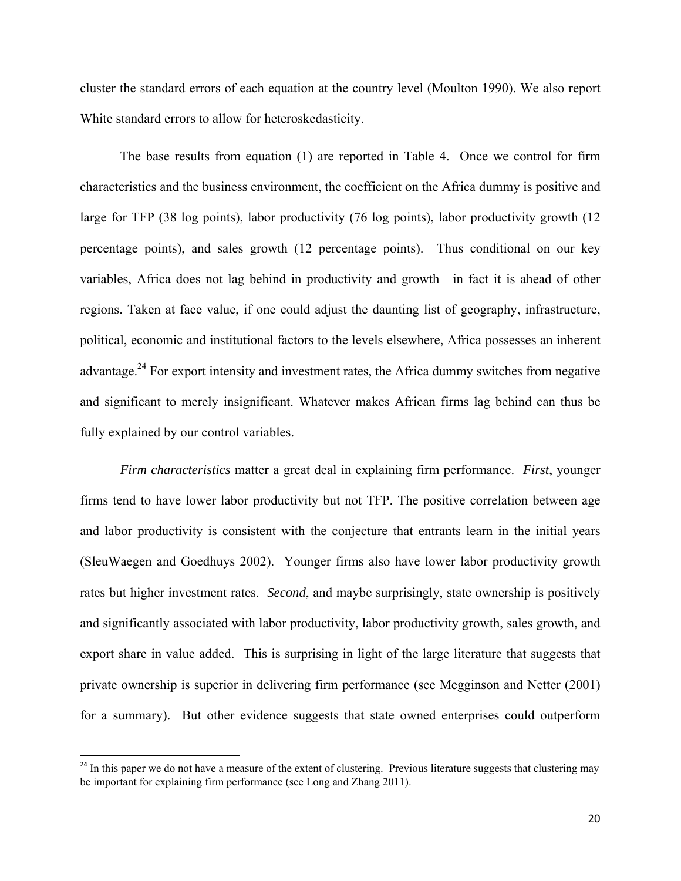cluster the standard errors of each equation at the country level (Moulton 1990). We also report White standard errors to allow for heteroskedasticity.

The base results from equation (1) are reported in Table 4. Once we control for firm characteristics and the business environment, the coefficient on the Africa dummy is positive and large for TFP (38 log points), labor productivity (76 log points), labor productivity growth (12 percentage points), and sales growth (12 percentage points). Thus conditional on our key variables, Africa does not lag behind in productivity and growth—in fact it is ahead of other regions. Taken at face value, if one could adjust the daunting list of geography, infrastructure, political, economic and institutional factors to the levels elsewhere, Africa possesses an inherent advantage.<sup>24</sup> For export intensity and investment rates, the Africa dummy switches from negative and significant to merely insignificant. Whatever makes African firms lag behind can thus be fully explained by our control variables.

*Firm characteristics* matter a great deal in explaining firm performance. *First*, younger firms tend to have lower labor productivity but not TFP. The positive correlation between age and labor productivity is consistent with the conjecture that entrants learn in the initial years (SleuWaegen and Goedhuys 2002). Younger firms also have lower labor productivity growth rates but higher investment rates. *Second*, and maybe surprisingly, state ownership is positively and significantly associated with labor productivity, labor productivity growth, sales growth, and export share in value added. This is surprising in light of the large literature that suggests that private ownership is superior in delivering firm performance (see Megginson and Netter (2001) for a summary). But other evidence suggests that state owned enterprises could outperform

<sup>&</sup>lt;sup>24</sup> In this paper we do not have a measure of the extent of clustering. Previous literature suggests that clustering may be important for explaining firm performance (see Long and Zhang 2011).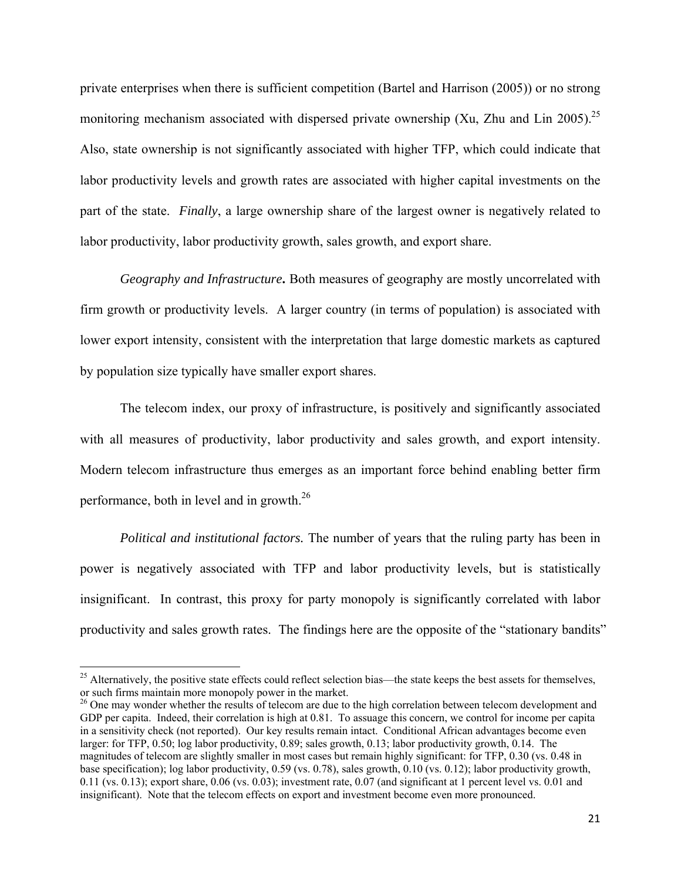private enterprises when there is sufficient competition (Bartel and Harrison (2005)) or no strong monitoring mechanism associated with dispersed private ownership (Xu, Zhu and Lin 2005).<sup>25</sup> Also, state ownership is not significantly associated with higher TFP, which could indicate that labor productivity levels and growth rates are associated with higher capital investments on the part of the state. *Finally*, a large ownership share of the largest owner is negatively related to labor productivity, labor productivity growth, sales growth, and export share.

*Geography and Infrastructure***.** Both measures of geography are mostly uncorrelated with firm growth or productivity levels. A larger country (in terms of population) is associated with lower export intensity, consistent with the interpretation that large domestic markets as captured by population size typically have smaller export shares.

The telecom index, our proxy of infrastructure, is positively and significantly associated with all measures of productivity, labor productivity and sales growth, and export intensity. Modern telecom infrastructure thus emerges as an important force behind enabling better firm performance, both in level and in growth.26

*Political and institutional factors.* The number of years that the ruling party has been in power is negatively associated with TFP and labor productivity levels, but is statistically insignificant. In contrast, this proxy for party monopoly is significantly correlated with labor productivity and sales growth rates. The findings here are the opposite of the "stationary bandits"

<sup>&</sup>lt;sup>25</sup> Alternatively, the positive state effects could reflect selection bias—the state keeps the best assets for themselves, or such firms maintain more monopoly power in the market.

<sup>&</sup>lt;sup>26</sup> One may wonder whether the results of telecom are due to the high correlation between telecom development and GDP per capita. Indeed, their correlation is high at 0.81. To assuage this concern, we control for income per capita in a sensitivity check (not reported). Our key results remain intact. Conditional African advantages become even larger: for TFP, 0.50; log labor productivity, 0.89; sales growth, 0.13; labor productivity growth, 0.14. The magnitudes of telecom are slightly smaller in most cases but remain highly significant: for TFP, 0.30 (vs. 0.48 in base specification); log labor productivity, 0.59 (vs. 0.78), sales growth, 0.10 (vs. 0.12); labor productivity growth, 0.11 (vs. 0.13); export share, 0.06 (vs. 0.03); investment rate, 0.07 (and significant at 1 percent level vs. 0.01 and insignificant). Note that the telecom effects on export and investment become even more pronounced.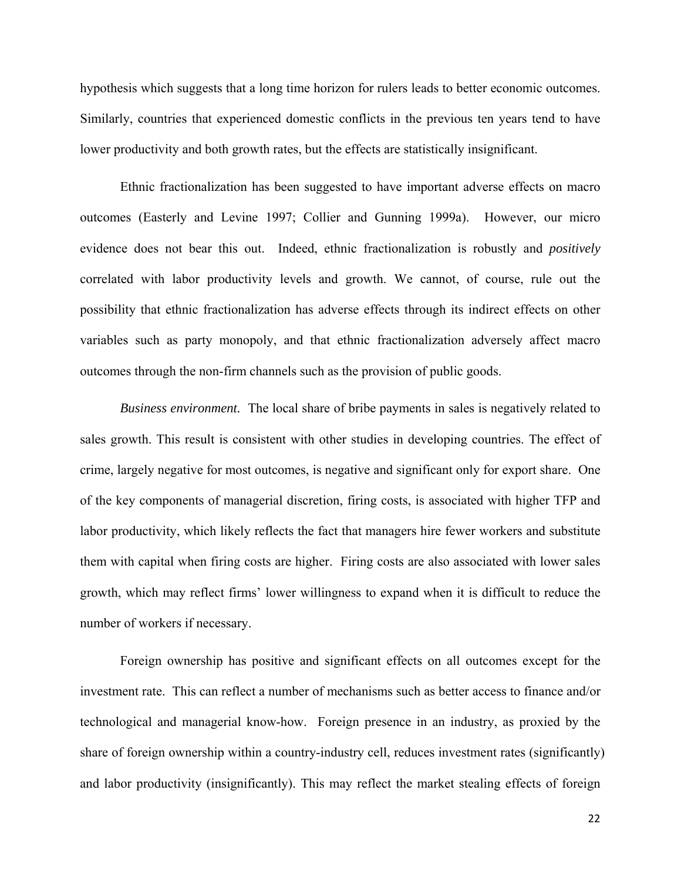hypothesis which suggests that a long time horizon for rulers leads to better economic outcomes. Similarly, countries that experienced domestic conflicts in the previous ten years tend to have lower productivity and both growth rates, but the effects are statistically insignificant.

Ethnic fractionalization has been suggested to have important adverse effects on macro outcomes (Easterly and Levine 1997; Collier and Gunning 1999a). However, our micro evidence does not bear this out. Indeed, ethnic fractionalization is robustly and *positively* correlated with labor productivity levels and growth. We cannot, of course, rule out the possibility that ethnic fractionalization has adverse effects through its indirect effects on other variables such as party monopoly, and that ethnic fractionalization adversely affect macro outcomes through the non-firm channels such as the provision of public goods.

*Business environment.* The local share of bribe payments in sales is negatively related to sales growth. This result is consistent with other studies in developing countries. The effect of crime, largely negative for most outcomes, is negative and significant only for export share. One of the key components of managerial discretion, firing costs, is associated with higher TFP and labor productivity, which likely reflects the fact that managers hire fewer workers and substitute them with capital when firing costs are higher. Firing costs are also associated with lower sales growth, which may reflect firms' lower willingness to expand when it is difficult to reduce the number of workers if necessary.

Foreign ownership has positive and significant effects on all outcomes except for the investment rate. This can reflect a number of mechanisms such as better access to finance and/or technological and managerial know-how. Foreign presence in an industry, as proxied by the share of foreign ownership within a country-industry cell, reduces investment rates (significantly) and labor productivity (insignificantly). This may reflect the market stealing effects of foreign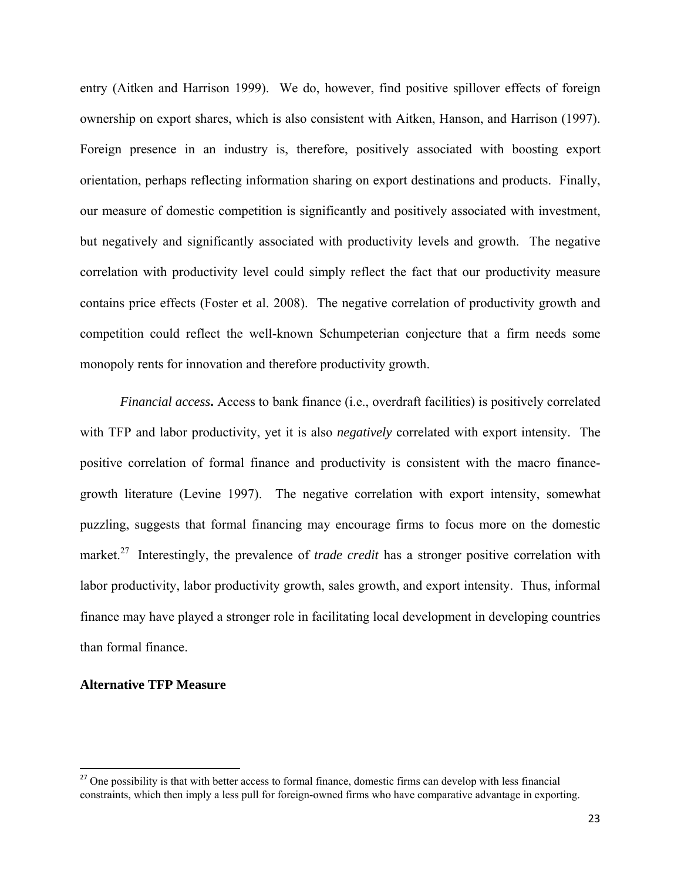entry (Aitken and Harrison 1999). We do, however, find positive spillover effects of foreign ownership on export shares, which is also consistent with Aitken, Hanson, and Harrison (1997). Foreign presence in an industry is, therefore, positively associated with boosting export orientation, perhaps reflecting information sharing on export destinations and products. Finally, our measure of domestic competition is significantly and positively associated with investment, but negatively and significantly associated with productivity levels and growth. The negative correlation with productivity level could simply reflect the fact that our productivity measure contains price effects (Foster et al. 2008). The negative correlation of productivity growth and competition could reflect the well-known Schumpeterian conjecture that a firm needs some monopoly rents for innovation and therefore productivity growth.

*Financial access***.** Access to bank finance (i.e., overdraft facilities) is positively correlated with TFP and labor productivity, yet it is also *negatively* correlated with export intensity. The positive correlation of formal finance and productivity is consistent with the macro financegrowth literature (Levine 1997). The negative correlation with export intensity, somewhat puzzling, suggests that formal financing may encourage firms to focus more on the domestic market.<sup>27</sup> Interestingly, the prevalence of *trade credit* has a stronger positive correlation with labor productivity, labor productivity growth, sales growth, and export intensity. Thus, informal finance may have played a stronger role in facilitating local development in developing countries than formal finance.

## **Alternative TFP Measure**

<sup>&</sup>lt;sup>27</sup> One possibility is that with better access to formal finance, domestic firms can develop with less financial constraints, which then imply a less pull for foreign-owned firms who have comparative advantage in exporting.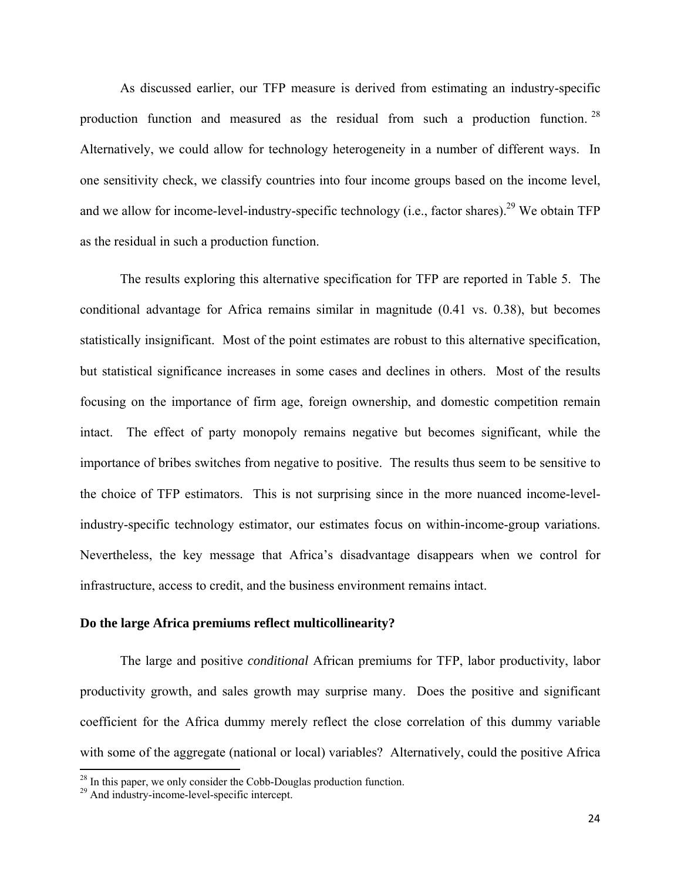As discussed earlier, our TFP measure is derived from estimating an industry-specific production function and measured as the residual from such a production function. 28 Alternatively, we could allow for technology heterogeneity in a number of different ways. In one sensitivity check, we classify countries into four income groups based on the income level, and we allow for income-level-industry-specific technology (i.e., factor shares).<sup>29</sup> We obtain TFP as the residual in such a production function.

 The results exploring this alternative specification for TFP are reported in Table 5. The conditional advantage for Africa remains similar in magnitude (0.41 vs. 0.38), but becomes statistically insignificant. Most of the point estimates are robust to this alternative specification, but statistical significance increases in some cases and declines in others. Most of the results focusing on the importance of firm age, foreign ownership, and domestic competition remain intact. The effect of party monopoly remains negative but becomes significant, while the importance of bribes switches from negative to positive. The results thus seem to be sensitive to the choice of TFP estimators. This is not surprising since in the more nuanced income-levelindustry-specific technology estimator, our estimates focus on within-income-group variations. Nevertheless, the key message that Africa's disadvantage disappears when we control for infrastructure, access to credit, and the business environment remains intact.

#### **Do the large Africa premiums reflect multicollinearity?**

The large and positive *conditional* African premiums for TFP, labor productivity, labor productivity growth, and sales growth may surprise many. Does the positive and significant coefficient for the Africa dummy merely reflect the close correlation of this dummy variable with some of the aggregate (national or local) variables? Alternatively, could the positive Africa

 $2<sup>28</sup>$  In this paper, we only consider the Cobb-Douglas production function.

<sup>&</sup>lt;sup>29</sup> And industry-income-level-specific intercept.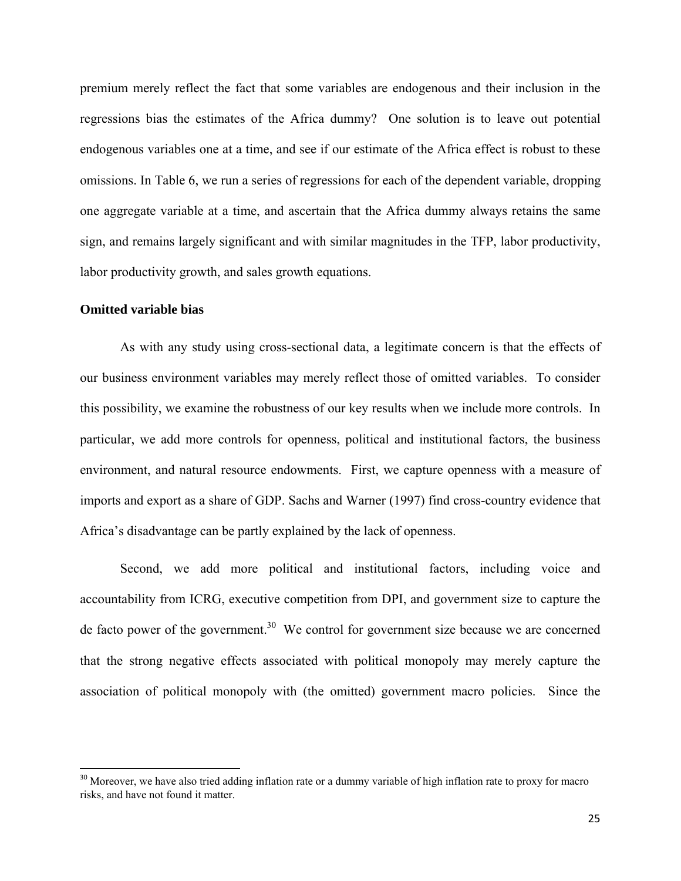premium merely reflect the fact that some variables are endogenous and their inclusion in the regressions bias the estimates of the Africa dummy? One solution is to leave out potential endogenous variables one at a time, and see if our estimate of the Africa effect is robust to these omissions. In Table 6, we run a series of regressions for each of the dependent variable, dropping one aggregate variable at a time, and ascertain that the Africa dummy always retains the same sign, and remains largely significant and with similar magnitudes in the TFP, labor productivity, labor productivity growth, and sales growth equations.

## **Omitted variable bias**

As with any study using cross-sectional data, a legitimate concern is that the effects of our business environment variables may merely reflect those of omitted variables. To consider this possibility, we examine the robustness of our key results when we include more controls. In particular, we add more controls for openness, political and institutional factors, the business environment, and natural resource endowments. First, we capture openness with a measure of imports and export as a share of GDP. Sachs and Warner (1997) find cross-country evidence that Africa's disadvantage can be partly explained by the lack of openness.

Second, we add more political and institutional factors, including voice and accountability from ICRG, executive competition from DPI, and government size to capture the de facto power of the government.<sup>30</sup> We control for government size because we are concerned that the strong negative effects associated with political monopoly may merely capture the association of political monopoly with (the omitted) government macro policies. Since the

<sup>&</sup>lt;sup>30</sup> Moreover, we have also tried adding inflation rate or a dummy variable of high inflation rate to proxy for macro risks, and have not found it matter.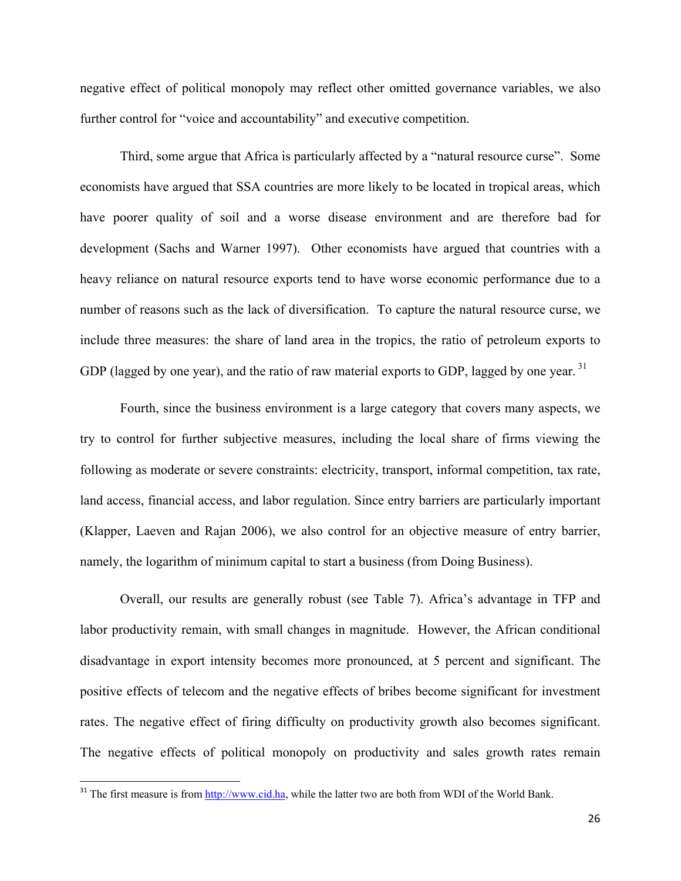negative effect of political monopoly may reflect other omitted governance variables, we also further control for "voice and accountability" and executive competition.

Third, some argue that Africa is particularly affected by a "natural resource curse". Some economists have argued that SSA countries are more likely to be located in tropical areas, which have poorer quality of soil and a worse disease environment and are therefore bad for development (Sachs and Warner 1997). Other economists have argued that countries with a heavy reliance on natural resource exports tend to have worse economic performance due to a number of reasons such as the lack of diversification. To capture the natural resource curse, we include three measures: the share of land area in the tropics, the ratio of petroleum exports to GDP (lagged by one year), and the ratio of raw material exports to GDP, lagged by one vear.<sup>31</sup>

Fourth, since the business environment is a large category that covers many aspects, we try to control for further subjective measures, including the local share of firms viewing the following as moderate or severe constraints: electricity, transport, informal competition, tax rate, land access, financial access, and labor regulation. Since entry barriers are particularly important (Klapper, Laeven and Rajan 2006), we also control for an objective measure of entry barrier, namely, the logarithm of minimum capital to start a business (from Doing Business).

Overall, our results are generally robust (see Table 7). Africa's advantage in TFP and labor productivity remain, with small changes in magnitude. However, the African conditional disadvantage in export intensity becomes more pronounced, at 5 percent and significant. The positive effects of telecom and the negative effects of bribes become significant for investment rates. The negative effect of firing difficulty on productivity growth also becomes significant. The negative effects of political monopoly on productivity and sales growth rates remain

<sup>&</sup>lt;sup>31</sup> The first measure is from  $\frac{http://www.cid.ha}{http://www.cid.ha}$ , while the latter two are both from WDI of the World Bank.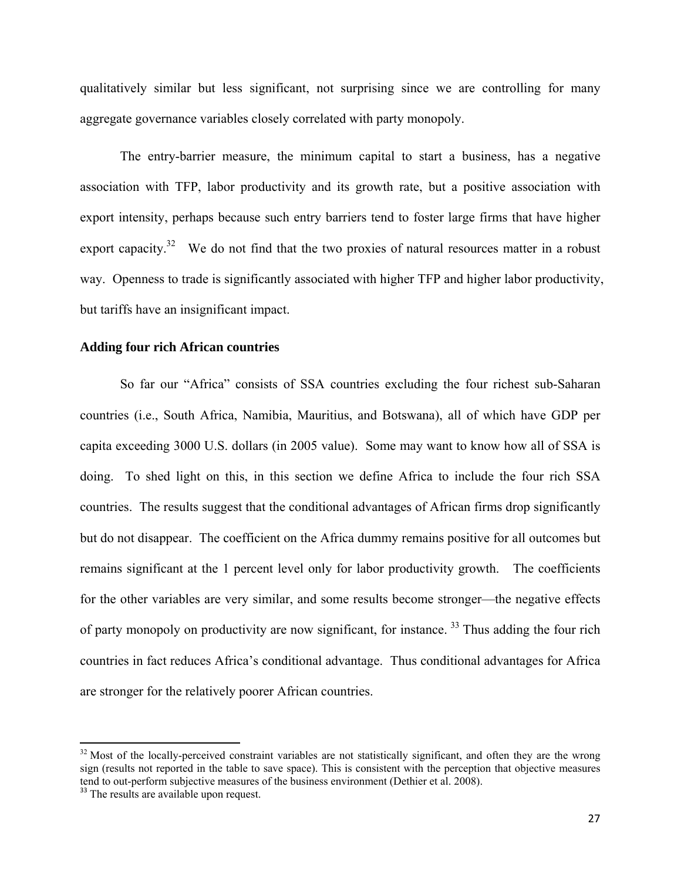qualitatively similar but less significant, not surprising since we are controlling for many aggregate governance variables closely correlated with party monopoly.

The entry-barrier measure, the minimum capital to start a business, has a negative association with TFP, labor productivity and its growth rate, but a positive association with export intensity, perhaps because such entry barriers tend to foster large firms that have higher export capacity.<sup>32</sup> We do not find that the two proxies of natural resources matter in a robust way. Openness to trade is significantly associated with higher TFP and higher labor productivity, but tariffs have an insignificant impact.

## **Adding four rich African countries**

So far our "Africa" consists of SSA countries excluding the four richest sub-Saharan countries (i.e., South Africa, Namibia, Mauritius, and Botswana), all of which have GDP per capita exceeding 3000 U.S. dollars (in 2005 value). Some may want to know how all of SSA is doing. To shed light on this, in this section we define Africa to include the four rich SSA countries. The results suggest that the conditional advantages of African firms drop significantly but do not disappear. The coefficient on the Africa dummy remains positive for all outcomes but remains significant at the 1 percent level only for labor productivity growth. The coefficients for the other variables are very similar, and some results become stronger—the negative effects of party monopoly on productivity are now significant, for instance. 33 Thus adding the four rich countries in fact reduces Africa's conditional advantage. Thus conditional advantages for Africa are stronger for the relatively poorer African countries.

 $32$  Most of the locally-perceived constraint variables are not statistically significant, and often they are the wrong sign (results not reported in the table to save space). This is consistent with the perception that objective measures tend to out-perform subjective measures of the business environment (Dethier et al. 2008). <sup>33</sup> The results are available upon request.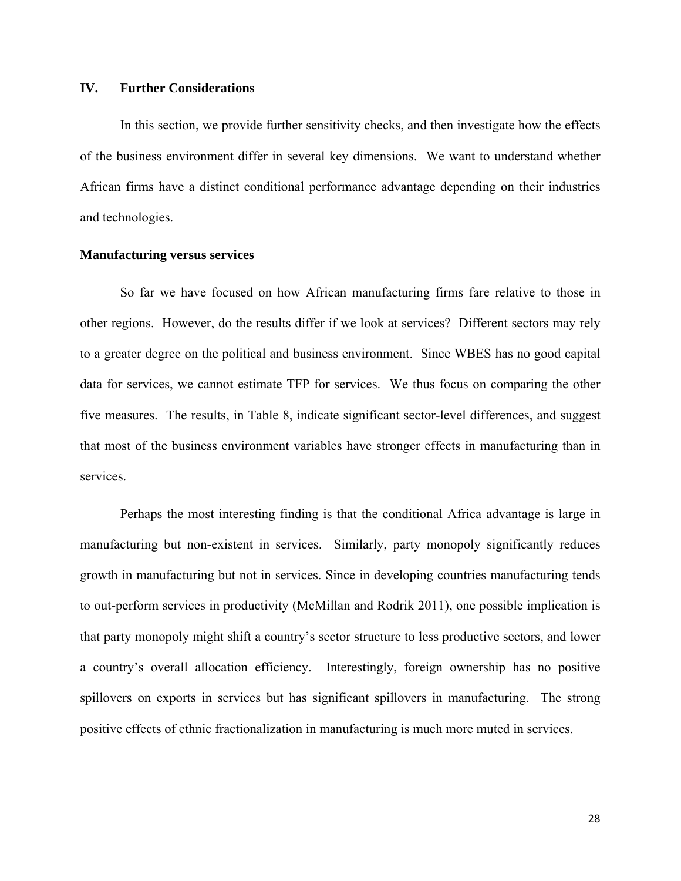## **IV. Further Considerations**

In this section, we provide further sensitivity checks, and then investigate how the effects of the business environment differ in several key dimensions. We want to understand whether African firms have a distinct conditional performance advantage depending on their industries and technologies.

# **Manufacturing versus services**

So far we have focused on how African manufacturing firms fare relative to those in other regions. However, do the results differ if we look at services? Different sectors may rely to a greater degree on the political and business environment. Since WBES has no good capital data for services, we cannot estimate TFP for services. We thus focus on comparing the other five measures. The results, in Table 8, indicate significant sector-level differences, and suggest that most of the business environment variables have stronger effects in manufacturing than in services.

Perhaps the most interesting finding is that the conditional Africa advantage is large in manufacturing but non-existent in services. Similarly, party monopoly significantly reduces growth in manufacturing but not in services. Since in developing countries manufacturing tends to out-perform services in productivity (McMillan and Rodrik 2011), one possible implication is that party monopoly might shift a country's sector structure to less productive sectors, and lower a country's overall allocation efficiency. Interestingly, foreign ownership has no positive spillovers on exports in services but has significant spillovers in manufacturing. The strong positive effects of ethnic fractionalization in manufacturing is much more muted in services.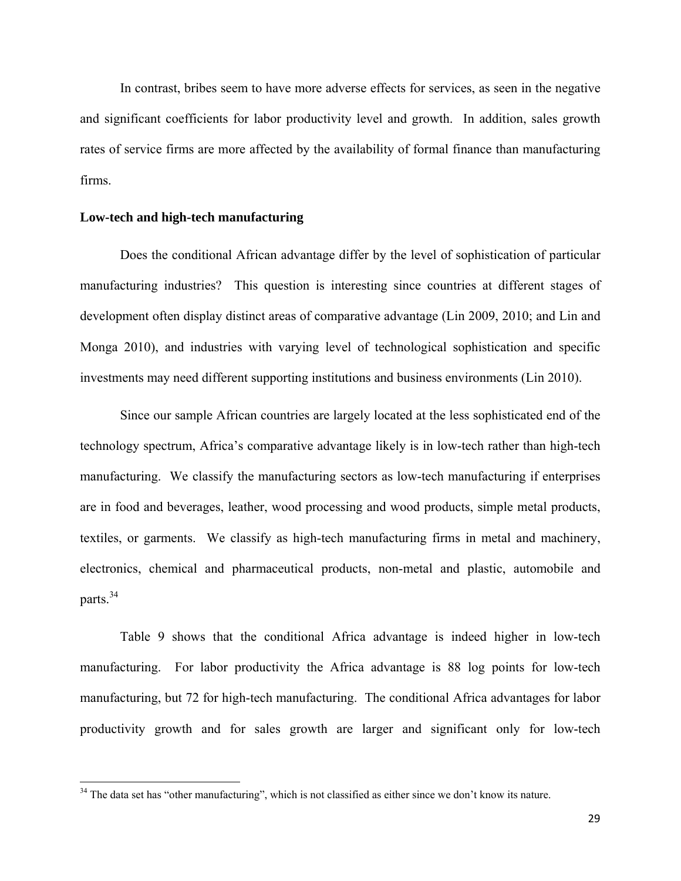In contrast, bribes seem to have more adverse effects for services, as seen in the negative and significant coefficients for labor productivity level and growth. In addition, sales growth rates of service firms are more affected by the availability of formal finance than manufacturing firms.

## **Low-tech and high-tech manufacturing**

Does the conditional African advantage differ by the level of sophistication of particular manufacturing industries? This question is interesting since countries at different stages of development often display distinct areas of comparative advantage (Lin 2009, 2010; and Lin and Monga 2010), and industries with varying level of technological sophistication and specific investments may need different supporting institutions and business environments (Lin 2010).

Since our sample African countries are largely located at the less sophisticated end of the technology spectrum, Africa's comparative advantage likely is in low-tech rather than high-tech manufacturing. We classify the manufacturing sectors as low-tech manufacturing if enterprises are in food and beverages, leather, wood processing and wood products, simple metal products, textiles, or garments. We classify as high-tech manufacturing firms in metal and machinery, electronics, chemical and pharmaceutical products, non-metal and plastic, automobile and parts.34

Table 9 shows that the conditional Africa advantage is indeed higher in low-tech manufacturing. For labor productivity the Africa advantage is 88 log points for low-tech manufacturing, but 72 for high-tech manufacturing. The conditional Africa advantages for labor productivity growth and for sales growth are larger and significant only for low-tech

<sup>&</sup>lt;sup>34</sup> The data set has "other manufacturing", which is not classified as either since we don't know its nature.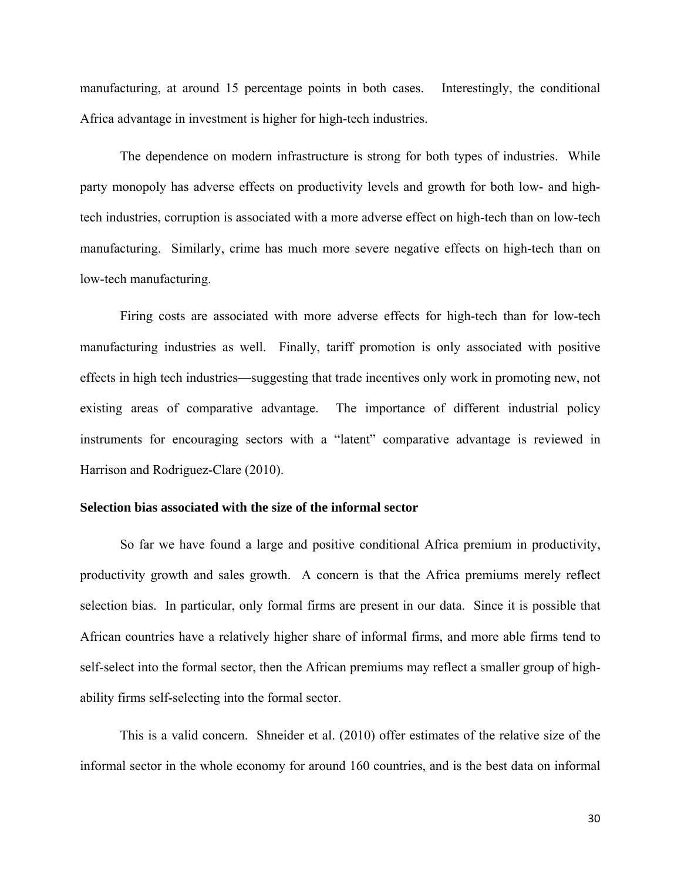manufacturing, at around 15 percentage points in both cases. Interestingly, the conditional Africa advantage in investment is higher for high-tech industries.

The dependence on modern infrastructure is strong for both types of industries. While party monopoly has adverse effects on productivity levels and growth for both low- and hightech industries, corruption is associated with a more adverse effect on high-tech than on low-tech manufacturing. Similarly, crime has much more severe negative effects on high-tech than on low-tech manufacturing.

Firing costs are associated with more adverse effects for high-tech than for low-tech manufacturing industries as well. Finally, tariff promotion is only associated with positive effects in high tech industries—suggesting that trade incentives only work in promoting new, not existing areas of comparative advantage. The importance of different industrial policy instruments for encouraging sectors with a "latent" comparative advantage is reviewed in Harrison and Rodriguez-Clare (2010).

# **Selection bias associated with the size of the informal sector**

So far we have found a large and positive conditional Africa premium in productivity, productivity growth and sales growth. A concern is that the Africa premiums merely reflect selection bias. In particular, only formal firms are present in our data. Since it is possible that African countries have a relatively higher share of informal firms, and more able firms tend to self-select into the formal sector, then the African premiums may reflect a smaller group of highability firms self-selecting into the formal sector.

 This is a valid concern. Shneider et al. (2010) offer estimates of the relative size of the informal sector in the whole economy for around 160 countries, and is the best data on informal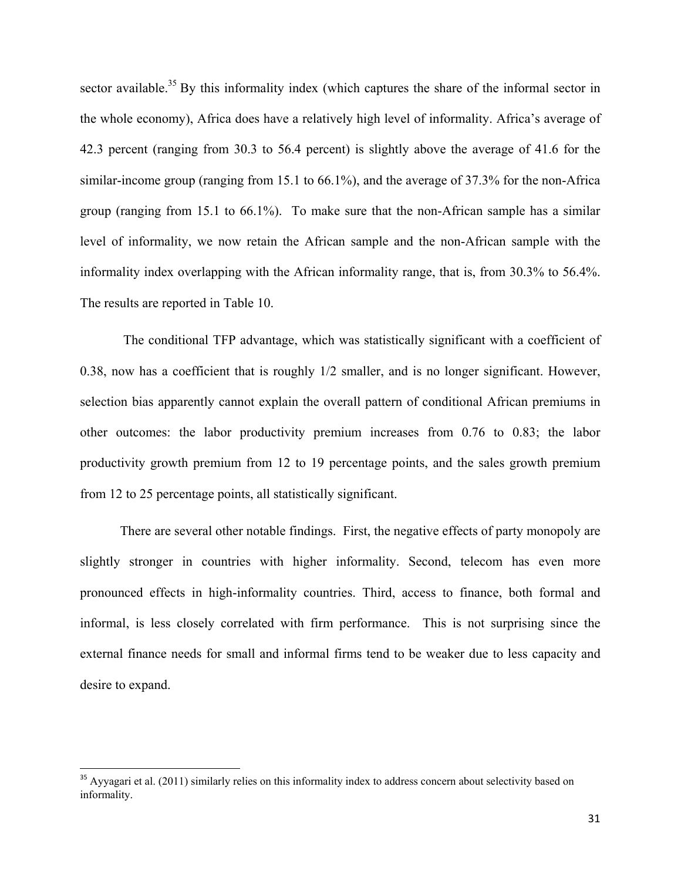sector available.<sup>35</sup> By this informality index (which captures the share of the informal sector in the whole economy), Africa does have a relatively high level of informality. Africa's average of 42.3 percent (ranging from 30.3 to 56.4 percent) is slightly above the average of 41.6 for the similar-income group (ranging from 15.1 to 66.1%), and the average of 37.3% for the non-Africa group (ranging from 15.1 to 66.1%). To make sure that the non-African sample has a similar level of informality, we now retain the African sample and the non-African sample with the informality index overlapping with the African informality range, that is, from 30.3% to 56.4%. The results are reported in Table 10.

 The conditional TFP advantage, which was statistically significant with a coefficient of 0.38, now has a coefficient that is roughly 1/2 smaller, and is no longer significant. However, selection bias apparently cannot explain the overall pattern of conditional African premiums in other outcomes: the labor productivity premium increases from 0.76 to 0.83; the labor productivity growth premium from 12 to 19 percentage points, and the sales growth premium from 12 to 25 percentage points, all statistically significant.

 There are several other notable findings. First, the negative effects of party monopoly are slightly stronger in countries with higher informality. Second, telecom has even more pronounced effects in high-informality countries. Third, access to finance, both formal and informal, is less closely correlated with firm performance. This is not surprising since the external finance needs for small and informal firms tend to be weaker due to less capacity and desire to expand.

<sup>&</sup>lt;sup>35</sup> Ayyagari et al. (2011) similarly relies on this informality index to address concern about selectivity based on informality.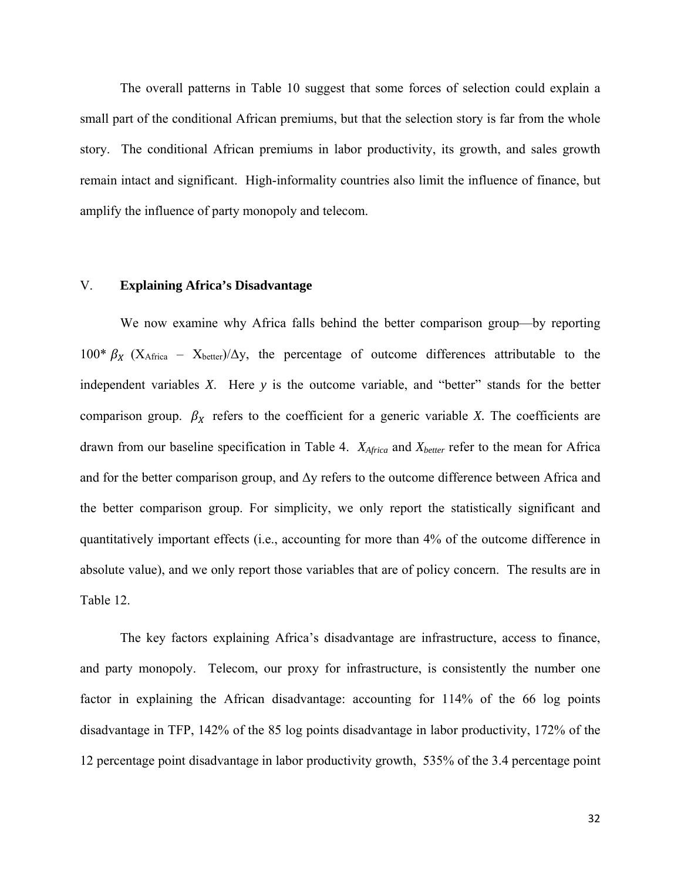The overall patterns in Table 10 suggest that some forces of selection could explain a small part of the conditional African premiums, but that the selection story is far from the whole story. The conditional African premiums in labor productivity, its growth, and sales growth remain intact and significant. High-informality countries also limit the influence of finance, but amplify the influence of party monopoly and telecom.

## V. **Explaining Africa's Disadvantage**

We now examine why Africa falls behind the better comparison group—by reporting 100\*  $\beta_X$  (X<sub>Africa</sub> – X<sub>better</sub>)/ $\Delta$ y, the percentage of outcome differences attributable to the independent variables *X*. Here *y* is the outcome variable, and "better" stands for the better comparison group.  $\beta_X$  refers to the coefficient for a generic variable *X*. The coefficients are drawn from our baseline specification in Table 4. *XAfrica* and *Xbetter* refer to the mean for Africa and for the better comparison group, and  $\Delta y$  refers to the outcome difference between Africa and the better comparison group. For simplicity, we only report the statistically significant and quantitatively important effects (i.e., accounting for more than 4% of the outcome difference in absolute value), and we only report those variables that are of policy concern. The results are in Table 12.

The key factors explaining Africa's disadvantage are infrastructure, access to finance, and party monopoly. Telecom, our proxy for infrastructure, is consistently the number one factor in explaining the African disadvantage: accounting for 114% of the 66 log points disadvantage in TFP, 142% of the 85 log points disadvantage in labor productivity, 172% of the 12 percentage point disadvantage in labor productivity growth, 535% of the 3.4 percentage point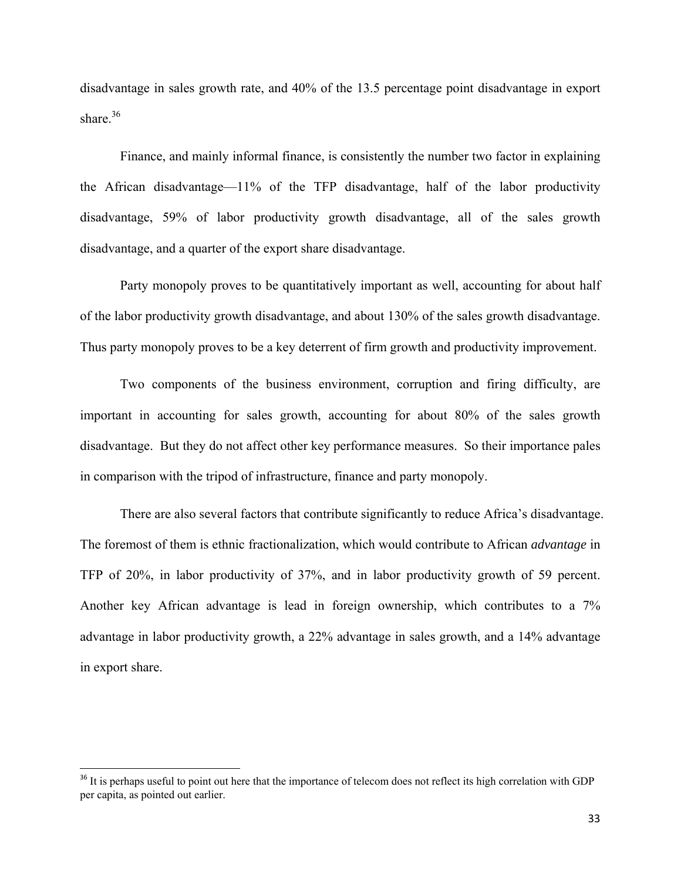disadvantage in sales growth rate, and 40% of the 13.5 percentage point disadvantage in export share.<sup>36</sup>

Finance, and mainly informal finance, is consistently the number two factor in explaining the African disadvantage—11% of the TFP disadvantage, half of the labor productivity disadvantage, 59% of labor productivity growth disadvantage, all of the sales growth disadvantage, and a quarter of the export share disadvantage.

Party monopoly proves to be quantitatively important as well, accounting for about half of the labor productivity growth disadvantage, and about 130% of the sales growth disadvantage. Thus party monopoly proves to be a key deterrent of firm growth and productivity improvement.

Two components of the business environment, corruption and firing difficulty, are important in accounting for sales growth, accounting for about 80% of the sales growth disadvantage. But they do not affect other key performance measures. So their importance pales in comparison with the tripod of infrastructure, finance and party monopoly.

There are also several factors that contribute significantly to reduce Africa's disadvantage. The foremost of them is ethnic fractionalization, which would contribute to African *advantage* in TFP of 20%, in labor productivity of 37%, and in labor productivity growth of 59 percent. Another key African advantage is lead in foreign ownership, which contributes to a 7% advantage in labor productivity growth, a 22% advantage in sales growth, and a 14% advantage in export share.

<sup>&</sup>lt;sup>36</sup> It is perhaps useful to point out here that the importance of telecom does not reflect its high correlation with GDP per capita, as pointed out earlier.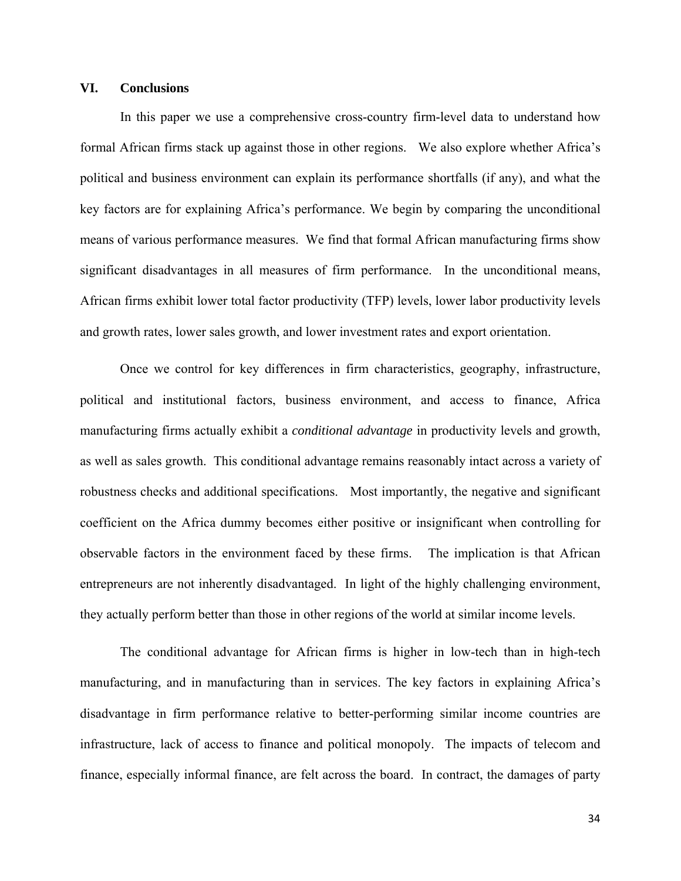# **VI. Conclusions**

In this paper we use a comprehensive cross-country firm-level data to understand how formal African firms stack up against those in other regions. We also explore whether Africa's political and business environment can explain its performance shortfalls (if any), and what the key factors are for explaining Africa's performance. We begin by comparing the unconditional means of various performance measures. We find that formal African manufacturing firms show significant disadvantages in all measures of firm performance. In the unconditional means, African firms exhibit lower total factor productivity (TFP) levels, lower labor productivity levels and growth rates, lower sales growth, and lower investment rates and export orientation.

Once we control for key differences in firm characteristics, geography, infrastructure, political and institutional factors, business environment, and access to finance, Africa manufacturing firms actually exhibit a *conditional advantage* in productivity levels and growth, as well as sales growth. This conditional advantage remains reasonably intact across a variety of robustness checks and additional specifications. Most importantly, the negative and significant coefficient on the Africa dummy becomes either positive or insignificant when controlling for observable factors in the environment faced by these firms. The implication is that African entrepreneurs are not inherently disadvantaged. In light of the highly challenging environment, they actually perform better than those in other regions of the world at similar income levels.

The conditional advantage for African firms is higher in low-tech than in high-tech manufacturing, and in manufacturing than in services. The key factors in explaining Africa's disadvantage in firm performance relative to better-performing similar income countries are infrastructure, lack of access to finance and political monopoly. The impacts of telecom and finance, especially informal finance, are felt across the board. In contract, the damages of party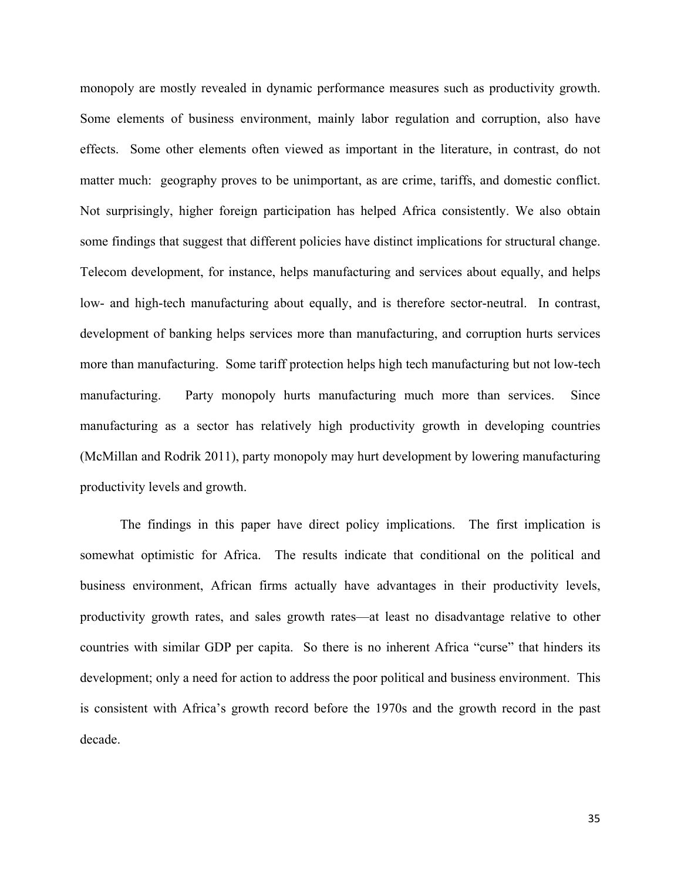monopoly are mostly revealed in dynamic performance measures such as productivity growth. Some elements of business environment, mainly labor regulation and corruption, also have effects. Some other elements often viewed as important in the literature, in contrast, do not matter much: geography proves to be unimportant, as are crime, tariffs, and domestic conflict. Not surprisingly, higher foreign participation has helped Africa consistently. We also obtain some findings that suggest that different policies have distinct implications for structural change. Telecom development, for instance, helps manufacturing and services about equally, and helps low- and high-tech manufacturing about equally, and is therefore sector-neutral. In contrast, development of banking helps services more than manufacturing, and corruption hurts services more than manufacturing. Some tariff protection helps high tech manufacturing but not low-tech manufacturing. Party monopoly hurts manufacturing much more than services. Since manufacturing as a sector has relatively high productivity growth in developing countries (McMillan and Rodrik 2011), party monopoly may hurt development by lowering manufacturing productivity levels and growth.

 The findings in this paper have direct policy implications. The first implication is somewhat optimistic for Africa. The results indicate that conditional on the political and business environment, African firms actually have advantages in their productivity levels, productivity growth rates, and sales growth rates—at least no disadvantage relative to other countries with similar GDP per capita. So there is no inherent Africa "curse" that hinders its development; only a need for action to address the poor political and business environment. This is consistent with Africa's growth record before the 1970s and the growth record in the past decade.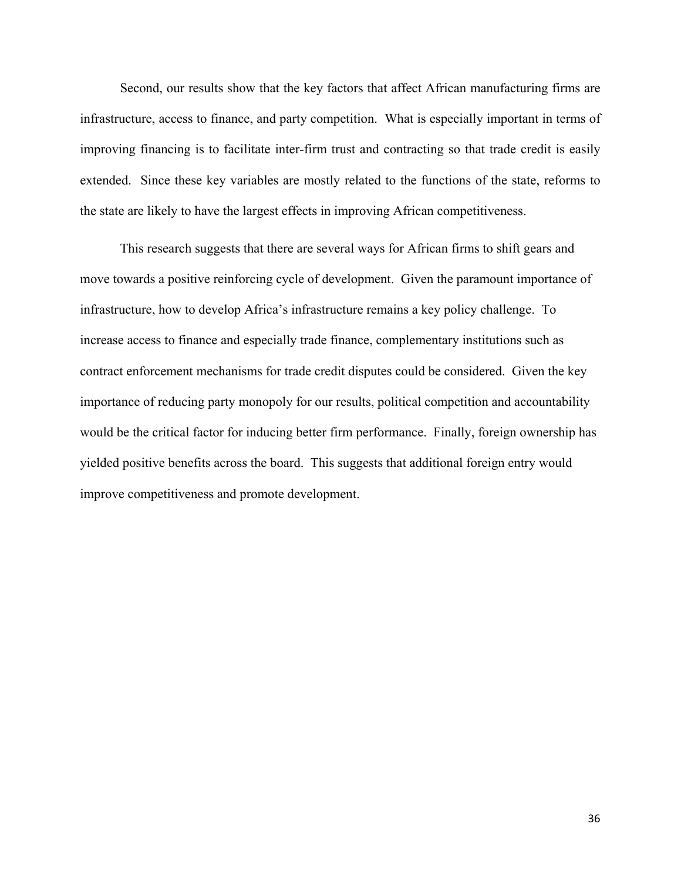Second, our results show that the key factors that affect African manufacturing firms are infrastructure, access to finance, and party competition. What is especially important in terms of improving financing is to facilitate inter-firm trust and contracting so that trade credit is easily extended. Since these key variables are mostly related to the functions of the state, reforms to the state are likely to have the largest effects in improving African competitiveness.

This research suggests that there are several ways for African firms to shift gears and move towards a positive reinforcing cycle of development. Given the paramount importance of infrastructure, how to develop Africa's infrastructure remains a key policy challenge. To increase access to finance and especially trade finance, complementary institutions such as contract enforcement mechanisms for trade credit disputes could be considered. Given the key importance of reducing party monopoly for our results, political competition and accountability would be the critical factor for inducing better firm performance. Finally, foreign ownership has yielded positive benefits across the board. This suggests that additional foreign entry would improve competitiveness and promote development.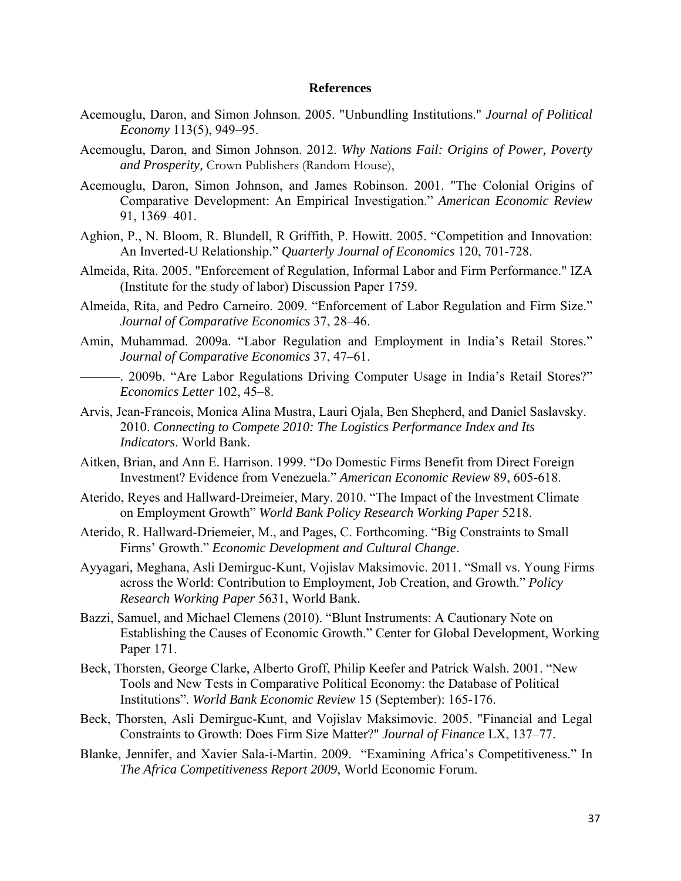#### **References**

- Acemouglu, Daron, and Simon Johnson. 2005. "Unbundling Institutions." *Journal of Political Economy* 113(5), 949–95.
- Acemouglu, Daron, and Simon Johnson. 2012. *Why Nations Fail: Origins of Power, Poverty and Prosperity,* Crown Publishers (Random House),
- Acemouglu, Daron, Simon Johnson, and James Robinson. 2001. "The Colonial Origins of Comparative Development: An Empirical Investigation." *American Economic Review* 91, 1369–401.
- Aghion, P., N. Bloom, R. Blundell, R Griffith, P. Howitt. 2005. "Competition and Innovation: An Inverted-U Relationship." *Quarterly Journal of Economics* 120, 701-728.
- Almeida, Rita. 2005. "Enforcement of Regulation, Informal Labor and Firm Performance." IZA (Institute for the study of labor) Discussion Paper 1759.
- Almeida, Rita, and Pedro Carneiro. 2009. "Enforcement of Labor Regulation and Firm Size." *Journal of Comparative Economics* 37, 28–46.
- Amin, Muhammad. 2009a. "Labor Regulation and Employment in India's Retail Stores." *Journal of Comparative Economics* 37, 47–61.
	- ———. 2009b. "Are Labor Regulations Driving Computer Usage in India's Retail Stores?" *Economics Letter* 102, 45–8.
- Arvis, Jean-Francois, Monica Alina Mustra, Lauri Ojala, Ben Shepherd, and Daniel Saslavsky. 2010. *Connecting to Compete 2010: The Logistics Performance Index and Its Indicators*. World Bank*.*
- Aitken, Brian, and Ann E. Harrison. 1999. "Do Domestic Firms Benefit from Direct Foreign Investment? Evidence from Venezuela." *American Economic Review* 89, 605-618.
- Aterido, Reyes and Hallward-Dreimeier, Mary. 2010. "The Impact of the Investment Climate on Employment Growth" *World Bank Policy Research Working Paper* 5218.
- Aterido, R. Hallward-Driemeier, M., and Pages, C. Forthcoming. "Big Constraints to Small Firms' Growth." *Economic Development and Cultural Change*.
- Ayyagari, Meghana, Asli Demirguc-Kunt, Vojislav Maksimovic. 2011. "Small vs. Young Firms across the World: Contribution to Employment, Job Creation, and Growth." *Policy Research Working Paper* 5631, World Bank.
- Bazzi, Samuel, and Michael Clemens (2010). "Blunt Instruments: A Cautionary Note on Establishing the Causes of Economic Growth." Center for Global Development, Working Paper 171.
- Beck, Thorsten, George Clarke, Alberto Groff, Philip Keefer and Patrick Walsh. 2001. "New Tools and New Tests in Comparative Political Economy: the Database of Political Institutions". *World Bank Economic Review* 15 (September): 165-176.
- Beck, Thorsten, Asli Demirguc-Kunt, and Vojislav Maksimovic. 2005. "Financial and Legal Constraints to Growth: Does Firm Size Matter?" *Journal of Finance* LX, 137–77.
- Blanke, Jennifer, and Xavier Sala-i-Martin. 2009. "Examining Africa's Competitiveness." In *The Africa Competitiveness Report 2009*, World Economic Forum.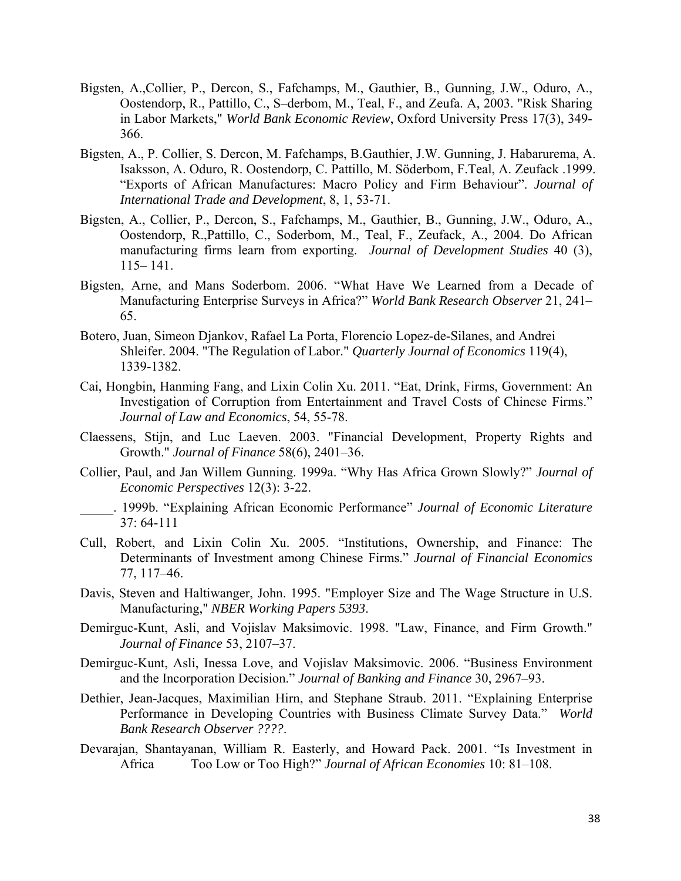- Bigsten, A.,Collier, P., Dercon, S., Fafchamps, M., Gauthier, B., Gunning, J.W., Oduro, A., Oostendorp, R., Pattillo, C., S–derbom, M., Teal, F., and Zeufa. A, 2003. "Risk Sharing in Labor Markets," *World Bank Economic Review*, Oxford University Press 17(3), 349- 366.
- Bigsten, A., P. Collier, S. Dercon, M. Fafchamps, B.Gauthier, J.W. Gunning, J. Habarurema, A. Isaksson, A. Oduro, R. Oostendorp, C. Pattillo, M. Söderbom, F.Teal, A. Zeufack .1999. "Exports of African Manufactures: Macro Policy and Firm Behaviour". *Journal of International Trade and Development*, 8, 1, 53-71.
- Bigsten, A., Collier, P., Dercon, S., Fafchamps, M., Gauthier, B., Gunning, J.W., Oduro, A., Oostendorp, R.,Pattillo, C., Soderbom, M., Teal, F., Zeufack, A., 2004. Do African manufacturing firms learn from exporting. *Journal of Development Studies* 40 (3), 115– 141.
- Bigsten, Arne, and Mans Soderbom. 2006. "What Have We Learned from a Decade of Manufacturing Enterprise Surveys in Africa?" *World Bank Research Observer* 21, 241– 65.
- Botero, Juan, Simeon Djankov, Rafael La Porta, Florencio Lopez-de-Silanes, and Andrei Shleifer. 2004. "The Regulation of Labor." *Quarterly Journal of Economics* 119(4), 1339-1382.
- Cai, Hongbin, Hanming Fang, and Lixin Colin Xu. 2011. "Eat, Drink, Firms, Government: An Investigation of Corruption from Entertainment and Travel Costs of Chinese Firms." *Journal of Law and Economics*, 54, 55-78.
- Claessens, Stijn, and Luc Laeven. 2003. "Financial Development, Property Rights and Growth." *Journal of Finance* 58(6), 2401–36.
- Collier, Paul, and Jan Willem Gunning. 1999a. "Why Has Africa Grown Slowly?" *Journal of Economic Perspectives* 12(3): 3-22.
- \_\_\_\_\_. 1999b. "Explaining African Economic Performance" *Journal of Economic Literature*  37: 64-111
- Cull, Robert, and Lixin Colin Xu. 2005. "Institutions, Ownership, and Finance: The Determinants of Investment among Chinese Firms." *Journal of Financial Economics*  77, 117–46.
- Davis, Steven and Haltiwanger, John. 1995. "Employer Size and The Wage Structure in U.S. Manufacturing," *NBER Working Papers 5393*.
- Demirguc-Kunt, Asli, and Vojislav Maksimovic. 1998. "Law, Finance, and Firm Growth." *Journal of Finance* 53, 2107–37.
- Demirguc-Kunt, Asli, Inessa Love, and Vojislav Maksimovic. 2006. "Business Environment and the Incorporation Decision." *Journal of Banking and Finance* 30, 2967–93.
- Dethier, Jean-Jacques, Maximilian Hirn, and Stephane Straub. 2011. "Explaining Enterprise Performance in Developing Countries with Business Climate Survey Data." *World Bank Research Observer ????*.
- Devarajan, Shantayanan, William R. Easterly, and Howard Pack. 2001. "Is Investment in Africa Too Low or Too High?" *Journal of African Economies* 10: 81–108.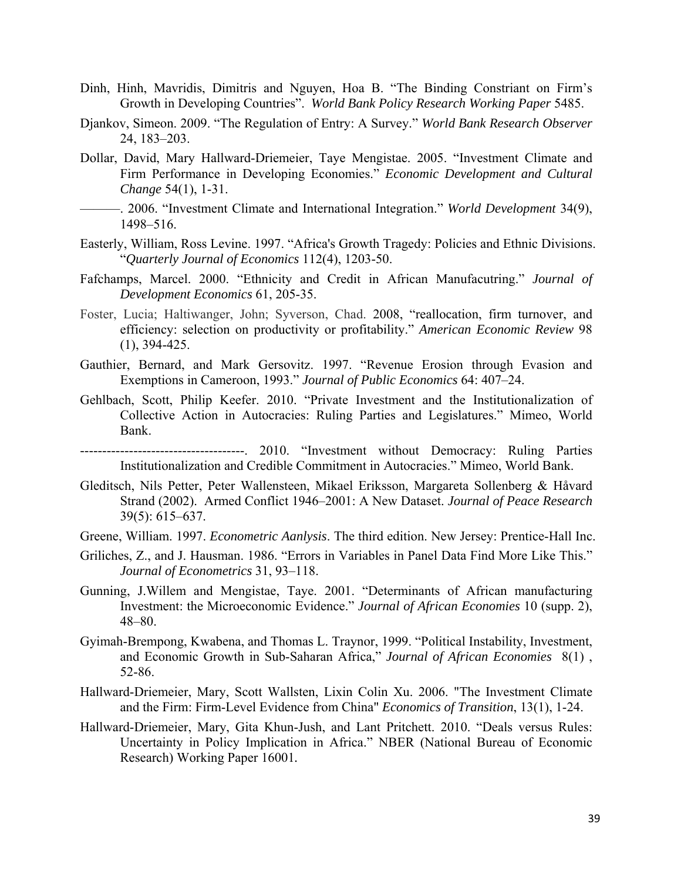- Dinh, Hinh, Mavridis, Dimitris and Nguyen, Hoa B. "The Binding Constriant on Firm's Growth in Developing Countries". *World Bank Policy Research Working Paper* 5485.
- Djankov, Simeon. 2009. "The Regulation of Entry: A Survey." *World Bank Research Observer* 24, 183–203.
- Dollar, David, Mary Hallward-Driemeier, Taye Mengistae. 2005. "Investment Climate and Firm Performance in Developing Economies." *Economic Development and Cultural Change* 54(1), 1-31.
- ———. 2006. "Investment Climate and International Integration." *World Development* 34(9), 1498–516.
- Easterly, William, Ross Levine. 1997. "Africa's Growth Tragedy: Policies and Ethnic Divisions. "*Quarterly Journal of Economics* 112(4), 1203-50.
- Fafchamps, Marcel. 2000. "Ethnicity and Credit in African Manufacutring." *Journal of Development Economics* 61, 205-35.
- Foster, Lucia; Haltiwanger, John; Syverson, Chad. 2008, "reallocation, firm turnover, and efficiency: selection on productivity or profitability." *American Economic Review* 98 (1), 394-425.
- Gauthier, Bernard, and Mark Gersovitz. 1997. "Revenue Erosion through Evasion and Exemptions in Cameroon, 1993." *Journal of Public Economics* 64: 407–24.
- Gehlbach, Scott, Philip Keefer. 2010. "Private Investment and the Institutionalization of Collective Action in Autocracies: Ruling Parties and Legislatures." Mimeo, World Bank.
- -------------------------------------. 2010. "Investment without Democracy: Ruling Parties Institutionalization and Credible Commitment in Autocracies." Mimeo, World Bank.
- Gleditsch, Nils Petter, Peter Wallensteen, Mikael Eriksson, Margareta Sollenberg & Håvard Strand (2002). Armed Conflict 1946–2001: A New Dataset. *Journal of Peace Research* 39(5): 615–637.
- Greene, William. 1997. *Econometric Aanlysis*. The third edition. New Jersey: Prentice-Hall Inc.
- Griliches, Z., and J. Hausman. 1986. "Errors in Variables in Panel Data Find More Like This." *Journal of Econometrics* 31, 93–118.
- Gunning, J.Willem and Mengistae, Taye. 2001. "Determinants of African manufacturing Investment: the Microeconomic Evidence." *Journal of African Economies* 10 (supp. 2), 48–80.
- Gyimah-Brempong, Kwabena, and Thomas L. Traynor, 1999. "Political Instability, Investment, and Economic Growth in Sub-Saharan Africa," *Journal of African Economies* 8(1) , 52-86.
- Hallward-Driemeier, Mary, Scott Wallsten, Lixin Colin Xu. 2006. "The Investment Climate and the Firm: Firm-Level Evidence from China" *Economics of Transition*, 13(1), 1-24.
- Hallward-Driemeier, Mary, Gita Khun-Jush, and Lant Pritchett. 2010. "Deals versus Rules: Uncertainty in Policy Implication in Africa." NBER (National Bureau of Economic Research) Working Paper 16001*.*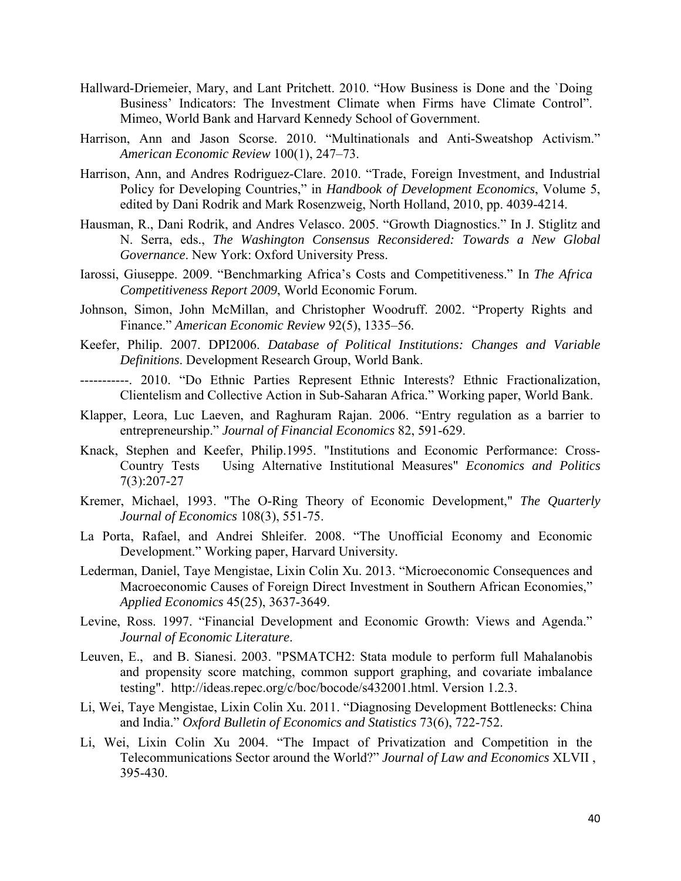- Hallward-Driemeier, Mary, and Lant Pritchett. 2010. "How Business is Done and the `Doing Business' Indicators: The Investment Climate when Firms have Climate Control". Mimeo, World Bank and Harvard Kennedy School of Government.
- Harrison, Ann and Jason Scorse. 2010. "Multinationals and Anti-Sweatshop Activism." *American Economic Review* 100(1), 247–73.
- Harrison, Ann, and Andres Rodriguez-Clare. 2010. "Trade, Foreign Investment, and Industrial Policy for Developing Countries," in *Handbook of Development Economics*, Volume 5, edited by Dani Rodrik and Mark Rosenzweig, North Holland, 2010, pp. 4039-4214.
- Hausman, R., Dani Rodrik, and Andres Velasco. 2005. "Growth Diagnostics." In J. Stiglitz and N. Serra, eds., *The Washington Consensus Reconsidered: Towards a New Global Governance*. New York: Oxford University Press.
- Iarossi, Giuseppe. 2009. "Benchmarking Africa's Costs and Competitiveness." In *The Africa Competitiveness Report 2009*, World Economic Forum.
- Johnson, Simon, John McMillan, and Christopher Woodruff. 2002. "Property Rights and Finance." *American Economic Review* 92(5), 1335–56.
- Keefer, Philip. 2007. DPI2006. *Database of Political Institutions: Changes and Variable Definitions*. Development Research Group, World Bank.
- -----------. 2010. "Do Ethnic Parties Represent Ethnic Interests? Ethnic Fractionalization, Clientelism and Collective Action in Sub-Saharan Africa." Working paper, World Bank.
- Klapper, Leora, Luc Laeven, and Raghuram Rajan. 2006. "Entry regulation as a barrier to entrepreneurship." *Journal of Financial Economics* 82, 591-629.
- Knack, Stephen and Keefer, Philip.1995. "Institutions and Economic Performance: Cross-Country Tests Using Alternative Institutional Measures" *Economics and Politics*  7(3):207-27
- Kremer, Michael, 1993. "The O-Ring Theory of Economic Development," *The Quarterly Journal of Economics* 108(3), 551-75.
- La Porta, Rafael, and Andrei Shleifer. 2008. "The Unofficial Economy and Economic Development." Working paper, Harvard University*.*
- Lederman, Daniel, Taye Mengistae, Lixin Colin Xu. 2013. "Microeconomic Consequences and Macroeconomic Causes of Foreign Direct Investment in Southern African Economies," *Applied Economics* 45(25), 3637-3649.
- Levine, Ross. 1997. "Financial Development and Economic Growth: Views and Agenda." *Journal of Economic Literature*.
- Leuven, E., and B. Sianesi. 2003. "PSMATCH2: Stata module to perform full Mahalanobis and propensity score matching, common support graphing, and covariate imbalance testing". http://ideas.repec.org/c/boc/bocode/s432001.html. Version 1.2.3.
- Li, Wei, Taye Mengistae, Lixin Colin Xu. 2011. "Diagnosing Development Bottlenecks: China and India." *Oxford Bulletin of Economics and Statistics* 73(6), 722-752.
- Li, Wei, Lixin Colin Xu 2004. "The Impact of Privatization and Competition in the Telecommunications Sector around the World?" *Journal of Law and Economics* XLVII , 395-430.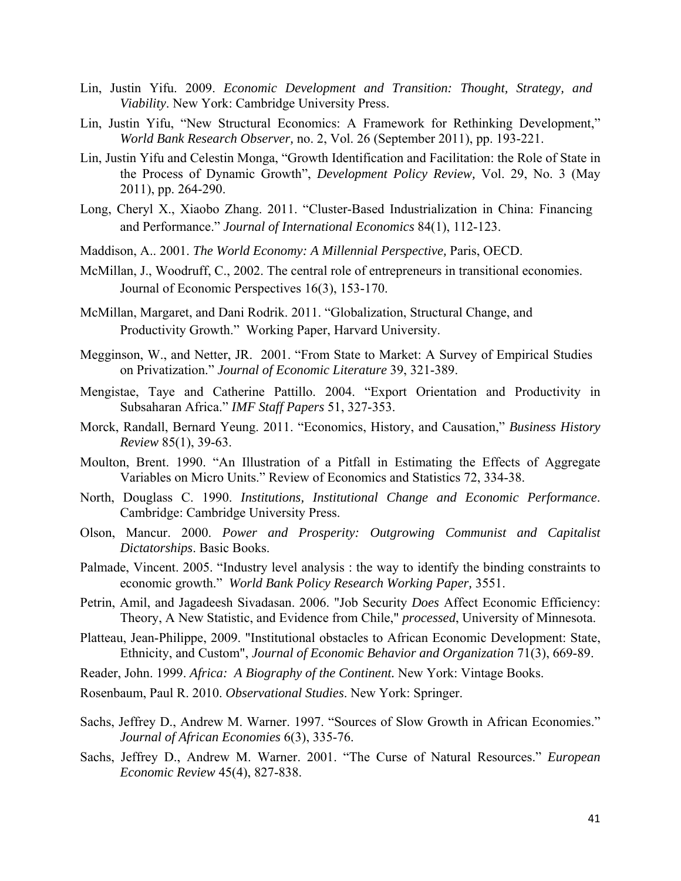- Lin, Justin Yifu. 2009. *Economic Development and Transition: Thought, Strategy, and Viability*. New York: Cambridge University Press.
- Lin, Justin Yifu, "New Structural Economics: A Framework for Rethinking Development," *World Bank Research Observer,* no. 2, Vol. 26 (September 2011), pp. 193-221.
- Lin, Justin Yifu and Celestin Monga, "Growth Identification and Facilitation: the Role of State in the Process of Dynamic Growth", *Development Policy Review,* Vol. 29, No. 3 (May 2011), pp. 264-290.
- Long, Cheryl X., Xiaobo Zhang. 2011. "Cluster-Based Industrialization in China: Financing and Performance." *Journal of International Economics* 84(1), 112-123.
- Maddison, A.. 2001. *The World Economy: A Millennial Perspective,* Paris, OECD.
- McMillan, J., Woodruff, C., 2002. The central role of entrepreneurs in transitional economies. Journal of Economic Perspectives 16(3), 153-170.
- McMillan, Margaret, and Dani Rodrik. 2011. "Globalization, Structural Change, and Productivity Growth." Working Paper, Harvard University.
- Megginson, W., and Netter, JR. 2001. "From State to Market: A Survey of Empirical Studies on Privatization." *Journal of Economic Literature* 39, 321-389.
- Mengistae, Taye and Catherine Pattillo. 2004. "Export Orientation and Productivity in Subsaharan Africa." *IMF Staff Papers* 51, 327-353.
- Morck, Randall, Bernard Yeung. 2011. "Economics, History, and Causation," *Business History Review* 85(1), 39-63.
- Moulton, Brent. 1990. "An Illustration of a Pitfall in Estimating the Effects of Aggregate Variables on Micro Units." Review of Economics and Statistics 72, 334-38.
- North, Douglass C. 1990. *Institutions, Institutional Change and Economic Performance*. Cambridge: Cambridge University Press.
- Olson, Mancur. 2000. *Power and Prosperity: Outgrowing Communist and Capitalist Dictatorships*. Basic Books.
- Palmade, Vincent. 2005. "Industry level analysis : the way to identify the binding constraints to economic growth." *World Bank Policy Research Working Paper,* 3551.
- Petrin, Amil, and Jagadeesh Sivadasan. 2006. "Job Security *Does* Affect Economic Efficiency: Theory, A New Statistic, and Evidence from Chile," *processed*, University of Minnesota.
- Platteau, Jean-Philippe, 2009. "Institutional obstacles to African Economic Development: State, Ethnicity, and Custom", *Journal of Economic Behavior and Organization* 71(3), 669-89.
- Reader, John. 1999. *Africa: A Biography of the Continent.* New York: Vintage Books.
- Rosenbaum, Paul R. 2010. *Observational Studies*. New York: Springer.
- Sachs, Jeffrey D., Andrew M. Warner. 1997. "Sources of Slow Growth in African Economies." *Journal of African Economies* 6(3), 335-76.
- Sachs, Jeffrey D., Andrew M. Warner. 2001. "The Curse of Natural Resources." *European Economic Review* 45(4), 827-838.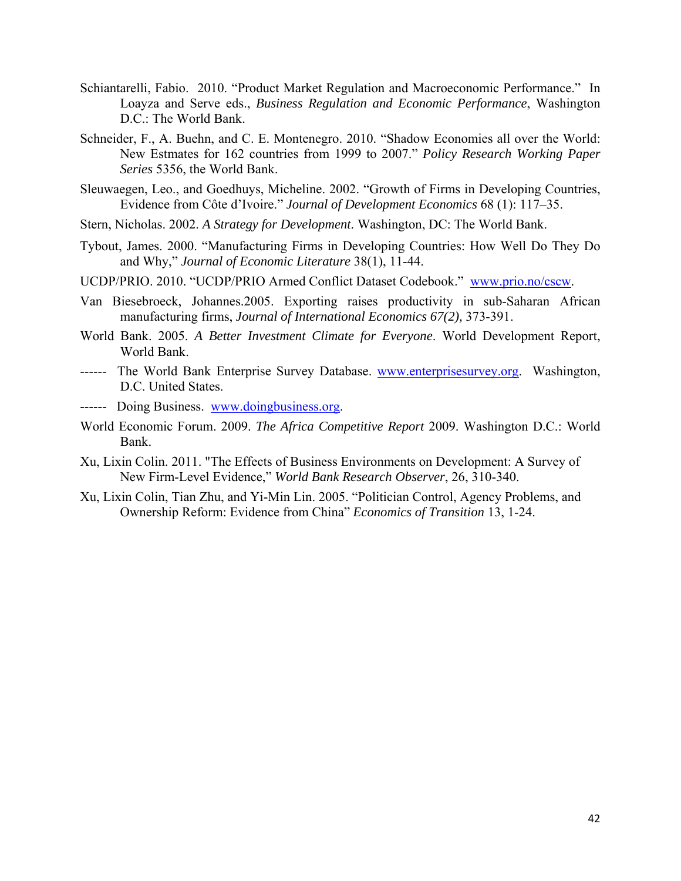- Schiantarelli, Fabio. 2010. "Product Market Regulation and Macroeconomic Performance." In Loayza and Serve eds., *Business Regulation and Economic Performance*, Washington D.C.: The World Bank.
- Schneider, F., A. Buehn, and C. E. Montenegro. 2010. "Shadow Economies all over the World: New Estmates for 162 countries from 1999 to 2007." *Policy Research Working Paper Series* 5356, the World Bank.
- Sleuwaegen, Leo., and Goedhuys, Micheline. 2002. "Growth of Firms in Developing Countries, Evidence from Côte d'Ivoire." *Journal of Development Economics* 68 (1): 117–35.
- Stern, Nicholas. 2002. *A Strategy for Development*. Washington, DC: The World Bank.
- Tybout, James. 2000. "Manufacturing Firms in Developing Countries: How Well Do They Do and Why," *Journal of Economic Literature* 38(1), 11-44.
- UCDP/PRIO. 2010. "UCDP/PRIO Armed Conflict Dataset Codebook." www.prio.no/cscw.
- Van Biesebroeck, Johannes.2005. Exporting raises productivity in sub-Saharan African manufacturing firms, *Journal of International Economics 67(2),* 373-391.
- World Bank. 2005. *A Better Investment Climate for Everyone*. World Development Report, World Bank.
- ------ The World Bank Enterprise Survey Database. www.enterprisesurvey.org. Washington, D.C. United States.
- ------ Doing Business. www.doingbusiness.org.
- World Economic Forum. 2009. *The Africa Competitive Report* 2009. Washington D.C.: World Bank.
- Xu, Lixin Colin. 2011. "The Effects of Business Environments on Development: A Survey of New Firm-Level Evidence," *World Bank Research Observer*, 26, 310-340.
- Xu, Lixin Colin, Tian Zhu, and Yi-Min Lin. 2005. "Politician Control, Agency Problems, and Ownership Reform: Evidence from China" *Economics of Transition* 13, 1-24.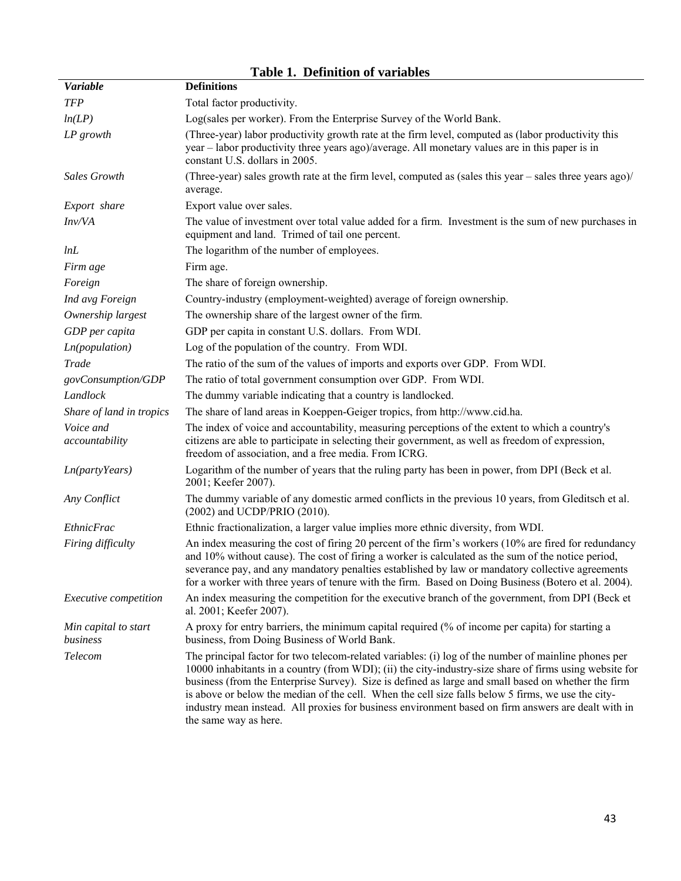| <b>Variable</b>                  | rabic r. Denmuon or variabies<br><b>Definitions</b>                                                                                                                                                                                                                                                                                                                                                                                                                                                                                                          |
|----------------------------------|--------------------------------------------------------------------------------------------------------------------------------------------------------------------------------------------------------------------------------------------------------------------------------------------------------------------------------------------------------------------------------------------------------------------------------------------------------------------------------------------------------------------------------------------------------------|
| <b>TFP</b>                       | Total factor productivity.                                                                                                                                                                                                                                                                                                                                                                                                                                                                                                                                   |
| ln(LP)                           | Log(sales per worker). From the Enterprise Survey of the World Bank.                                                                                                                                                                                                                                                                                                                                                                                                                                                                                         |
| $LP$ growth                      | (Three-year) labor productivity growth rate at the firm level, computed as (labor productivity this<br>year – labor productivity three years ago)/average. All monetary values are in this paper is in<br>constant U.S. dollars in 2005.                                                                                                                                                                                                                                                                                                                     |
| <b>Sales Growth</b>              | (Three-year) sales growth rate at the firm level, computed as (sales this year – sales three years ago)/<br>average.                                                                                                                                                                                                                                                                                                                                                                                                                                         |
| Export share                     | Export value over sales.                                                                                                                                                                                                                                                                                                                                                                                                                                                                                                                                     |
| Inv/VA                           | The value of investment over total value added for a firm. Investment is the sum of new purchases in<br>equipment and land. Trimed of tail one percent.                                                                                                                                                                                                                                                                                                                                                                                                      |
| lnL                              | The logarithm of the number of employees.                                                                                                                                                                                                                                                                                                                                                                                                                                                                                                                    |
| Firm age                         | Firm age.                                                                                                                                                                                                                                                                                                                                                                                                                                                                                                                                                    |
| Foreign                          | The share of foreign ownership.                                                                                                                                                                                                                                                                                                                                                                                                                                                                                                                              |
| Ind avg Foreign                  | Country-industry (employment-weighted) average of foreign ownership.                                                                                                                                                                                                                                                                                                                                                                                                                                                                                         |
| Ownership largest                | The ownership share of the largest owner of the firm.                                                                                                                                                                                                                                                                                                                                                                                                                                                                                                        |
| GDP per capita                   | GDP per capita in constant U.S. dollars. From WDI.                                                                                                                                                                                                                                                                                                                                                                                                                                                                                                           |
| Ln(population)                   | Log of the population of the country. From WDI.                                                                                                                                                                                                                                                                                                                                                                                                                                                                                                              |
| <b>Trade</b>                     | The ratio of the sum of the values of imports and exports over GDP. From WDI.                                                                                                                                                                                                                                                                                                                                                                                                                                                                                |
| govConsumption/GDP               | The ratio of total government consumption over GDP. From WDI.                                                                                                                                                                                                                                                                                                                                                                                                                                                                                                |
| Landlock                         | The dummy variable indicating that a country is landlocked.                                                                                                                                                                                                                                                                                                                                                                                                                                                                                                  |
| Share of land in tropics         | The share of land areas in Koeppen-Geiger tropics, from http://www.cid.ha.                                                                                                                                                                                                                                                                                                                                                                                                                                                                                   |
| Voice and<br>accountability      | The index of voice and accountability, measuring perceptions of the extent to which a country's<br>citizens are able to participate in selecting their government, as well as freedom of expression,<br>freedom of association, and a free media. From ICRG.                                                                                                                                                                                                                                                                                                 |
| Ln(party Years)                  | Logarithm of the number of years that the ruling party has been in power, from DPI (Beck et al.<br>2001; Keefer 2007).                                                                                                                                                                                                                                                                                                                                                                                                                                       |
| Any Conflict                     | The dummy variable of any domestic armed conflicts in the previous 10 years, from Gleditsch et al.<br>(2002) and UCDP/PRIO (2010).                                                                                                                                                                                                                                                                                                                                                                                                                           |
| <b>EthnicFrac</b>                | Ethnic fractionalization, a larger value implies more ethnic diversity, from WDI.                                                                                                                                                                                                                                                                                                                                                                                                                                                                            |
| Firing difficulty                | An index measuring the cost of firing 20 percent of the firm's workers (10% are fired for redundancy<br>and 10% without cause). The cost of firing a worker is calculated as the sum of the notice period,<br>severance pay, and any mandatory penalties established by law or mandatory collective agreements<br>for a worker with three years of tenure with the firm. Based on Doing Business (Botero et al. 2004).                                                                                                                                       |
| Executive competition            | An index measuring the competition for the executive branch of the government, from DPI (Beck et<br>al. 2001; Keefer 2007).                                                                                                                                                                                                                                                                                                                                                                                                                                  |
| Min capital to start<br>business | A proxy for entry barriers, the minimum capital required (% of income per capita) for starting a<br>business, from Doing Business of World Bank.                                                                                                                                                                                                                                                                                                                                                                                                             |
| Telecom                          | The principal factor for two telecom-related variables: (i) log of the number of mainline phones per<br>10000 inhabitants in a country (from WDI); (ii) the city-industry-size share of firms using website for<br>business (from the Enterprise Survey). Size is defined as large and small based on whether the firm<br>is above or below the median of the cell. When the cell size falls below 5 firms, we use the city-<br>industry mean instead. All proxies for business environment based on firm answers are dealt with in<br>the same way as here. |

## **Table 1. Definition of variables**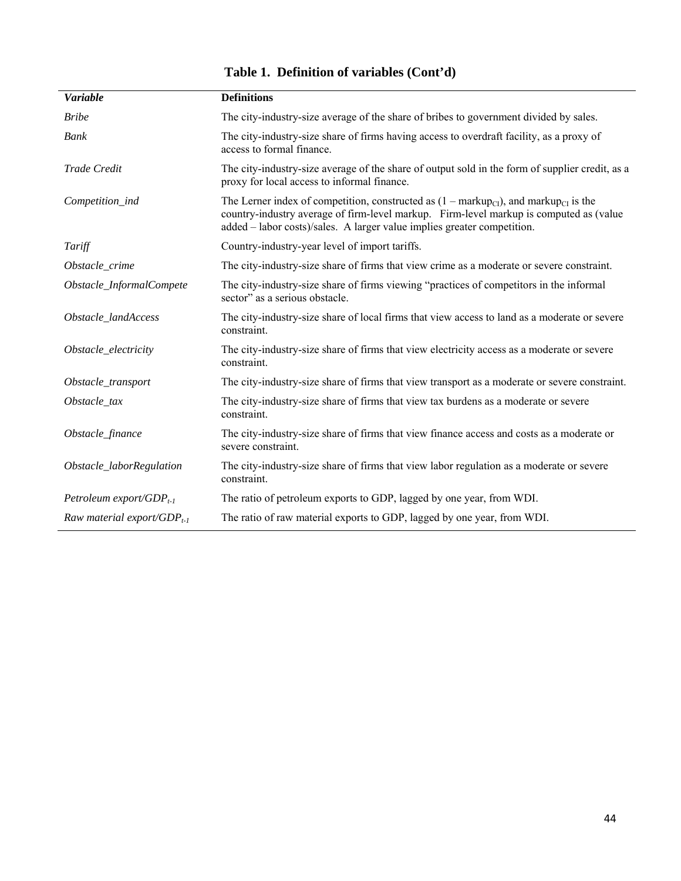| <b>Variable</b>                        | <b>Definitions</b>                                                                                                                                                                                                                                                                        |
|----------------------------------------|-------------------------------------------------------------------------------------------------------------------------------------------------------------------------------------------------------------------------------------------------------------------------------------------|
| <b>Bribe</b>                           | The city-industry-size average of the share of bribes to government divided by sales.                                                                                                                                                                                                     |
| Bank                                   | The city-industry-size share of firms having access to overdraft facility, as a proxy of<br>access to formal finance.                                                                                                                                                                     |
| Trade Credit                           | The city-industry-size average of the share of output sold in the form of supplier credit, as a<br>proxy for local access to informal finance.                                                                                                                                            |
| Competition_ind                        | The Lerner index of competition, constructed as $(1 - \text{markupp}_{\text{CI}})$ , and markup <sub>CI</sub> is the<br>country-industry average of firm-level markup. Firm-level markup is computed as (value<br>added – labor costs)/sales. A larger value implies greater competition. |
| Tariff                                 | Country-industry-year level of import tariffs.                                                                                                                                                                                                                                            |
| Obstacle_crime                         | The city-industry-size share of firms that view crime as a moderate or severe constraint.                                                                                                                                                                                                 |
| Obstacle_InformalCompete               | The city-industry-size share of firms viewing "practices of competitors in the informal<br>sector" as a serious obstacle.                                                                                                                                                                 |
| Obstacle_landAccess                    | The city-industry-size share of local firms that view access to land as a moderate or severe<br>constraint.                                                                                                                                                                               |
| Obstacle_electricity                   | The city-industry-size share of firms that view electricity access as a moderate or severe<br>constraint.                                                                                                                                                                                 |
| Obstacle_transport                     | The city-industry-size share of firms that view transport as a moderate or severe constraint.                                                                                                                                                                                             |
| Obstacle_tax                           | The city-industry-size share of firms that view tax burdens as a moderate or severe<br>constraint.                                                                                                                                                                                        |
| Obstacle_finance                       | The city-industry-size share of firms that view finance access and costs as a moderate or<br>severe constraint.                                                                                                                                                                           |
| Obstacle_laborRegulation               | The city-industry-size share of firms that view labor regulation as a moderate or severe<br>constraint.                                                                                                                                                                                   |
| Petroleum export/GDP <sub>t-1</sub>    | The ratio of petroleum exports to GDP, lagged by one year, from WDI.                                                                                                                                                                                                                      |
| Raw material export/GDP <sub>t-1</sub> | The ratio of raw material exports to GDP, lagged by one year, from WDI.                                                                                                                                                                                                                   |

# **Table 1. Definition of variables (Cont'd)**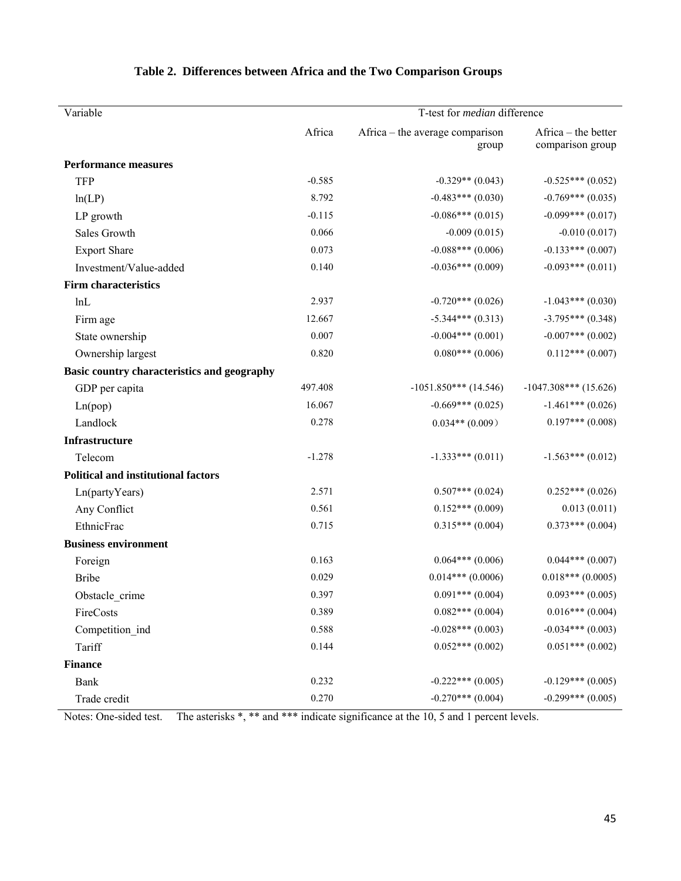| Variable                                    | T-test for <i>median</i> difference |                                          |                                         |  |  |  |  |  |  |
|---------------------------------------------|-------------------------------------|------------------------------------------|-----------------------------------------|--|--|--|--|--|--|
|                                             | Africa                              | Africa – the average comparison<br>group | Africa – the better<br>comparison group |  |  |  |  |  |  |
| <b>Performance measures</b>                 |                                     |                                          |                                         |  |  |  |  |  |  |
| <b>TFP</b>                                  | $-0.585$                            | $-0.329**$ (0.043)                       | $-0.525***(0.052)$                      |  |  |  |  |  |  |
| ln(LP)                                      | 8.792                               | $-0.483***(0.030)$                       | $-0.769***$ (0.035)                     |  |  |  |  |  |  |
| LP growth                                   | $-0.115$                            | $-0.086***(0.015)$                       | $-0.099***$ (0.017)                     |  |  |  |  |  |  |
| Sales Growth                                | 0.066                               | $-0.009(0.015)$                          | $-0.010(0.017)$                         |  |  |  |  |  |  |
| <b>Export Share</b>                         | 0.073                               | $-0.088***(0.006)$                       | $-0.133***(0.007)$                      |  |  |  |  |  |  |
| Investment/Value-added                      | 0.140                               | $-0.036***$ (0.009)                      | $-0.093***(0.011)$                      |  |  |  |  |  |  |
| Firm characteristics                        |                                     |                                          |                                         |  |  |  |  |  |  |
| lnL                                         | 2.937                               | $-0.720***$ (0.026)                      | $-1.043***(0.030)$                      |  |  |  |  |  |  |
| Firm age                                    | 12.667                              | $-5.344***(0.313)$                       | $-3.795***$ (0.348)                     |  |  |  |  |  |  |
| State ownership                             | 0.007                               | $-0.004***(0.001)$                       | $-0.007***$ (0.002)                     |  |  |  |  |  |  |
| Ownership largest                           | 0.820                               | $0.080***(0.006)$                        | $0.112***(0.007)$                       |  |  |  |  |  |  |
| Basic country characteristics and geography |                                     |                                          |                                         |  |  |  |  |  |  |
| GDP per capita                              | 497.408                             | $-1051.850***$ (14.546)                  | $-1047.308***$ (15.626)                 |  |  |  |  |  |  |
| Ln(pop)                                     | 16.067                              | $-0.669***(0.025)$                       | $-1.461***(0.026)$                      |  |  |  |  |  |  |
| Landlock                                    | 0.278                               | $0.034**$ (0.009)                        | $0.197***$ (0.008)                      |  |  |  |  |  |  |
| Infrastructure                              |                                     |                                          |                                         |  |  |  |  |  |  |
| Telecom                                     | $-1.278$                            | $-1.333***(0.011)$                       | $-1.563***(0.012)$                      |  |  |  |  |  |  |
| <b>Political and institutional factors</b>  |                                     |                                          |                                         |  |  |  |  |  |  |
| Ln(partyYears)                              | 2.571                               | $0.507***(0.024)$                        | $0.252***(0.026)$                       |  |  |  |  |  |  |
| Any Conflict                                | 0.561                               | $0.152***(0.009)$                        | 0.013(0.011)                            |  |  |  |  |  |  |
| EthnicFrac                                  | 0.715                               | $0.315***(0.004)$                        | $0.373***(0.004)$                       |  |  |  |  |  |  |
| <b>Business environment</b>                 |                                     |                                          |                                         |  |  |  |  |  |  |
| Foreign                                     | 0.163                               | $0.064***(0.006)$                        | $0.044***(0.007)$                       |  |  |  |  |  |  |
| <b>Bribe</b>                                | 0.029                               | $0.014***$ (0.0006)                      | $0.018***(0.0005)$                      |  |  |  |  |  |  |
| Obstacle_crime                              | 0.397                               | $0.091***(0.004)$                        | $0.093***(0.005)$                       |  |  |  |  |  |  |
| FireCosts                                   | 0.389                               | $0.082***(0.004)$                        | $0.016***(0.004)$                       |  |  |  |  |  |  |
| Competition_ind                             | 0.588                               | $-0.028***$ (0.003)                      | $-0.034***$ (0.003)                     |  |  |  |  |  |  |
| Tariff                                      | 0.144                               | $0.052***(0.002)$                        | $0.051***$ (0.002)                      |  |  |  |  |  |  |
| <b>Finance</b>                              |                                     |                                          |                                         |  |  |  |  |  |  |
| <b>Bank</b>                                 | 0.232                               | $-0.222***$ (0.005)                      | $-0.129***$ (0.005)                     |  |  |  |  |  |  |
| Trade credit                                | 0.270                               | $-0.270***$ (0.004)                      | $-0.299***$ (0.005)                     |  |  |  |  |  |  |

# **Table 2. Differences between Africa and the Two Comparison Groups**

Notes: One-sided test. The asterisks \*, \*\* and \*\*\* indicate significance at the 10, 5 and 1 percent levels.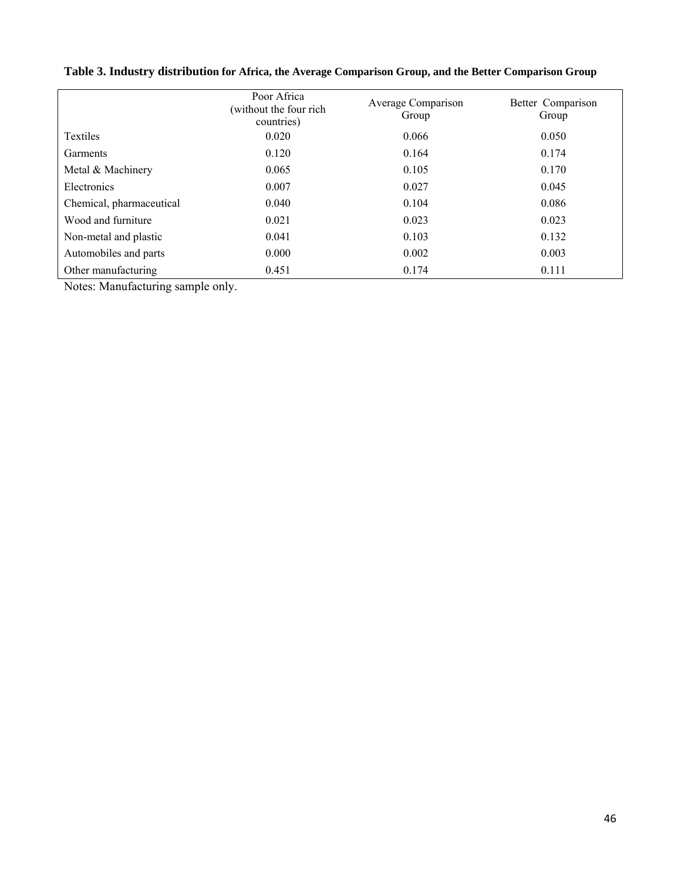|                          | Poor Africa<br>(without the four rich<br>countries) | Average Comparison<br>Group | Better Comparison<br>Group |
|--------------------------|-----------------------------------------------------|-----------------------------|----------------------------|
| <b>Textiles</b>          | 0.020                                               | 0.066                       | 0.050                      |
| Garments                 | 0.120                                               | 0.164                       | 0.174                      |
| Metal & Machinery        | 0.065                                               | 0.105                       | 0.170                      |
| Electronics              | 0.007                                               | 0.027                       | 0.045                      |
| Chemical, pharmaceutical | 0.040                                               | 0.104                       | 0.086                      |
| Wood and furniture       | 0.021                                               | 0.023                       | 0.023                      |
| Non-metal and plastic    | 0.041                                               | 0.103                       | 0.132                      |
| Automobiles and parts    | 0.000                                               | 0.002                       | 0.003                      |
| Other manufacturing      | 0.451                                               | 0.174                       | 0.111                      |

**Table 3. Industry distribution for Africa, the Average Comparison Group, and the Better Comparison Group** 

Notes: Manufacturing sample only.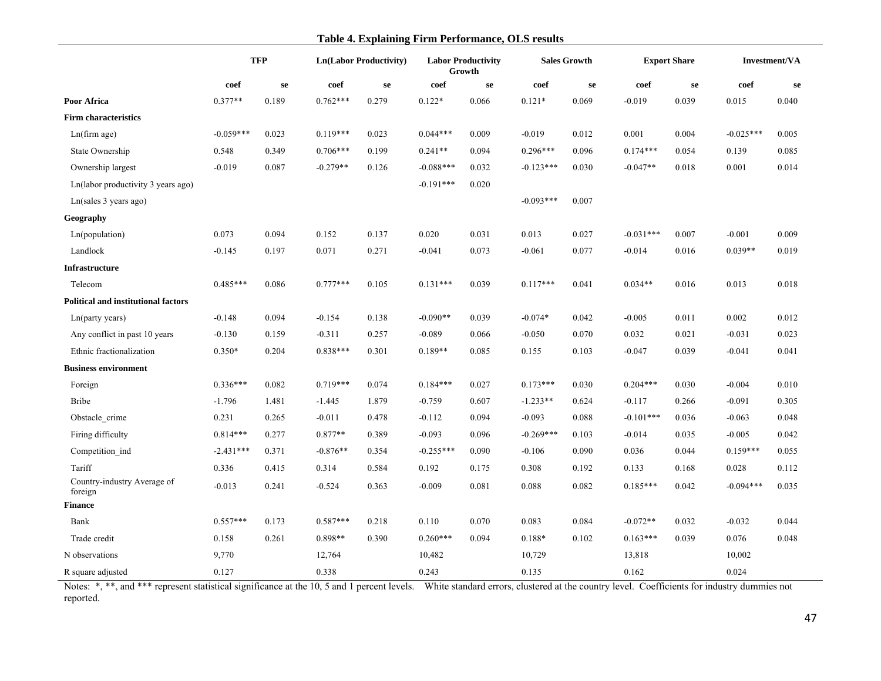#### **Table 4. Explaining Firm Performance, OLS results**

|                                            | <b>TFP</b>  |       | <b>Ln(Labor Productivity)</b> |       |             | <b>Labor Productivity</b><br>Growth |             | <b>Sales Growth</b> | <b>Export Share</b> |       | Investment/VA |       |
|--------------------------------------------|-------------|-------|-------------------------------|-------|-------------|-------------------------------------|-------------|---------------------|---------------------|-------|---------------|-------|
|                                            | coef        | se    | coef                          | se    | coef        | se                                  | coef        | se                  | coef                | se    | coef          | se    |
| Poor Africa                                | $0.377**$   | 0.189 | $0.762***$                    | 0.279 | $0.122*$    | 0.066                               | $0.121*$    | 0.069               | $-0.019$            | 0.039 | 0.015         | 0.040 |
| <b>Firm characteristics</b>                |             |       |                               |       |             |                                     |             |                     |                     |       |               |       |
| Ln(firm age)                               | $-0.059***$ | 0.023 | $0.119***$                    | 0.023 | $0.044***$  | 0.009                               | $-0.019$    | 0.012               | 0.001               | 0.004 | $-0.025***$   | 0.005 |
| State Ownership                            | 0.548       | 0.349 | $0.706***$                    | 0.199 | $0.241**$   | 0.094                               | $0.296***$  | 0.096               | $0.174***$          | 0.054 | 0.139         | 0.085 |
| Ownership largest                          | $-0.019$    | 0.087 | $-0.279**$                    | 0.126 | $-0.088***$ | 0.032                               | $-0.123***$ | 0.030               | $-0.047**$          | 0.018 | 0.001         | 0.014 |
| Ln(labor productivity 3 years ago)         |             |       |                               |       | $-0.191***$ | 0.020                               |             |                     |                     |       |               |       |
| Ln(sales 3 years ago)                      |             |       |                               |       |             |                                     | $-0.093***$ | 0.007               |                     |       |               |       |
| Geography                                  |             |       |                               |       |             |                                     |             |                     |                     |       |               |       |
| Ln(population)                             | 0.073       | 0.094 | 0.152                         | 0.137 | 0.020       | 0.031                               | 0.013       | 0.027               | $-0.031***$         | 0.007 | $-0.001$      | 0.009 |
| Landlock                                   | $-0.145$    | 0.197 | 0.071                         | 0.271 | $-0.041$    | 0.073                               | $-0.061$    | 0.077               | $-0.014$            | 0.016 | $0.039**$     | 0.019 |
| <b>Infrastructure</b>                      |             |       |                               |       |             |                                     |             |                     |                     |       |               |       |
| Telecom                                    | $0.485***$  | 0.086 | $0.777***$                    | 0.105 | $0.131***$  | 0.039                               | $0.117***$  | 0.041               | $0.034**$           | 0.016 | 0.013         | 0.018 |
| <b>Political and institutional factors</b> |             |       |                               |       |             |                                     |             |                     |                     |       |               |       |
| Ln(party years)                            | $-0.148$    | 0.094 | $-0.154$                      | 0.138 | $-0.090**$  | 0.039                               | $-0.074*$   | 0.042               | $-0.005$            | 0.011 | 0.002         | 0.012 |
| Any conflict in past 10 years              | $-0.130$    | 0.159 | $-0.311$                      | 0.257 | $-0.089$    | 0.066                               | $-0.050$    | 0.070               | 0.032               | 0.021 | $-0.031$      | 0.023 |
| Ethnic fractionalization                   | $0.350*$    | 0.204 | $0.838***$                    | 0.301 | $0.189**$   | 0.085                               | 0.155       | 0.103               | $-0.047$            | 0.039 | $-0.041$      | 0.041 |
| <b>Business environment</b>                |             |       |                               |       |             |                                     |             |                     |                     |       |               |       |
| Foreign                                    | $0.336***$  | 0.082 | $0.719***$                    | 0.074 | $0.184***$  | 0.027                               | $0.173***$  | 0.030               | $0.204***$          | 0.030 | $-0.004$      | 0.010 |
| <b>Bribe</b>                               | $-1.796$    | 1.481 | $-1.445$                      | 1.879 | $-0.759$    | 0.607                               | $-1.233**$  | 0.624               | $-0.117$            | 0.266 | $-0.091$      | 0.305 |
| Obstacle crime                             | 0.231       | 0.265 | $-0.011$                      | 0.478 | $-0.112$    | 0.094                               | $-0.093$    | 0.088               | $-0.101***$         | 0.036 | $-0.063$      | 0.048 |
| Firing difficulty                          | $0.814***$  | 0.277 | $0.877**$                     | 0.389 | $-0.093$    | 0.096                               | $-0.269***$ | 0.103               | $-0.014$            | 0.035 | $-0.005$      | 0.042 |
| Competition_ind                            | $-2.431***$ | 0.371 | $-0.876**$                    | 0.354 | $-0.255***$ | 0.090                               | $-0.106$    | 0.090               | 0.036               | 0.044 | $0.159***$    | 0.055 |
| Tariff                                     | 0.336       | 0.415 | 0.314                         | 0.584 | 0.192       | 0.175                               | 0.308       | 0.192               | 0.133               | 0.168 | 0.028         | 0.112 |
| Country-industry Average of<br>foreign     | $-0.013$    | 0.241 | $-0.524$                      | 0.363 | $-0.009$    | 0.081                               | 0.088       | 0.082               | $0.185***$          | 0.042 | $-0.094***$   | 0.035 |
| <b>Finance</b>                             |             |       |                               |       |             |                                     |             |                     |                     |       |               |       |
| Bank                                       | 0.557***    | 0.173 | 0.587***                      | 0.218 | 0.110       | 0.070                               | 0.083       | 0.084               | $-0.072**$          | 0.032 | $-0.032$      | 0.044 |
| Trade credit                               | 0.158       | 0.261 | 0.898**                       | 0.390 | $0.260***$  | 0.094                               | $0.188*$    | 0.102               | $0.163***$          | 0.039 | 0.076         | 0.048 |
| N observations                             | 9,770       |       | 12,764                        |       | 10,482      |                                     | 10,729      |                     | 13,818              |       | 10,002        |       |
| R square adjusted                          | 0.127       |       | 0.338                         |       | 0.243       |                                     | 0.135       |                     | 0.162               |       | 0.024         |       |

Notes: \*, \*\*, and \*\*\* represent statistical significance at the 10, 5 and 1 percent levels. White standard errors, clustered at the country level. Coefficients for industry dummies not reported.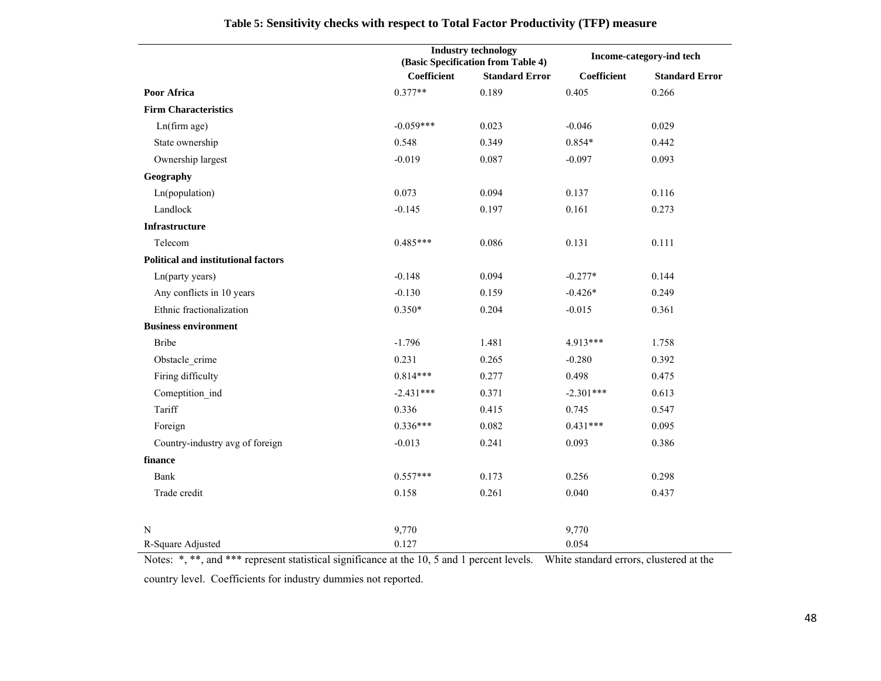|                                            |             | <b>Industry technology</b><br>(Basic Specification from Table 4) |             | Income-category-ind tech |
|--------------------------------------------|-------------|------------------------------------------------------------------|-------------|--------------------------|
|                                            | Coefficient | <b>Standard Error</b>                                            | Coefficient | <b>Standard Error</b>    |
| Poor Africa                                | $0.377**$   | 0.189                                                            | 0.405       | 0.266                    |
| <b>Firm Characteristics</b>                |             |                                                                  |             |                          |
| Ln(firm age)                               | $-0.059***$ | 0.023                                                            | $-0.046$    | 0.029                    |
| State ownership                            | 0.548       | 0.349                                                            | $0.854*$    | 0.442                    |
| Ownership largest                          | $-0.019$    | 0.087                                                            | $-0.097$    | 0.093                    |
| Geography                                  |             |                                                                  |             |                          |
| Ln(population)                             | 0.073       | 0.094                                                            | 0.137       | 0.116                    |
| Landlock                                   | $-0.145$    | 0.197                                                            | 0.161       | 0.273                    |
| Infrastructure                             |             |                                                                  |             |                          |
| Telecom                                    | $0.485***$  | 0.086                                                            | 0.131       | 0.111                    |
| <b>Political and institutional factors</b> |             |                                                                  |             |                          |
| Ln(party years)                            | $-0.148$    | 0.094                                                            | $-0.277*$   | 0.144                    |
| Any conflicts in 10 years                  | $-0.130$    | 0.159                                                            | $-0.426*$   | 0.249                    |
| Ethnic fractionalization                   | $0.350*$    | 0.204                                                            | $-0.015$    | 0.361                    |
| <b>Business environment</b>                |             |                                                                  |             |                          |
| <b>Bribe</b>                               | $-1.796$    | 1.481                                                            | 4.913***    | 1.758                    |
| Obstacle_crime                             | 0.231       | 0.265                                                            | $-0.280$    | 0.392                    |
| Firing difficulty                          | $0.814***$  | 0.277                                                            | 0.498       | 0.475                    |
| Comeptition ind                            | $-2.431***$ | 0.371                                                            | $-2.301***$ | 0.613                    |
| Tariff                                     | 0.336       | 0.415                                                            | 0.745       | 0.547                    |
| Foreign                                    | $0.336***$  | 0.082                                                            | $0.431***$  | 0.095                    |
| Country-industry avg of foreign            | $-0.013$    | 0.241                                                            | 0.093       | 0.386                    |
| finance                                    |             |                                                                  |             |                          |
| Bank                                       | $0.557***$  | 0.173                                                            | 0.256       | 0.298                    |
| Trade credit                               | 0.158       | 0.261                                                            | 0.040       | 0.437                    |
|                                            |             |                                                                  |             |                          |
| N                                          | 9,770       |                                                                  | 9,770       |                          |
| R-Square Adjusted                          | 0.127       |                                                                  | 0.054       |                          |

# **Table 5: Sensitivity checks with respect to Total Factor Productivity (TFP) measure**

Notes: \*, \*\*, and \*\*\* represent statistical significance at the 10, 5 and 1 percent levels. White standard errors, clustered at the country level. Coefficients for industry dummies not reported.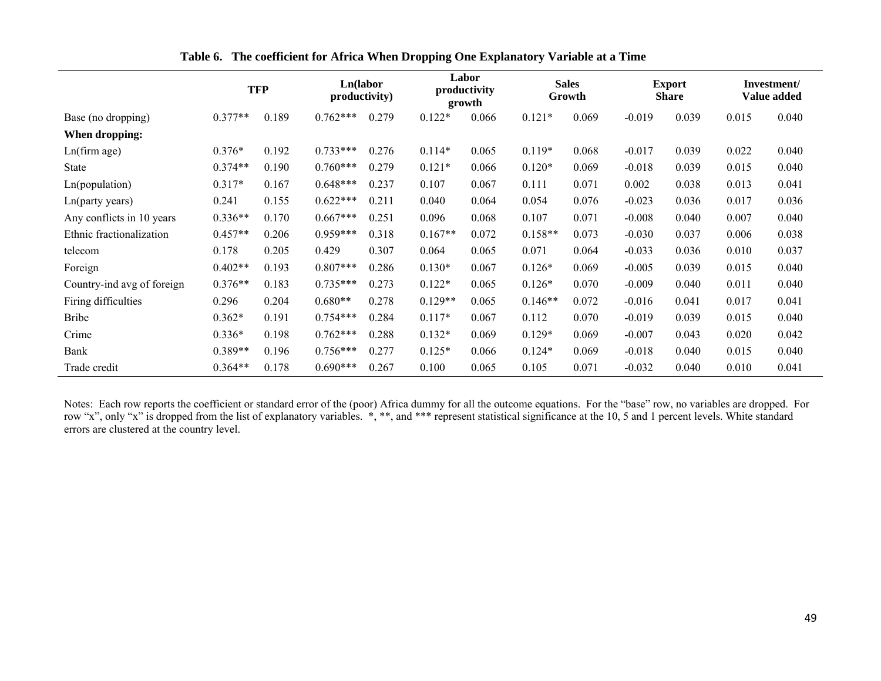|                            |           | <b>TFP</b> | Ln(labor<br>productivity) |       |           | Labor<br>productivity<br>growth |           | <b>Sales</b><br>Growth |          | <b>Export</b><br><b>Share</b> |       | Investment/<br><b>Value added</b> |
|----------------------------|-----------|------------|---------------------------|-------|-----------|---------------------------------|-----------|------------------------|----------|-------------------------------|-------|-----------------------------------|
| Base (no dropping)         | $0.377**$ | 0.189      | $0.762***$                | 0.279 | $0.122*$  | 0.066                           | $0.121*$  | 0.069                  | $-0.019$ | 0.039                         | 0.015 | 0.040                             |
| When dropping:             |           |            |                           |       |           |                                 |           |                        |          |                               |       |                                   |
| Ln(firm age)               | $0.376*$  | 0.192      | $0.733***$                | 0.276 | $0.114*$  | 0.065                           | $0.119*$  | 0.068                  | $-0.017$ | 0.039                         | 0.022 | 0.040                             |
| <b>State</b>               | $0.374**$ | 0.190      | $0.760***$                | 0.279 | $0.121*$  | 0.066                           | $0.120*$  | 0.069                  | $-0.018$ | 0.039                         | 0.015 | 0.040                             |
| Ln(population)             | $0.317*$  | 0.167      | $0.648***$                | 0.237 | 0.107     | 0.067                           | 0.111     | 0.071                  | 0.002    | 0.038                         | 0.013 | 0.041                             |
| Ln(party years)            | 0.241     | 0.155      | $0.622***$                | 0.211 | 0.040     | 0.064                           | 0.054     | 0.076                  | $-0.023$ | 0.036                         | 0.017 | 0.036                             |
| Any conflicts in 10 years  | $0.336**$ | 0.170      | $0.667***$                | 0.251 | 0.096     | 0.068                           | 0.107     | 0.071                  | $-0.008$ | 0.040                         | 0.007 | 0.040                             |
| Ethnic fractionalization   | $0.457**$ | 0.206      | $0.959***$                | 0.318 | $0.167**$ | 0.072                           | $0.158**$ | 0.073                  | $-0.030$ | 0.037                         | 0.006 | 0.038                             |
| telecom                    | 0.178     | 0.205      | 0.429                     | 0.307 | 0.064     | 0.065                           | 0.071     | 0.064                  | $-0.033$ | 0.036                         | 0.010 | 0.037                             |
| Foreign                    | $0.402**$ | 0.193      | $0.807***$                | 0.286 | $0.130*$  | 0.067                           | $0.126*$  | 0.069                  | $-0.005$ | 0.039                         | 0.015 | 0.040                             |
| Country-ind avg of foreign | $0.376**$ | 0.183      | $0.735***$                | 0.273 | $0.122*$  | 0.065                           | $0.126*$  | 0.070                  | $-0.009$ | 0.040                         | 0.011 | 0.040                             |
| Firing difficulties        | 0.296     | 0.204      | $0.680**$                 | 0.278 | $0.129**$ | 0.065                           | $0.146**$ | 0.072                  | $-0.016$ | 0.041                         | 0.017 | 0.041                             |
| <b>Bribe</b>               | $0.362*$  | 0.191      | $0.754***$                | 0.284 | $0.117*$  | 0.067                           | 0.112     | 0.070                  | $-0.019$ | 0.039                         | 0.015 | 0.040                             |
| Crime                      | $0.336*$  | 0.198      | $0.762***$                | 0.288 | $0.132*$  | 0.069                           | $0.129*$  | 0.069                  | $-0.007$ | 0.043                         | 0.020 | 0.042                             |
| Bank                       | $0.389**$ | 0.196      | $0.756***$                | 0.277 | $0.125*$  | 0.066                           | $0.124*$  | 0.069                  | $-0.018$ | 0.040                         | 0.015 | 0.040                             |
| Trade credit               | $0.364**$ | 0.178      | $0.690***$                | 0.267 | 0.100     | 0.065                           | 0.105     | 0.071                  | $-0.032$ | 0.040                         | 0.010 | 0.041                             |

# **Table 6. The coefficient for Africa When Dropping One Explanatory Variable at a Time**

Notes: Each row reports the coefficient or standard error of the (poor) Africa dummy for all the outcome equations. For the "base" row, no variables are dropped. For row "x", only "x" is dropped from the list of explanatory variables. \*, \*\*, and \*\*\* represent statistical significance at the 10, 5 and 1 percent levels. White standard errors are clustered at the country level.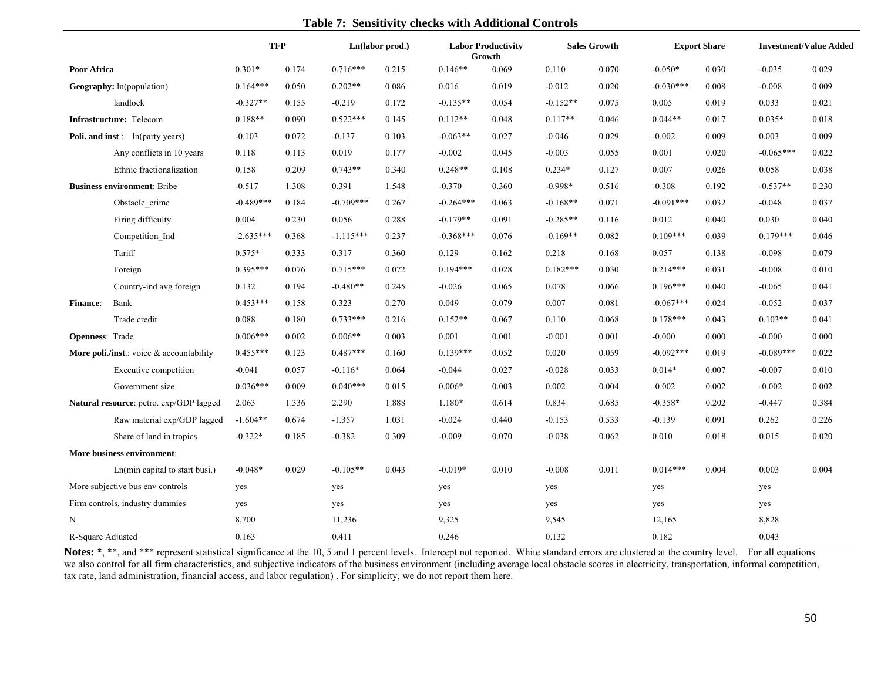# **Table 7: Sensitivity checks with Additional Controls**

|                         |                                          | <b>TFP</b>  |       |             | Ln(labor prod.) |             | <b>Labor Productivity</b><br>Growth |            | <b>Sales Growth</b> |             | <b>Export Share</b> |             | <b>Investment/Value Added</b> |
|-------------------------|------------------------------------------|-------------|-------|-------------|-----------------|-------------|-------------------------------------|------------|---------------------|-------------|---------------------|-------------|-------------------------------|
| <b>Poor Africa</b>      |                                          | $0.301*$    | 0.174 | $0.716***$  | 0.215           | $0.146**$   | 0.069                               | 0.110      | 0.070               | $-0.050*$   | 0.030               | $-0.035$    | 0.029                         |
|                         | <b>Geography:</b> ln(population)         | $0.164***$  | 0.050 | $0.202**$   | 0.086           | 0.016       | 0.019                               | $-0.012$   | 0.020               | $-0.030***$ | 0.008               | $-0.008$    | 0.009                         |
|                         | landlock                                 | $-0.327**$  | 0.155 | $-0.219$    | 0.172           | $-0.135**$  | 0.054                               | $-0.152**$ | 0.075               | 0.005       | 0.019               | 0.033       | 0.021                         |
|                         | Infrastructure: Telecom                  | $0.188**$   | 0.090 | $0.522***$  | 0.145           | $0.112**$   | 0.048                               | $0.117**$  | 0.046               | $0.044**$   | 0.017               | $0.035*$    | 0.018                         |
|                         | <b>Poli. and inst.:</b> ln(party years)  | $-0.103$    | 0.072 | $-0.137$    | 0.103           | $-0.063**$  | 0.027                               | $-0.046$   | 0.029               | $-0.002$    | 0.009               | 0.003       | 0.009                         |
|                         | Any conflicts in 10 years                | 0.118       | 0.113 | 0.019       | 0.177           | $-0.002$    | 0.045                               | $-0.003$   | 0.055               | 0.001       | 0.020               | $-0.065***$ | 0.022                         |
|                         | Ethnic fractionalization                 | 0.158       | 0.209 | $0.743**$   | 0.340           | $0.248**$   | 0.108                               | $0.234*$   | 0.127               | 0.007       | 0.026               | 0.058       | 0.038                         |
|                         | <b>Business environment: Bribe</b>       | $-0.517$    | 1.308 | 0.391       | 1.548           | $-0.370$    | 0.360                               | $-0.998*$  | 0.516               | $-0.308$    | 0.192               | $-0.537**$  | 0.230                         |
|                         | Obstacle crime                           | $-0.489***$ | 0.184 | $-0.709***$ | 0.267           | $-0.264***$ | 0.063                               | $-0.168**$ | 0.071               | $-0.091***$ | 0.032               | $-0.048$    | 0.037                         |
|                         | Firing difficulty                        | 0.004       | 0.230 | 0.056       | 0.288           | $-0.179**$  | 0.091                               | $-0.285**$ | 0.116               | 0.012       | 0.040               | 0.030       | 0.040                         |
|                         | Competition Ind                          | $-2.635***$ | 0.368 | $-1.115***$ | 0.237           | $-0.368***$ | 0.076                               | $-0.169**$ | 0.082               | $0.109***$  | 0.039               | $0.179***$  | 0.046                         |
|                         | Tariff                                   | $0.575*$    | 0.333 | 0.317       | 0.360           | 0.129       | 0.162                               | 0.218      | 0.168               | 0.057       | 0.138               | $-0.098$    | 0.079                         |
|                         | Foreign                                  | $0.395***$  | 0.076 | $0.715***$  | 0.072           | $0.194***$  | 0.028                               | $0.182***$ | 0.030               | $0.214***$  | 0.031               | $-0.008$    | 0.010                         |
|                         | Country-ind avg foreign                  | 0.132       | 0.194 | $-0.480**$  | 0.245           | $-0.026$    | 0.065                               | 0.078      | 0.066               | $0.196***$  | 0.040               | $-0.065$    | 0.041                         |
| Finance:                | Bank                                     | $0.453***$  | 0.158 | 0.323       | 0.270           | 0.049       | 0.079                               | 0.007      | 0.081               | $-0.067***$ | 0.024               | $-0.052$    | 0.037                         |
|                         | Trade credit                             | 0.088       | 0.180 | $0.733***$  | 0.216           | $0.152**$   | 0.067                               | 0.110      | 0.068               | $0.178***$  | 0.043               | $0.103**$   | 0.041                         |
| <b>Openness</b> : Trade |                                          | $0.006***$  | 0.002 | $0.006**$   | 0.003           | 0.001       | 0.001                               | $-0.001$   | 0.001               | $-0.000$    | 0.000               | $-0.000$    | 0.000                         |
|                         | More poli./inst.: voice & accountability | $0.455***$  | 0.123 | $0.487***$  | 0.160           | $0.139***$  | 0.052                               | 0.020      | 0.059               | $-0.092***$ | 0.019               | $-0.089***$ | 0.022                         |
|                         | Executive competition                    | $-0.041$    | 0.057 | $-0.116*$   | 0.064           | $-0.044$    | 0.027                               | $-0.028$   | 0.033               | $0.014*$    | 0.007               | $-0.007$    | 0.010                         |
|                         | Government size                          | $0.036***$  | 0.009 | $0.040***$  | 0.015           | $0.006*$    | 0.003                               | 0.002      | 0.004               | $-0.002$    | 0.002               | $-0.002$    | 0.002                         |
|                         | Natural resource: petro. exp/GDP lagged  | 2.063       | 1.336 | 2.290       | 1.888           | $1.180*$    | 0.614                               | 0.834      | 0.685               | $-0.358*$   | 0.202               | $-0.447$    | 0.384                         |
|                         | Raw material exp/GDP lagged              | $-1.604**$  | 0.674 | $-1.357$    | 1.031           | $-0.024$    | 0.440                               | $-0.153$   | 0.533               | $-0.139$    | 0.091               | 0.262       | 0.226                         |
|                         | Share of land in tropics                 | $-0.322*$   | 0.185 | $-0.382$    | 0.309           | $-0.009$    | 0.070                               | $-0.038$   | 0.062               | 0.010       | 0.018               | 0.015       | 0.020                         |
|                         | More business environment:               |             |       |             |                 |             |                                     |            |                     |             |                     |             |                               |
|                         | Ln(min capital to start busi.)           | $-0.048*$   | 0.029 | $-0.105**$  | 0.043           | $-0.019*$   | 0.010                               | $-0.008$   | 0.011               | $0.014***$  | 0.004               | 0.003       | 0.004                         |
|                         | More subjective bus env controls         | yes         |       | yes         |                 | yes         |                                     | yes        |                     | yes         |                     | yes         |                               |
|                         | Firm controls, industry dummies          | yes         |       | yes         |                 | yes         |                                     | yes        |                     | yes         |                     | yes         |                               |
| N                       |                                          | 8,700       |       | 11,236      |                 | 9,325       |                                     | 9,545      |                     | 12,165      |                     | 8,828       |                               |
| R-Square Adjusted       |                                          | 0.163       |       | 0.411       |                 | 0.246       |                                     | 0.132      |                     | 0.182       |                     | 0.043       |                               |

Notes: \*, \*\*, and \*\*\* represent statistical significance at the 10, 5 and 1 percent levels. Intercept not reported. White standard errors are clustered at the country level. For all equations we also control for all firm characteristics, and subjective indicators of the business environment (including average local obstacle scores in electricity, transportation, informal competition, tax rate, land administration, financial access, and labor regulation) . For simplicity, we do not report them here.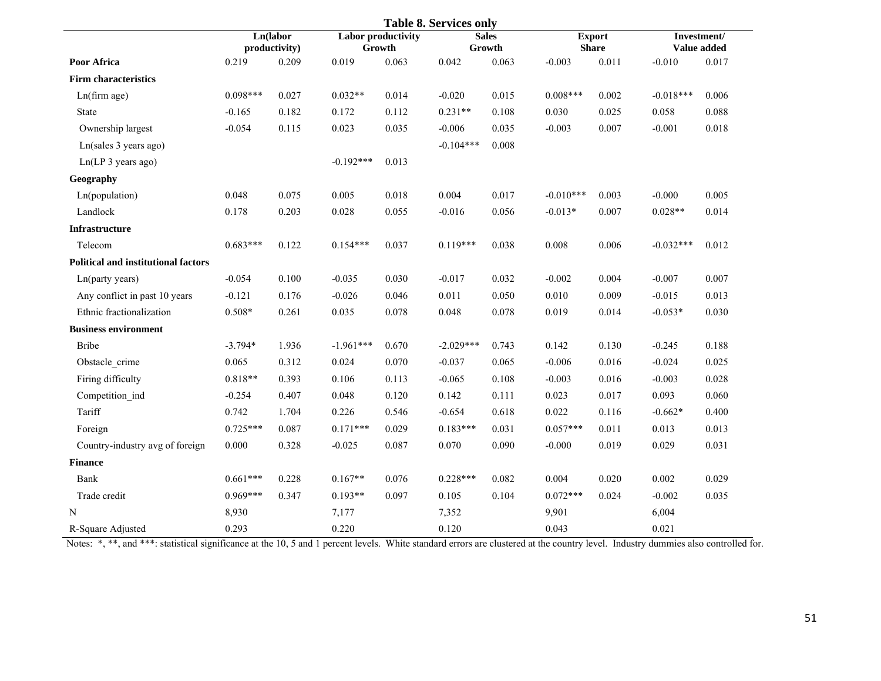|                                            |            |                           |             |                                     | <b>Table 8. Services only</b> |                        |             |                               |             |                            |
|--------------------------------------------|------------|---------------------------|-------------|-------------------------------------|-------------------------------|------------------------|-------------|-------------------------------|-------------|----------------------------|
|                                            |            | Ln(labor<br>productivity) |             | <b>Labor productivity</b><br>Growth |                               | <b>Sales</b><br>Growth |             | <b>Export</b><br><b>Share</b> |             | Investment/<br>Value added |
| Poor Africa                                | 0.219      | 0.209                     | 0.019       | 0.063                               | 0.042                         | 0.063                  | $-0.003$    | 0.011                         | $-0.010$    | 0.017                      |
| <b>Firm characteristics</b>                |            |                           |             |                                     |                               |                        |             |                               |             |                            |
| Ln(firm age)                               | $0.098***$ | 0.027                     | $0.032**$   | 0.014                               | $-0.020$                      | 0.015                  | $0.008***$  | 0.002                         | $-0.018***$ | 0.006                      |
| State                                      | $-0.165$   | 0.182                     | 0.172       | 0.112                               | $0.231**$                     | 0.108                  | 0.030       | 0.025                         | 0.058       | 0.088                      |
| Ownership largest                          | $-0.054$   | 0.115                     | 0.023       | 0.035                               | $-0.006$                      | 0.035                  | $-0.003$    | 0.007                         | $-0.001$    | 0.018                      |
| Ln(sales 3 years ago)                      |            |                           |             |                                     | $-0.104***$                   | 0.008                  |             |                               |             |                            |
| Ln(LP 3 years ago)                         |            |                           | $-0.192***$ | 0.013                               |                               |                        |             |                               |             |                            |
| Geography                                  |            |                           |             |                                     |                               |                        |             |                               |             |                            |
| Ln(population)                             | 0.048      | 0.075                     | 0.005       | 0.018                               | 0.004                         | 0.017                  | $-0.010***$ | 0.003                         | $-0.000$    | 0.005                      |
| Landlock                                   | 0.178      | 0.203                     | 0.028       | 0.055                               | $-0.016$                      | 0.056                  | $-0.013*$   | 0.007                         | $0.028**$   | 0.014                      |
| Infrastructure                             |            |                           |             |                                     |                               |                        |             |                               |             |                            |
| Telecom                                    | $0.683***$ | 0.122                     | $0.154***$  | 0.037                               | $0.119***$                    | 0.038                  | 0.008       | 0.006                         | $-0.032***$ | 0.012                      |
| <b>Political and institutional factors</b> |            |                           |             |                                     |                               |                        |             |                               |             |                            |
| Ln(party years)                            | $-0.054$   | 0.100                     | $-0.035$    | 0.030                               | $-0.017$                      | 0.032                  | $-0.002$    | 0.004                         | $-0.007$    | 0.007                      |
| Any conflict in past 10 years              | $-0.121$   | 0.176                     | $-0.026$    | 0.046                               | 0.011                         | 0.050                  | 0.010       | 0.009                         | $-0.015$    | 0.013                      |
| Ethnic fractionalization                   | $0.508*$   | 0.261                     | 0.035       | 0.078                               | 0.048                         | 0.078                  | 0.019       | 0.014                         | $-0.053*$   | 0.030                      |
| <b>Business environment</b>                |            |                           |             |                                     |                               |                        |             |                               |             |                            |
| <b>Bribe</b>                               | $-3.794*$  | 1.936                     | $-1.961***$ | 0.670                               | $-2.029***$                   | 0.743                  | 0.142       | 0.130                         | $-0.245$    | 0.188                      |
| Obstacle crime                             | 0.065      | 0.312                     | 0.024       | 0.070                               | $-0.037$                      | 0.065                  | $-0.006$    | 0.016                         | $-0.024$    | 0.025                      |
| Firing difficulty                          | $0.818**$  | 0.393                     | 0.106       | 0.113                               | $-0.065$                      | 0.108                  | $-0.003$    | 0.016                         | $-0.003$    | 0.028                      |
| Competition ind                            | $-0.254$   | 0.407                     | 0.048       | 0.120                               | 0.142                         | 0.111                  | 0.023       | 0.017                         | 0.093       | 0.060                      |
| Tariff                                     | 0.742      | 1.704                     | 0.226       | 0.546                               | $-0.654$                      | 0.618                  | 0.022       | 0.116                         | $-0.662*$   | 0.400                      |
| Foreign                                    | $0.725***$ | 0.087                     | $0.171***$  | 0.029                               | $0.183***$                    | 0.031                  | $0.057***$  | 0.011                         | 0.013       | 0.013                      |
| Country-industry avg of foreign            | 0.000      | 0.328                     | $-0.025$    | 0.087                               | 0.070                         | 0.090                  | $-0.000$    | 0.019                         | 0.029       | 0.031                      |
| <b>Finance</b>                             |            |                           |             |                                     |                               |                        |             |                               |             |                            |
| Bank                                       | $0.661***$ | 0.228                     | $0.167**$   | 0.076                               | $0.228***$                    | 0.082                  | 0.004       | 0.020                         | 0.002       | 0.029                      |
| Trade credit                               | $0.969***$ | 0.347                     | $0.193**$   | 0.097                               | 0.105                         | 0.104                  | $0.072***$  | 0.024                         | $-0.002$    | 0.035                      |
| N                                          | 8,930      |                           | 7,177       |                                     | 7,352                         |                        | 9,901       |                               | 6,004       |                            |
| R-Square Adjusted                          | 0.293      |                           | 0.220       |                                     | 0.120                         |                        | 0.043       |                               | 0.021       |                            |

Notes: \*, \*\*, and \*\*\*: statistical significance at the 10, 5 and 1 percent levels. White standard errors are clustered at the country level. Industry dummies also controlled for.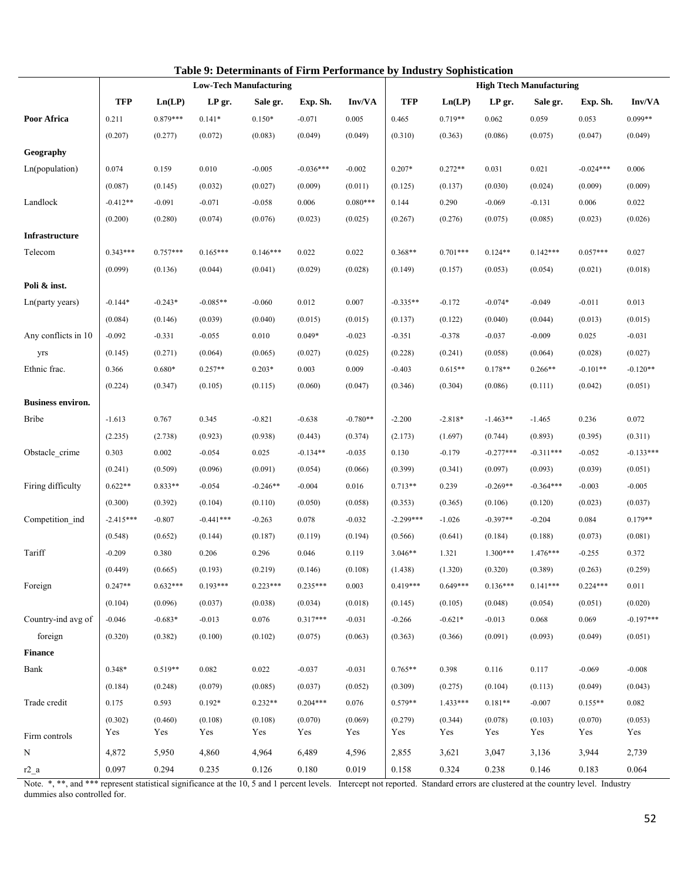|                          |             |            | Table 9: Determinants of Firm Performance by Industry Sophistication |            |             |            |             |            |             |                                 |             |             |
|--------------------------|-------------|------------|----------------------------------------------------------------------|------------|-------------|------------|-------------|------------|-------------|---------------------------------|-------------|-------------|
|                          |             |            | <b>Low-Tech Manufacturing</b>                                        |            |             |            |             |            |             | <b>High Ttech Manufacturing</b> |             |             |
|                          | <b>TFP</b>  | Ln(LP)     | LP gr.                                                               | Sale gr.   | Exp. Sh.    | Inv/VA     | <b>TFP</b>  | Ln(LP)     | LP gr.      | Sale gr.                        | Exp. Sh.    | Inv/VA      |
| Poor Africa              | 0.211       | $0.879***$ | $0.141*$                                                             | $0.150*$   | $-0.071$    | 0.005      | 0.465       | $0.719**$  | 0.062       | 0.059                           | 0.053       | $0.099**$   |
|                          | (0.207)     | (0.277)    | (0.072)                                                              | (0.083)    | (0.049)     | (0.049)    | (0.310)     | (0.363)    | (0.086)     | (0.075)                         | (0.047)     | (0.049)     |
| Geography                |             |            |                                                                      |            |             |            |             |            |             |                                 |             |             |
| Ln(population)           | 0.074       | 0.159      | 0.010                                                                | $-0.005$   | $-0.036***$ | $-0.002$   | $0.207*$    | $0.272**$  | 0.031       | 0.021                           | $-0.024***$ | 0.006       |
|                          | (0.087)     | (0.145)    | (0.032)                                                              | (0.027)    | (0.009)     | (0.011)    | (0.125)     | (0.137)    | (0.030)     | (0.024)                         | (0.009)     | (0.009)     |
| Landlock                 | $-0.412**$  | $-0.091$   | $-0.071$                                                             | $-0.058$   | 0.006       | $0.080***$ | 0.144       | 0.290      | $-0.069$    | $-0.131$                        | 0.006       | 0.022       |
|                          | (0.200)     | (0.280)    | (0.074)                                                              | (0.076)    | (0.023)     | (0.025)    | (0.267)     | (0.276)    | (0.075)     | (0.085)                         | (0.023)     | (0.026)     |
| Infrastructure           |             |            |                                                                      |            |             |            |             |            |             |                                 |             |             |
| Telecom                  | $0.343***$  | $0.757***$ | $0.165***$                                                           | $0.146***$ | 0.022       | 0.022      | $0.368**$   | $0.701***$ | $0.124**$   | $0.142***$                      | $0.057***$  | 0.027       |
|                          | (0.099)     | (0.136)    | (0.044)                                                              | (0.041)    | (0.029)     | (0.028)    | (0.149)     | (0.157)    | (0.053)     | (0.054)                         | (0.021)     | (0.018)     |
| Poli & inst.             |             |            |                                                                      |            |             |            |             |            |             |                                 |             |             |
| Ln(party years)          | $-0.144*$   | $-0.243*$  | $-0.085**$                                                           | $-0.060$   | 0.012       | 0.007      | $-0.335**$  | $-0.172$   | $-0.074*$   | $-0.049$                        | $-0.011$    | 0.013       |
|                          | (0.084)     | (0.146)    | (0.039)                                                              | (0.040)    | (0.015)     | (0.015)    | (0.137)     | (0.122)    | (0.040)     | (0.044)                         | (0.013)     | (0.015)     |
| Any conflicts in 10      | $-0.092$    | $-0.331$   | $-0.055$                                                             | 0.010      | $0.049*$    | $-0.023$   | $-0.351$    | $-0.378$   | $-0.037$    | $-0.009$                        | 0.025       | $-0.031$    |
| yrs                      | (0.145)     | (0.271)    | (0.064)                                                              | (0.065)    | (0.027)     | (0.025)    | (0.228)     | (0.241)    | (0.058)     | (0.064)                         | (0.028)     | (0.027)     |
| Ethnic frac.             | 0.366       | $0.680*$   | $0.257**$                                                            | $0.203*$   | 0.003       | 0.009      | $-0.403$    | $0.615**$  | $0.178**$   | $0.266**$                       | $-0.101**$  | $-0.120**$  |
|                          | (0.224)     | (0.347)    | (0.105)                                                              | (0.115)    | (0.060)     | (0.047)    | (0.346)     | (0.304)    | (0.086)     | (0.111)                         | (0.042)     | (0.051)     |
| <b>Business environ.</b> |             |            |                                                                      |            |             |            |             |            |             |                                 |             |             |
| <b>Bribe</b>             | $-1.613$    | 0.767      | 0.345                                                                | $-0.821$   | $-0.638$    | $-0.780**$ | $-2.200$    | $-2.818*$  | $-1.463**$  | $-1.465$                        | 0.236       | 0.072       |
|                          | (2.235)     | (2.738)    | (0.923)                                                              | (0.938)    | (0.443)     | (0.374)    | (2.173)     | (1.697)    | (0.744)     | (0.893)                         | (0.395)     | (0.311)     |
| Obstacle crime           | 0.303       | 0.002      | $-0.054$                                                             | 0.025      | $-0.134**$  | $-0.035$   | 0.130       | $-0.179$   | $-0.277***$ | $-0.311***$                     | $-0.052$    | $-0.133***$ |
|                          | (0.241)     | (0.509)    | (0.096)                                                              | (0.091)    | (0.054)     | (0.066)    | (0.399)     | (0.341)    | (0.097)     | (0.093)                         | (0.039)     | (0.051)     |
| Firing difficulty        | $0.622**$   | $0.833**$  | $-0.054$                                                             | $-0.246**$ | $-0.004$    | 0.016      | $0.713**$   | 0.239      | $-0.269**$  | $-0.364***$                     | $-0.003$    | $-0.005$    |
|                          | (0.300)     | (0.392)    | (0.104)                                                              | (0.110)    | (0.050)     | (0.058)    | (0.353)     | (0.365)    | (0.106)     | (0.120)                         | (0.023)     | (0.037)     |
| Competition ind          | $-2.415***$ | $-0.807$   | $-0.441***$                                                          | $-0.263$   | 0.078       | $-0.032$   | $-2.299***$ | $-1.026$   | $-0.397**$  | $-0.204$                        | 0.084       | $0.179**$   |
|                          | (0.548)     | (0.652)    | (0.144)                                                              | (0.187)    | (0.119)     | (0.194)    | (0.566)     | (0.641)    | (0.184)     | (0.188)                         | (0.073)     | (0.081)     |
| Tariff                   | $-0.209$    | 0.380      | 0.206                                                                | 0.296      | 0.046       | 0.119      | $3.046**$   | 1.321      | $1.300***$  | $1.476***$                      | $-0.255$    | 0.372       |
|                          | (0.449)     | (0.665)    | (0.193)                                                              | (0.219)    | (0.146)     | (0.108)    | (1.438)     | (1.320)    | (0.320)     | (0.389)                         | (0.263)     | (0.259)     |
| Foreign                  | $0.247**$   | $0.632***$ | $0.193***$                                                           | $0.223***$ | $0.235***$  | 0.003      | $0.419***$  | $0.649***$ | $0.136***$  | $0.141***$                      | $0.224***$  | 0.011       |
|                          | (0.104)     | (0.096)    | (0.037)                                                              | (0.038)    | (0.034)     | (0.018)    | (0.145)     | (0.105)    | (0.048)     | (0.054)                         | (0.051)     | (0.020)     |
| Country-ind avg of       | $-0.046$    | $-0.683*$  | $-0.013$                                                             | 0.076      | $0.317***$  | $-0.031$   | $-0.266$    | $-0.621*$  | $-0.013$    | 0.068                           | 0.069       | $-0.197***$ |
| foreign                  | (0.320)     | (0.382)    | (0.100)                                                              | (0.102)    | (0.075)     | (0.063)    | (0.363)     | (0.366)    | (0.091)     | (0.093)                         | (0.049)     | (0.051)     |
| Finance                  |             |            |                                                                      |            |             |            |             |            |             |                                 |             |             |
| Bank                     | $0.348*$    | $0.519**$  | 0.082                                                                | 0.022      | $-0.037$    | $-0.031$   | $0.765**$   | 0.398      | 0.116       | 0.117                           | $-0.069$    | $-0.008$    |
|                          | (0.184)     | (0.248)    | (0.079)                                                              | (0.085)    | (0.037)     | (0.052)    | (0.309)     | (0.275)    | (0.104)     | (0.113)                         | (0.049)     | (0.043)     |
| Trade credit             | 0.175       | 0.593      | $0.192*$                                                             | $0.232**$  | $0.204***$  | 0.076      | $0.579**$   | $1.433***$ | $0.181**$   | $-0.007$                        | $0.155**$   | 0.082       |
|                          | (0.302)     | (0.460)    | (0.108)                                                              | (0.108)    | (0.070)     | (0.069)    | (0.279)     | (0.344)    | (0.078)     | (0.103)                         | (0.070)     | (0.053)     |
| Firm controls            | Yes         | Yes        | Yes                                                                  | Yes        | Yes         | Yes        | Yes         | Yes        | Yes         | Yes                             | Yes         | Yes         |
| N                        | 4,872       | 5,950      | 4,860                                                                | 4,964      | 6,489       | 4,596      | 2,855       | 3,621      | 3,047       | 3,136                           | 3,944       | 2,739       |
| $r2_a$                   | 0.097       | 0.294      | 0.235                                                                | 0.126      | 0.180       | 0.019      | 0.158       | 0.324      | 0.238       | 0.146                           | 0.183       | 0.064       |
|                          |             |            |                                                                      |            |             |            |             |            |             |                                 |             |             |

Note. \*, \*\*, and \*\*\* represent statistical significance at the 10, 5 and 1 percent levels. Intercept not reported. Standard errors are clustered at the country level. Industry dummies also controlled for.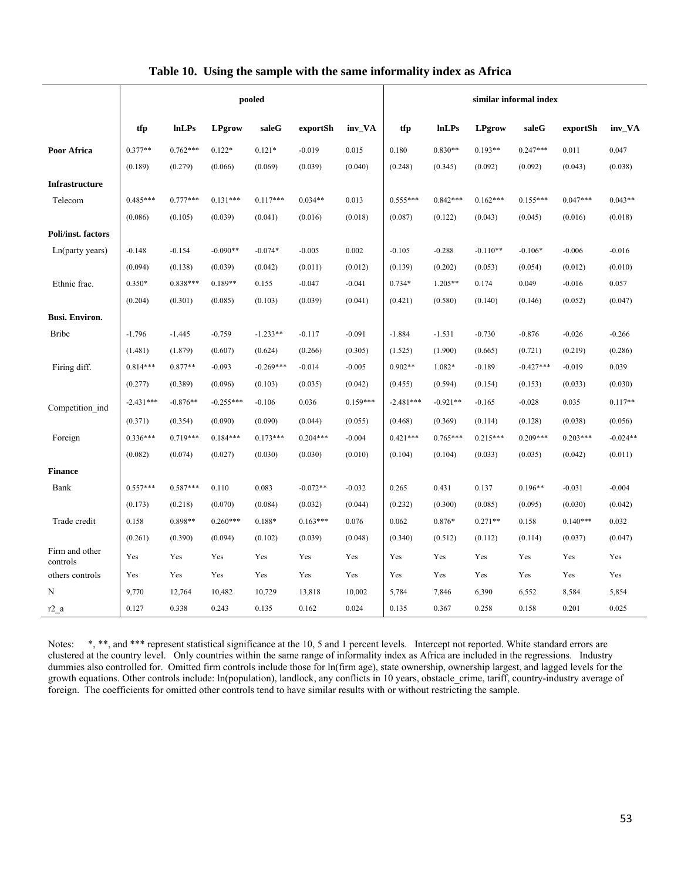|                            |             |              |               | pooled      |            |            | similar informal index |              |               |             |            |            |
|----------------------------|-------------|--------------|---------------|-------------|------------|------------|------------------------|--------------|---------------|-------------|------------|------------|
|                            | tfp         | <b>lnLPs</b> | <b>LPgrow</b> | saleG       | exportSh   | inv_VA     | tfp                    | <b>InLPs</b> | <b>LPgrow</b> | saleG       | exportSh   | inv_VA     |
| Poor Africa                | $0.377**$   | $0.762***$   | $0.122*$      | $0.121*$    | $-0.019$   | 0.015      | 0.180                  | $0.830**$    | $0.193**$     | $0.247***$  | 0.011      | 0.047      |
|                            | (0.189)     | (0.279)      | (0.066)       | (0.069)     | (0.039)    | (0.040)    | (0.248)                | (0.345)      | (0.092)       | (0.092)     | (0.043)    | (0.038)    |
| <b>Infrastructure</b>      |             |              |               |             |            |            |                        |              |               |             |            |            |
| Telecom                    | $0.485***$  | $0.777***$   | $0.131***$    | $0.117***$  | $0.034**$  | 0.013      | $0.555***$             | $0.842***$   | $0.162***$    | $0.155***$  | $0.047***$ | $0.043**$  |
|                            | (0.086)     | (0.105)      | (0.039)       | (0.041)     | (0.016)    | (0.018)    | (0.087)                | (0.122)      | (0.043)       | (0.045)     | (0.016)    | (0.018)    |
| Poli/inst. factors         |             |              |               |             |            |            |                        |              |               |             |            |            |
| Ln(party years)            | $-0.148$    | $-0.154$     | $-0.090**$    | $-0.074*$   | $-0.005$   | 0.002      | $-0.105$               | $-0.288$     | $-0.110**$    | $-0.106*$   | $-0.006$   | $-0.016$   |
|                            | (0.094)     | (0.138)      | (0.039)       | (0.042)     | (0.011)    | (0.012)    | (0.139)                | (0.202)      | (0.053)       | (0.054)     | (0.012)    | (0.010)    |
| Ethnic frac.               | $0.350*$    | $0.838***$   | $0.189**$     | 0.155       | $-0.047$   | $-0.041$   | $0.734*$               | $1.205**$    | 0.174         | 0.049       | $-0.016$   | 0.057      |
|                            | (0.204)     | (0.301)      | (0.085)       | (0.103)     | (0.039)    | (0.041)    | (0.421)                | (0.580)      | (0.140)       | (0.146)     | (0.052)    | (0.047)    |
| <b>Busi. Environ.</b>      |             |              |               |             |            |            |                        |              |               |             |            |            |
| <b>Bribe</b>               | $-1.796$    | $-1.445$     | $-0.759$      | $-1.233**$  | $-0.117$   | $-0.091$   | $-1.884$               | $-1.531$     | $-0.730$      | $-0.876$    | $-0.026$   | $-0.266$   |
|                            | (1.481)     | (1.879)      | (0.607)       | (0.624)     | (0.266)    | (0.305)    | (1.525)                | (1.900)      | (0.665)       | (0.721)     | (0.219)    | (0.286)    |
| Firing diff.               | $0.814***$  | $0.877**$    | $-0.093$      | $-0.269***$ | $-0.014$   | $-0.005$   | $0.902**$              | 1.082*       | $-0.189$      | $-0.427***$ | $-0.019$   | 0.039      |
|                            | (0.277)     | (0.389)      | (0.096)       | (0.103)     | (0.035)    | (0.042)    | (0.455)                | (0.594)      | (0.154)       | (0.153)     | (0.033)    | (0.030)    |
| Competition ind            | $-2.431***$ | $-0.876**$   | $-0.255***$   | $-0.106$    | 0.036      | $0.159***$ | $-2.481***$            | $-0.921**$   | $-0.165$      | $-0.028$    | 0.035      | $0.117**$  |
|                            | (0.371)     | (0.354)      | (0.090)       | (0.090)     | (0.044)    | (0.055)    | (0.468)                | (0.369)      | (0.114)       | (0.128)     | (0.038)    | (0.056)    |
| Foreign                    | $0.336***$  | $0.719***$   | $0.184***$    | $0.173***$  | $0.204***$ | $-0.004$   | $0.421***$             | $0.765***$   | $0.215***$    | $0.209***$  | $0.203***$ | $-0.024**$ |
|                            | (0.082)     | (0.074)      | (0.027)       | (0.030)     | (0.030)    | (0.010)    | (0.104)                | (0.104)      | (0.033)       | (0.035)     | (0.042)    | (0.011)    |
| <b>Finance</b>             |             |              |               |             |            |            |                        |              |               |             |            |            |
| Bank                       | $0.557***$  | $0.587***$   | 0.110         | 0.083       | $-0.072**$ | $-0.032$   | 0.265                  | 0.431        | 0.137         | $0.196**$   | $-0.031$   | $-0.004$   |
|                            | (0.173)     | (0.218)      | (0.070)       | (0.084)     | (0.032)    | (0.044)    | (0.232)                | (0.300)      | (0.085)       | (0.095)     | (0.030)    | (0.042)    |
| Trade credit               | 0.158       | 0.898**      | $0.260***$    | 0.188*      | $0.163***$ | 0.076      | 0.062                  | 0.876*       | $0.271**$     | 0.158       | $0.140***$ | 0.032      |
|                            | (0.261)     | (0.390)      | (0.094)       | (0.102)     | (0.039)    | (0.048)    | (0.340)                | (0.512)      | (0.112)       | (0.114)     | (0.037)    | (0.047)    |
| Firm and other<br>controls | Yes         | Yes          | Yes           | Yes         | Yes        | Yes        | Yes                    | Yes          | Yes           | Yes         | Yes        | Yes        |
| others controls            | Yes         | Yes          | Yes           | Yes         | Yes        | Yes        | Yes                    | Yes          | Yes           | Yes         | Yes        | Yes        |
| N                          | 9,770       | 12,764       | 10,482        | 10,729      | 13,818     | 10,002     | 5,784                  | 7,846        | 6,390         | 6,552       | 8,584      | 5,854      |
| $r2$ a                     | 0.127       | 0.338        | 0.243         | 0.135       | 0.162      | 0.024      | 0.135                  | 0.367        | 0.258         | 0.158       | 0.201      | 0.025      |

#### **Table 10. Using the sample with the same informality index as Africa**

Notes: \*, \*\*, and \*\*\* represent statistical significance at the 10, 5 and 1 percent levels. Intercept not reported. White standard errors are clustered at the country level. Only countries within the same range of informality index as Africa are included in the regressions. Industry dummies also controlled for. Omitted firm controls include those for ln(firm age), state ownership, ownership largest, and lagged levels for the growth equations. Other controls include: ln(population), landlock, any conflicts in 10 years, obstacle\_crime, tariff, country-industry average of foreign. The coefficients for omitted other controls tend to have similar results with or without restricting the sample.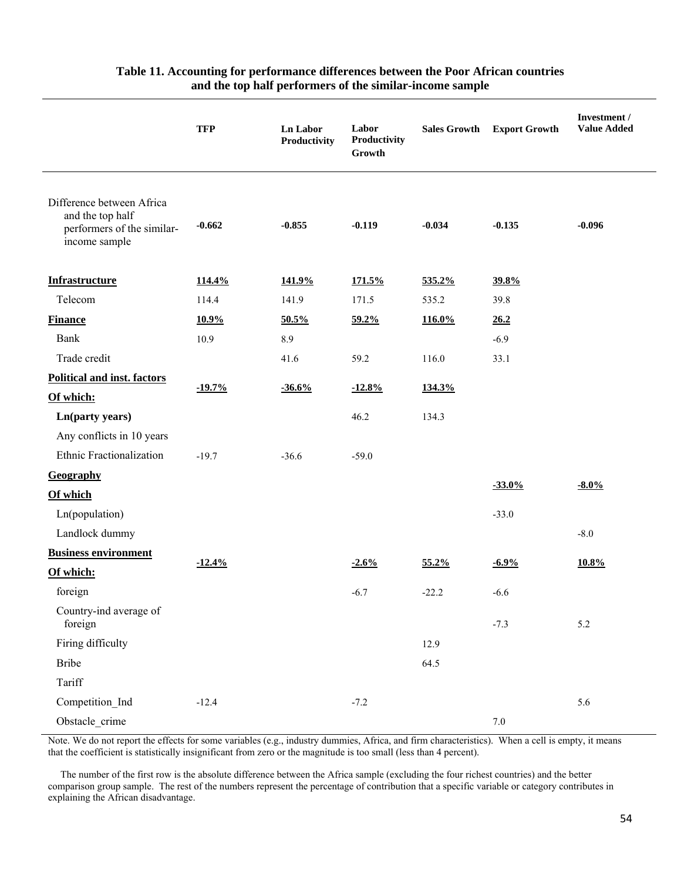|                                                                                              | <b>TFP</b> | <b>Ln Labor</b><br>Productivity | Labor<br>Productivity<br>Growth | <b>Sales Growth</b> | <b>Export Growth</b> | Investment /<br><b>Value Added</b> |
|----------------------------------------------------------------------------------------------|------------|---------------------------------|---------------------------------|---------------------|----------------------|------------------------------------|
| Difference between Africa<br>and the top half<br>performers of the similar-<br>income sample | $-0.662$   | $-0.855$                        | $-0.119$                        | $-0.034$            | $-0.135$             | $-0.096$                           |
| <b>Infrastructure</b>                                                                        | 114.4%     | 141.9%                          | 171.5%                          | 535.2%              | 39.8%                |                                    |
| Telecom                                                                                      | 114.4      | 141.9                           | 171.5                           | 535.2               | 39.8                 |                                    |
| <b>Finance</b>                                                                               | 10.9%      | 50.5%                           | 59.2%                           | 116.0%              | 26.2                 |                                    |
| Bank                                                                                         | 10.9       | 8.9                             |                                 |                     | $-6.9$               |                                    |
| Trade credit                                                                                 |            | 41.6                            | 59.2                            | 116.0               | 33.1                 |                                    |
| <b>Political and inst. factors</b>                                                           |            |                                 |                                 |                     |                      |                                    |
| Of which:                                                                                    | $-19.7%$   | $-36.6%$                        | $-12.8%$                        | 134.3%              |                      |                                    |
| Ln(party years)                                                                              |            |                                 | 46.2                            | 134.3               |                      |                                    |
| Any conflicts in 10 years                                                                    |            |                                 |                                 |                     |                      |                                    |
| Ethnic Fractionalization                                                                     | $-19.7$    | $-36.6$                         | $-59.0$                         |                     |                      |                                    |
| Geography                                                                                    |            |                                 |                                 |                     |                      |                                    |
| Of which                                                                                     |            |                                 |                                 |                     | $-33.0%$             | $-8.0\%$                           |
| Ln(population)                                                                               |            |                                 |                                 |                     | $-33.0$              |                                    |
| Landlock dummy                                                                               |            |                                 |                                 |                     |                      | $-8.0$                             |
| <b>Business environment</b>                                                                  |            |                                 |                                 |                     |                      |                                    |
| Of which:                                                                                    | $-12.4%$   |                                 | $-2.6%$                         | 55.2%               | $-6.9%$              | 10.8%                              |
| foreign                                                                                      |            |                                 | $-6.7$                          | $-22.2$             | $-6.6$               |                                    |
| Country-ind average of<br>foreign                                                            |            |                                 |                                 |                     | $-7.3$               | 5.2                                |
| Firing difficulty                                                                            |            |                                 |                                 | 12.9                |                      |                                    |
| <b>Bribe</b>                                                                                 |            |                                 |                                 | 64.5                |                      |                                    |
| Tariff                                                                                       |            |                                 |                                 |                     |                      |                                    |
| Competition_Ind                                                                              | $-12.4$    |                                 | $-7.2$                          |                     |                      | 5.6                                |
| Obstacle_crime                                                                               |            |                                 |                                 |                     | $7.0\,$              |                                    |

## **Table 11. Accounting for performance differences between the Poor African countries and the top half performers of the similar-income sample**

Note. We do not report the effects for some variables (e.g., industry dummies, Africa, and firm characteristics). When a cell is empty, it means that the coefficient is statistically insignificant from zero or the magnitude is too small (less than 4 percent).

 The number of the first row is the absolute difference between the Africa sample (excluding the four richest countries) and the better comparison group sample. The rest of the numbers represent the percentage of contribution that a specific variable or category contributes in explaining the African disadvantage.